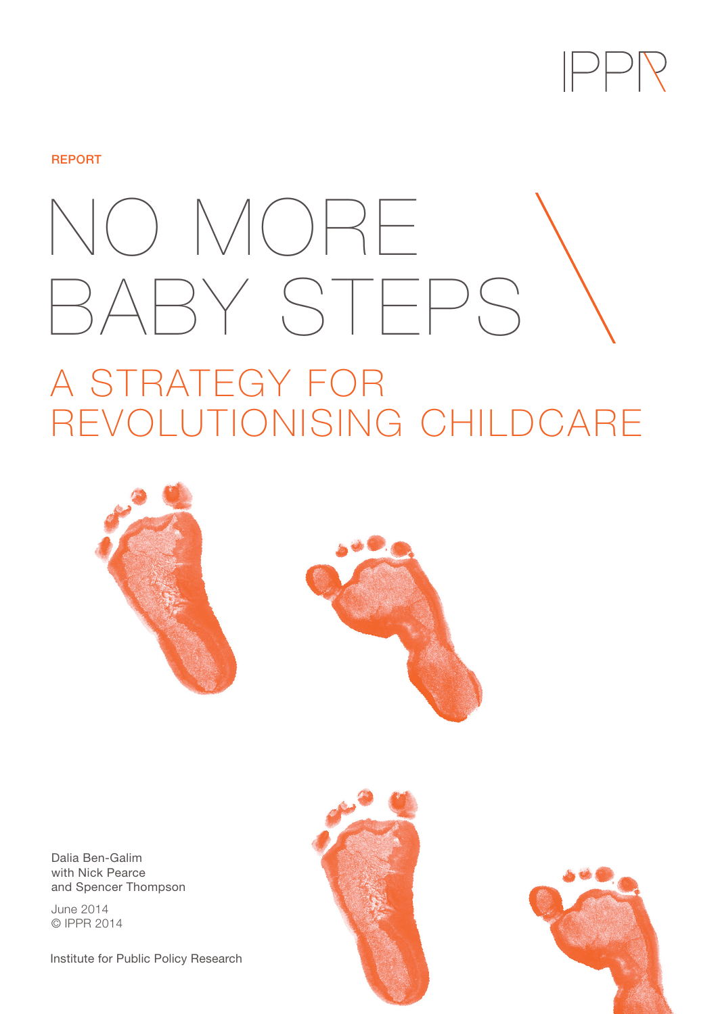

### **REPORT**

# NO MORE BABY STEPS

# A STRATEGY FOR REVOLUTIONISING CHILDCARE





Dalia Ben-Galim with Nick Pearce and Spencer Thompson

June 2014 © IPPR 2014

Institute for Public Policy Research



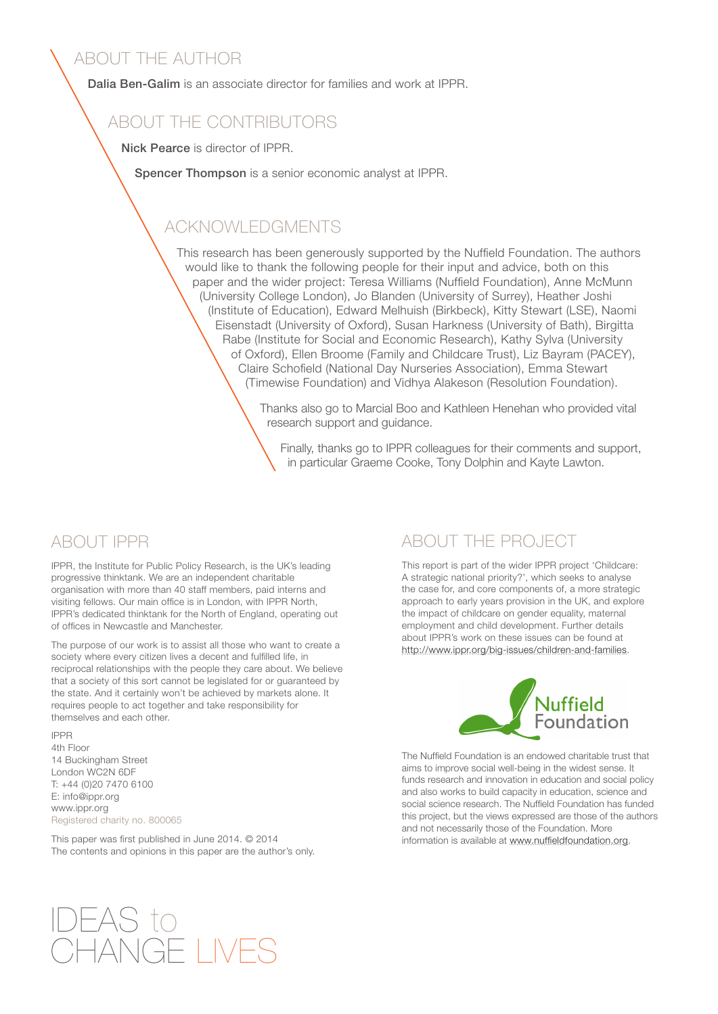### ABOUT THE AUTHOR

Dalia Ben-Galim is an associate director for families and work at IPPR.

### ABOUT THE CONTRIBUTORS

Nick Pearce is director of IPPR.

Spencer Thompson is a senior economic analyst at IPPR.

### ACKNOWLEDGMENTS

This research has been generously supported by the Nuffield Foundation. The authors would like to thank the following people for their input and advice, both on this paper and the wider project: Teresa Williams (Nuffield Foundation), Anne McMunn (University College London), Jo Blanden (University of Surrey), Heather Joshi (Institute of Education), Edward Melhuish (Birkbeck), Kitty Stewart (LSE), Naomi Eisenstadt (University of Oxford), Susan Harkness (University of Bath), Birgitta Rabe (Institute for Social and Economic Research), Kathy Sylva (University of Oxford), Ellen Broome (Family and Childcare Trust), Liz Bayram (PACEY), Claire Schofield (National Day Nurseries Association), Emma Stewart (Timewise Foundation) and Vidhya Alakeson (Resolution Foundation).

> Thanks also go to Marcial Boo and Kathleen Henehan who provided vital research support and guidance.

Finally, thanks go to IPPR colleagues for their comments and support, in particular Graeme Cooke, Tony Dolphin and Kayte Lawton.

### ABOUT IPPR

IPPR, the Institute for Public Policy Research, is the UK's leading progressive thinktank. We are an independent charitable organisation with more than 40 staff members, paid interns and visiting fellows. Our main office is in London, with IPPR North, IPPR's dedicated thinktank for the North of England, operating out of offices in Newcastle and Manchester.

The purpose of our work is to assist all those who want to create a society where every citizen lives a decent and fulfilled life, in reciprocal relationships with the people they care about. We believe that a society of this sort cannot be legislated for or guaranteed by the state. And it certainly won't be achieved by markets alone. It requires people to act together and take responsibility for themselves and each other.

IPPR 4th Floor 14 Buckingham Street London WC2N 6DF T: +44 (0)20 7470 6100 E: info@ippr.org www.ippr.org Registered charity no. 800065

This paper was first published in June 2014. © 2014 The contents and opinions in this paper are the author's only.

### ABOUT THE PROJECT

This report is part of the wider IPPR project 'Childcare: A strategic national priority?', which seeks to analyse the case for, and core components of, a more strategic approach to early years provision in the UK, and explore the impact of childcare on gender equality, maternal employment and child development. Further details about IPPR's work on these issues can be found at http://www.ippr.org/big-issues/children-and-families.



The Nuffield Foundation is an endowed charitable trust that aims to improve social well-being in the widest sense. It funds research and innovation in education and social policy and also works to build capacity in education, science and social science research. The Nuffield Foundation has funded this project, but the views expressed are those of the authors and not necessarily those of the Foundation. More information is available at [www.nuffieldfoundation.org.](www.nuffieldfoundation.org)

## IDEAS to CHANGE LIVE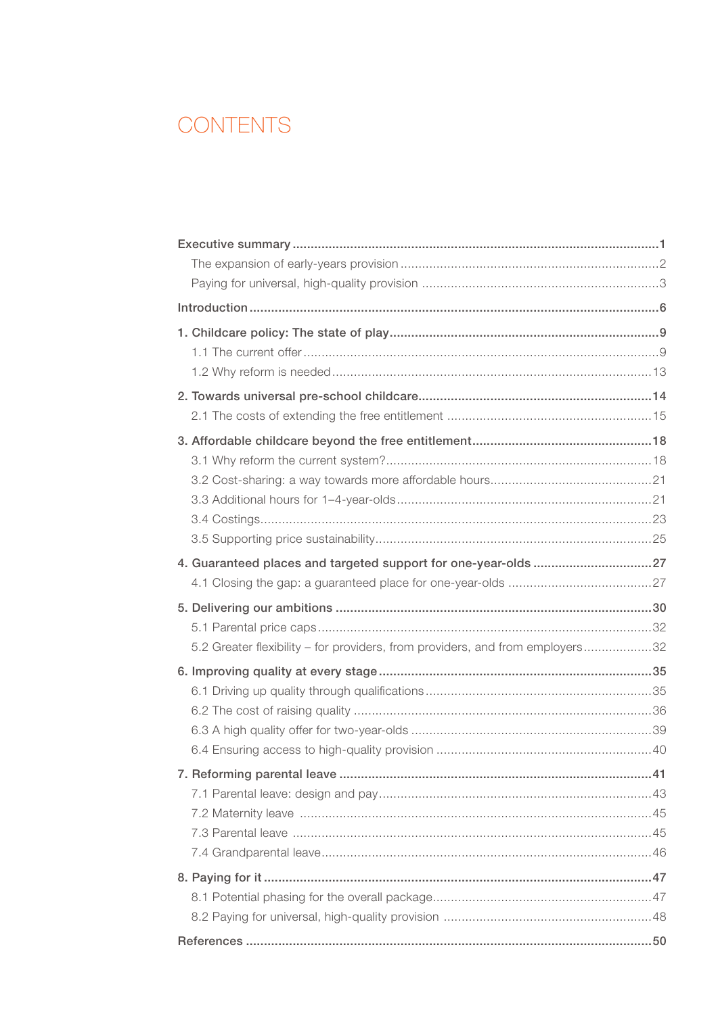### **CONTENTS**

| 4. Guaranteed places and targeted support for one-year-olds 27                |  |
|-------------------------------------------------------------------------------|--|
|                                                                               |  |
|                                                                               |  |
|                                                                               |  |
|                                                                               |  |
| 5.2 Greater flexibility - for providers, from providers, and from employers32 |  |
|                                                                               |  |
|                                                                               |  |
|                                                                               |  |
|                                                                               |  |
|                                                                               |  |
|                                                                               |  |
|                                                                               |  |
|                                                                               |  |
|                                                                               |  |
|                                                                               |  |
|                                                                               |  |
|                                                                               |  |
|                                                                               |  |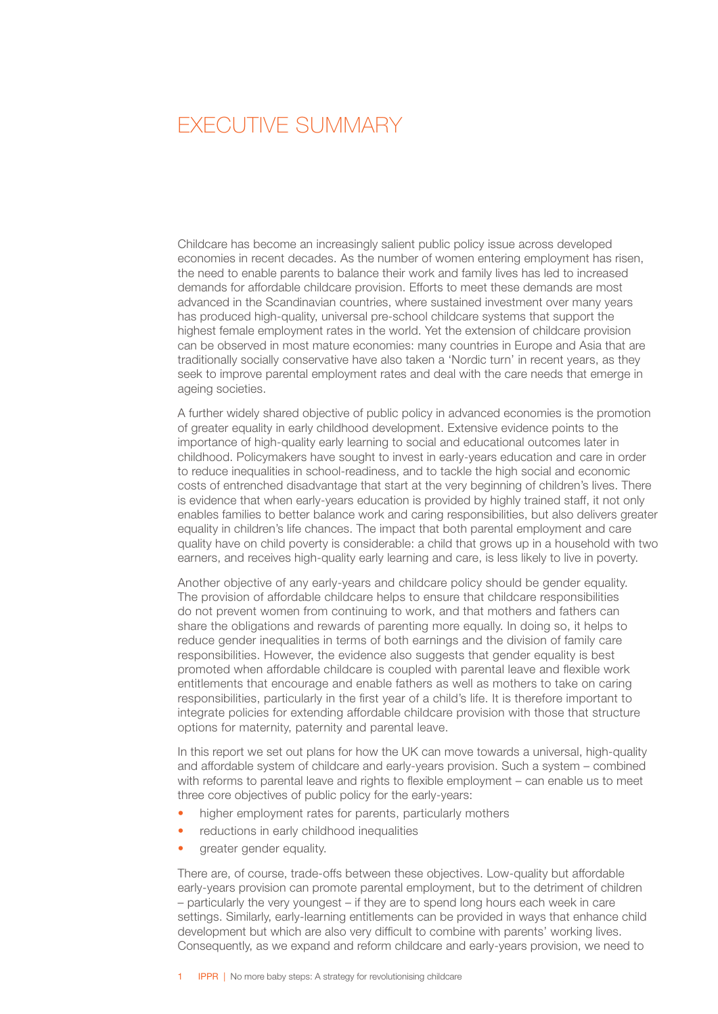### <span id="page-3-0"></span> EXECUTIVE SUMMARY

Childcare has become an increasingly salient public policy issue across developed economies in recent decades. As the number of women entering employment has risen, the need to enable parents to balance their work and family lives has led to increased demands for affordable childcare provision. Efforts to meet these demands are most advanced in the Scandinavian countries, where sustained investment over many years has produced high-quality, universal pre-school childcare systems that support the highest female employment rates in the world. Yet the extension of childcare provision can be observed in most mature economies: many countries in Europe and Asia that are traditionally socially conservative have also taken a 'Nordic turn' in recent years, as they seek to improve parental employment rates and deal with the care needs that emerge in ageing societies.

A further widely shared objective of public policy in advanced economies is the promotion of greater equality in early childhood development. Extensive evidence points to the importance of high-quality early learning to social and educational outcomes later in childhood. Policymakers have sought to invest in early-years education and care in order to reduce inequalities in school-readiness, and to tackle the high social and economic costs of entrenched disadvantage that start at the very beginning of children's lives. There is evidence that when early-years education is provided by highly trained staff, it not only enables families to better balance work and caring responsibilities, but also delivers greater equality in children's life chances. The impact that both parental employment and care quality have on child poverty is considerable: a child that grows up in a household with two earners, and receives high-quality early learning and care, is less likely to live in poverty.

Another objective of any early-years and childcare policy should be gender equality. The provision of affordable childcare helps to ensure that childcare responsibilities do not prevent women from continuing to work, and that mothers and fathers can share the obligations and rewards of parenting more equally. In doing so, it helps to reduce gender inequalities in terms of both earnings and the division of family care responsibilities. However, the evidence also suggests that gender equality is best promoted when affordable childcare is coupled with parental leave and flexible work entitlements that encourage and enable fathers as well as mothers to take on caring responsibilities, particularly in the first year of a child's life. It is therefore important to integrate policies for extending affordable childcare provision with those that structure options for maternity, paternity and parental leave.

In this report we set out plans for how the UK can move towards a universal, high-quality and affordable system of childcare and early-years provision. Such a system – combined with reforms to parental leave and rights to flexible employment – can enable us to meet three core objectives of public policy for the early-years:

- higher employment rates for parents, particularly mothers
- reductions in early childhood inequalities
- greater gender equality.

There are, of course, trade-offs between these objectives. Low-quality but affordable early-years provision can promote parental employment, but to the detriment of children – particularly the very youngest – if they are to spend long hours each week in care settings. Similarly, early-learning entitlements can be provided in ways that enhance child development but which are also very difficult to combine with parents' working lives. Consequently, as we expand and reform childcare and early-years provision, we need to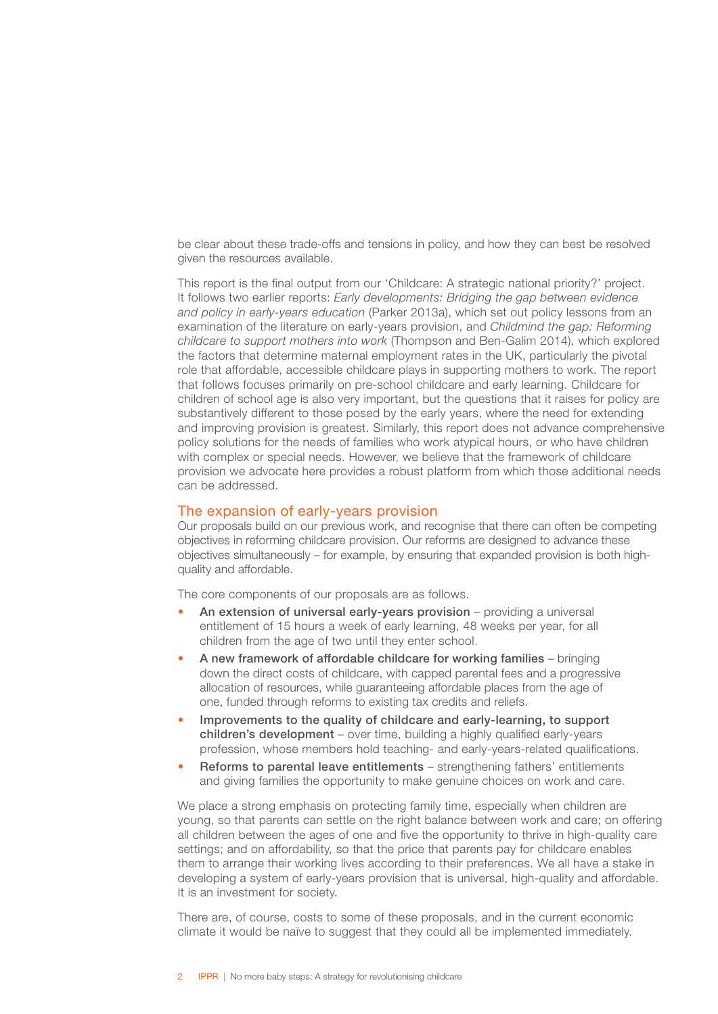<span id="page-4-0"></span>be clear about these trade-offs and tensions in policy, and how they can best be resolved given the resources available.

This report is the final output from our 'Childcare: A strategic national priority?' project. It follows two earlier reports: *Early developments: Bridging the gap between evidence and policy in early-years education* (Parker 2013a), which set out policy lessons from an examination of the literature on early-years provision, and *Childmind the gap: Reforming childcare to support mothers into work* (Thompson and Ben-Galim 2014), which explored the factors that determine maternal employment rates in the UK, particularly the pivotal role that affordable, accessible childcare plays in supporting mothers to work. The report that follows focuses primarily on pre-school childcare and early learning. Childcare for children of school age is also very important, but the questions that it raises for policy are substantively different to those posed by the early years, where the need for extending and improving provision is greatest. Similarly, this report does not advance comprehensive policy solutions for the needs of families who work atypical hours, or who have children with complex or special needs. However, we believe that the framework of childcare provision we advocate here provides a robust platform from which those additional needs can be addressed.

### The expansion of early-years provision

Our proposals build on our previous work, and recognise that there can often be competing objectives in reforming childcare provision. Our reforms are designed to advance these objectives simultaneously – for example, by ensuring that expanded provision is both highquality and affordable.

The core components of our proposals are as follows.

- An extension of universal early-vears provision providing a universal entitlement of 15 hours a week of early learning, 48 weeks per year, for all children from the age of two until they enter school.
- A new framework of affordable childcare for working families bringing down the direct costs of childcare, with capped parental fees and a progressive allocation of resources, while guaranteeing affordable places from the age of one, funded through reforms to existing tax credits and reliefs.
- Improvements to the quality of childcare and early-learning, to support children's development – over time, building a highly qualified early-years profession, whose members hold teaching- and early-years-related qualifications.
- Reforms to parental leave entitlements strengthening fathers' entitlements and giving families the opportunity to make genuine choices on work and care.

We place a strong emphasis on protecting family time, especially when children are young, so that parents can settle on the right balance between work and care; on offering all children between the ages of one and five the opportunity to thrive in high-quality care settings; and on affordability, so that the price that parents pay for childcare enables them to arrange their working lives according to their preferences. We all have a stake in developing a system of early-years provision that is universal, high-quality and affordable. It is an investment for society.

There are, of course, costs to some of these proposals, and in the current economic climate it would be naïve to suggest that they could all be implemented immediately.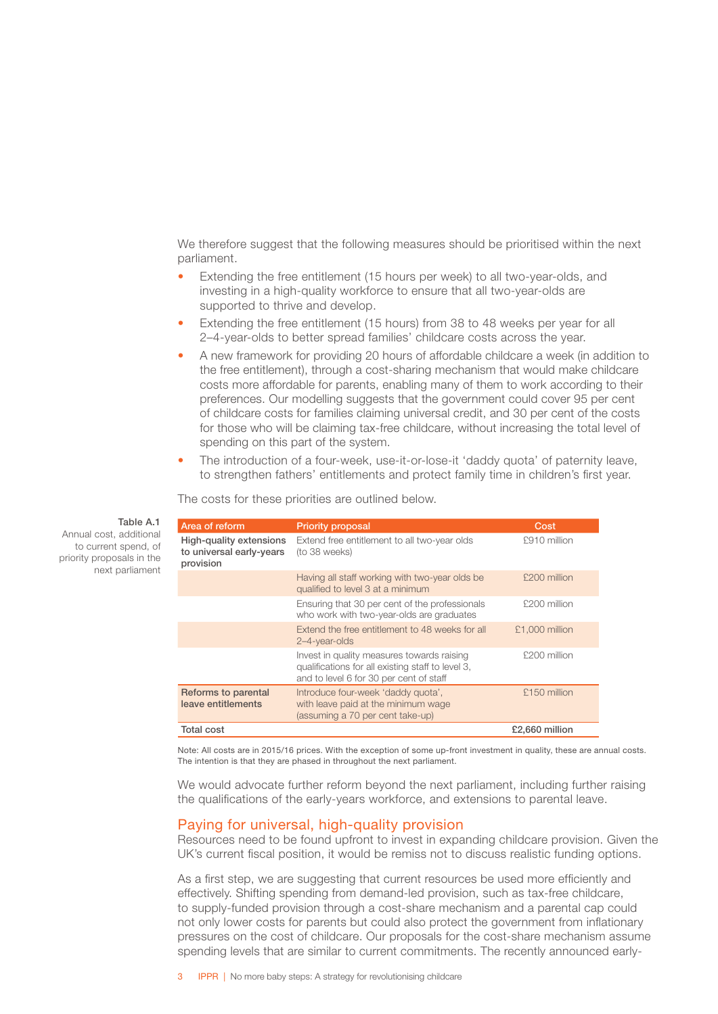<span id="page-5-0"></span>We therefore suggest that the following measures should be prioritised within the next parliament.

- Extending the free entitlement (15 hours per week) to all two-year-olds, and investing in a high-quality workforce to ensure that all two-year-olds are supported to thrive and develop.
- Extending the free entitlement (15 hours) from 38 to 48 weeks per year for all 2–4-year-olds to better spread families' childcare costs across the year.
- A new framework for providing 20 hours of affordable childcare a week (in addition to the free entitlement), through a cost-sharing mechanism that would make childcare costs more affordable for parents, enabling many of them to work according to their preferences. Our modelling suggests that the government could cover 95 per cent of childcare costs for families claiming universal credit, and 30 per cent of the costs for those who will be claiming tax-free childcare, without increasing the total level of spending on this part of the system.
- The introduction of a four-week, use-it-or-lose-it 'daddy quota' of paternity leave, to strengthen fathers' entitlements and protect family time in children's first year.

The costs for these priorities are outlined below.

| Area of reform                                                   | <b>Priority proposal</b>                                                                                                                   | Cost           |
|------------------------------------------------------------------|--------------------------------------------------------------------------------------------------------------------------------------------|----------------|
| High-quality extensions<br>to universal early-years<br>provision | Extend free entitlement to all two-year olds<br>(to 38 weeks)                                                                              | £910 million   |
|                                                                  | Having all staff working with two-year olds be<br>qualified to level 3 at a minimum                                                        | £200 million   |
|                                                                  | Ensuring that 30 per cent of the professionals<br>who work with two-year-olds are graduates                                                | £200 million   |
|                                                                  | Extend the free entitlement to 48 weeks for all<br>2-4-year-olds                                                                           | £1,000 million |
|                                                                  | Invest in quality measures towards raising<br>qualifications for all existing staff to level 3,<br>and to level 6 for 30 per cent of staff | £200 million   |
| Reforms to parental<br>leave entitlements                        | Introduce four-week 'daddy quota',<br>with leave paid at the minimum wage<br>(assuming a 70 per cent take-up)                              | £150 million   |
| <b>Total cost</b>                                                |                                                                                                                                            | £2,660 million |

Note: All costs are in 2015/16 prices. With the exception of some up-front investment in quality, these are annual costs. The intention is that they are phased in throughout the next parliament.

We would advocate further reform beyond the next parliament, including further raising the qualifications of the early-years workforce, and extensions to parental leave.

### Paying for universal, high-quality provision

Resources need to be found upfront to invest in expanding childcare provision. Given the UK's current fiscal position, it would be remiss not to discuss realistic funding options.

As a first step, we are suggesting that current resources be used more efficiently and effectively. Shifting spending from demand-led provision, such as tax-free childcare, to supply-funded provision through a cost-share mechanism and a parental cap could not only lower costs for parents but could also protect the government from inflationary pressures on the cost of childcare. Our proposals for the cost-share mechanism assume spending levels that are similar to current commitments. The recently announced early-

#### Table A.1

Annual cost, additional to current spend, of priority proposals in the next parliament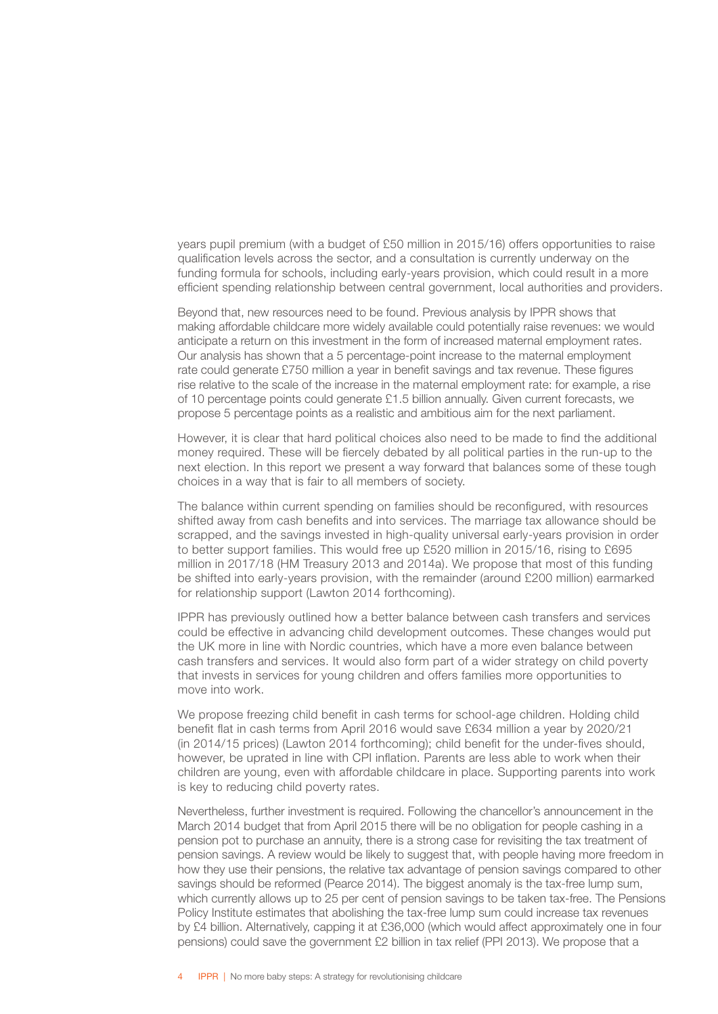years pupil premium (with a budget of £50 million in 2015/16) offers opportunities to raise qualification levels across the sector, and a consultation is currently underway on the funding formula for schools, including early-years provision, which could result in a more efficient spending relationship between central government, local authorities and providers.

Beyond that, new resources need to be found. Previous analysis by IPPR shows that making affordable childcare more widely available could potentially raise revenues: we would anticipate a return on this investment in the form of increased maternal employment rates. Our analysis has shown that a 5 percentage-point increase to the maternal employment rate could generate £750 million a year in benefit savings and tax revenue. These figures rise relative to the scale of the increase in the maternal employment rate: for example, a rise of 10 percentage points could generate £1.5 billion annually. Given current forecasts, we propose 5 percentage points as a realistic and ambitious aim for the next parliament.

However, it is clear that hard political choices also need to be made to find the additional money required. These will be fiercely debated by all political parties in the run-up to the next election. In this report we present a way forward that balances some of these tough choices in a way that is fair to all members of society.

The balance within current spending on families should be reconfigured, with resources shifted away from cash benefits and into services. The marriage tax allowance should be scrapped, and the savings invested in high-quality universal early-years provision in order to better support families. This would free up £520 million in 2015/16, rising to £695 million in 2017/18 (HM Treasury 2013 and 2014a). We propose that most of this funding be shifted into early-years provision, with the remainder (around £200 million) earmarked for relationship support (Lawton 2014 forthcoming).

IPPR has previously outlined how a better balance between cash transfers and services could be effective in advancing child development outcomes. These changes would put the UK more in line with Nordic countries, which have a more even balance between cash transfers and services. It would also form part of a wider strategy on child poverty that invests in services for young children and offers families more opportunities to move into work.

We propose freezing child benefit in cash terms for school-age children. Holding child benefit flat in cash terms from April 2016 would save £634 million a year by 2020/21 (in 2014/15 prices) (Lawton 2014 forthcoming); child benefit for the under-fives should, however, be uprated in line with CPI inflation. Parents are less able to work when their children are young, even with affordable childcare in place. Supporting parents into work is key to reducing child poverty rates.

Nevertheless, further investment is required. Following the chancellor's announcement in the March 2014 budget that from April 2015 there will be no obligation for people cashing in a pension pot to purchase an annuity, there is a strong case for revisiting the tax treatment of pension savings. A review would be likely to suggest that, with people having more freedom in how they use their pensions, the relative tax advantage of pension savings compared to other savings should be reformed (Pearce 2014). The biggest anomaly is the tax-free lump sum, which currently allows up to 25 per cent of pension savings to be taken tax-free. The Pensions Policy Institute estimates that abolishing the tax-free lump sum could increase tax revenues by £4 billion. Alternatively, capping it at £36,000 (which would affect approximately one in four pensions) could save the government £2 billion in tax relief (PPI 2013). We propose that a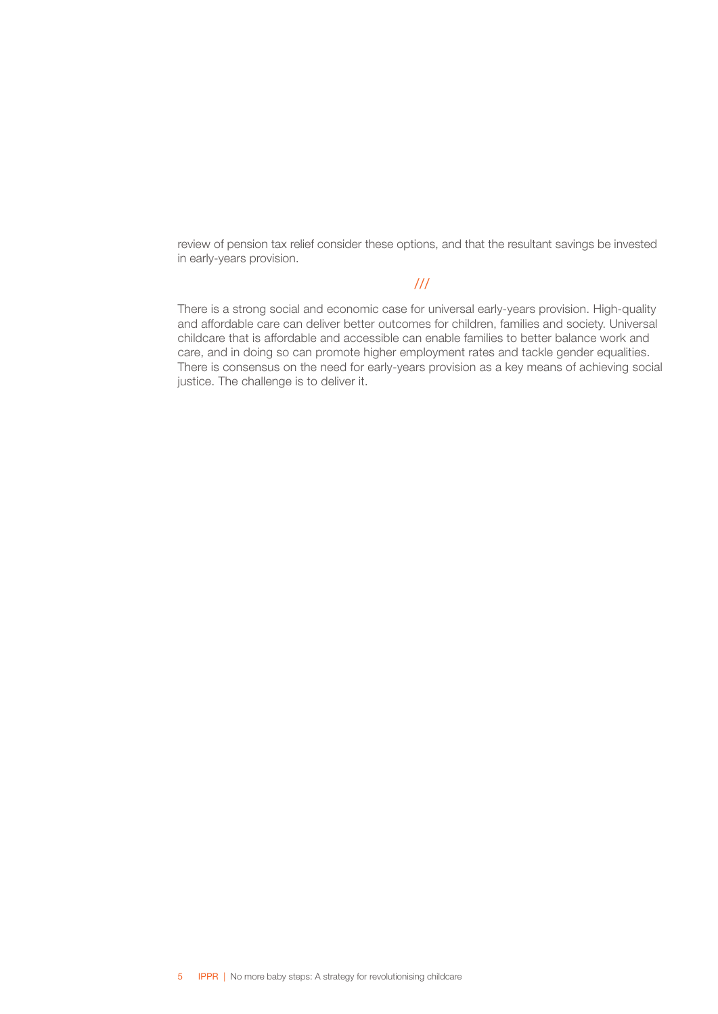review of pension tax relief consider these options, and that the resultant savings be invested in early-years provision.

### ///

There is a strong social and economic case for universal early-years provision. High-quality and affordable care can deliver better outcomes for children, families and society. Universal childcare that is affordable and accessible can enable families to better balance work and care, and in doing so can promote higher employment rates and tackle gender equalities. There is consensus on the need for early-years provision as a key means of achieving social justice. The challenge is to deliver it.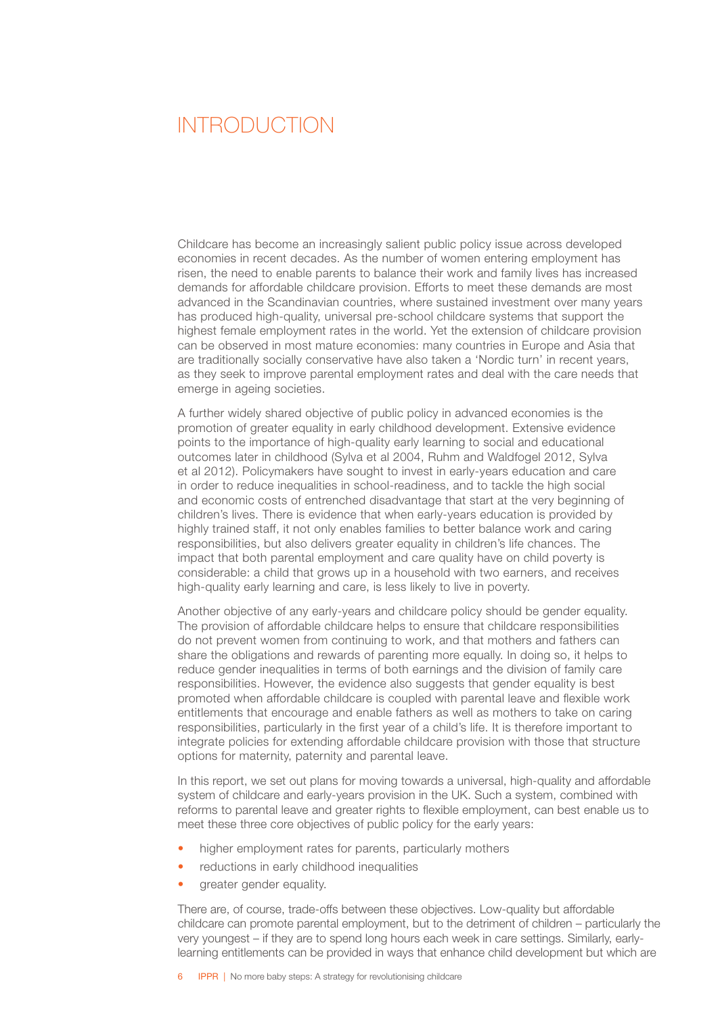### <span id="page-8-0"></span> INTRODUCTION

Childcare has become an increasingly salient public policy issue across developed economies in recent decades. As the number of women entering employment has risen, the need to enable parents to balance their work and family lives has increased demands for affordable childcare provision. Efforts to meet these demands are most advanced in the Scandinavian countries, where sustained investment over many years has produced high-quality, universal pre-school childcare systems that support the highest female employment rates in the world. Yet the extension of childcare provision can be observed in most mature economies: many countries in Europe and Asia that are traditionally socially conservative have also taken a 'Nordic turn' in recent years, as they seek to improve parental employment rates and deal with the care needs that emerge in ageing societies.

A further widely shared objective of public policy in advanced economies is the promotion of greater equality in early childhood development. Extensive evidence points to the importance of high-quality early learning to social and educational outcomes later in childhood (Sylva et al 2004, Ruhm and Waldfogel 2012, Sylva et al 2012). Policymakers have sought to invest in early-years education and care in order to reduce inequalities in school-readiness, and to tackle the high social and economic costs of entrenched disadvantage that start at the very beginning of children's lives. There is evidence that when early-years education is provided by highly trained staff, it not only enables families to better balance work and caring responsibilities, but also delivers greater equality in children's life chances. The impact that both parental employment and care quality have on child poverty is considerable: a child that grows up in a household with two earners, and receives high-quality early learning and care, is less likely to live in poverty.

Another objective of any early-years and childcare policy should be gender equality. The provision of affordable childcare helps to ensure that childcare responsibilities do not prevent women from continuing to work, and that mothers and fathers can share the obligations and rewards of parenting more equally. In doing so, it helps to reduce gender inequalities in terms of both earnings and the division of family care responsibilities. However, the evidence also suggests that gender equality is best promoted when affordable childcare is coupled with parental leave and flexible work entitlements that encourage and enable fathers as well as mothers to take on caring responsibilities, particularly in the first year of a child's life. It is therefore important to integrate policies for extending affordable childcare provision with those that structure options for maternity, paternity and parental leave.

In this report, we set out plans for moving towards a universal, high-quality and affordable system of childcare and early-years provision in the UK. Such a system, combined with reforms to parental leave and greater rights to flexible employment, can best enable us to meet these three core objectives of public policy for the early years:

- higher employment rates for parents, particularly mothers
- reductions in early childhood inequalities
- greater gender equality.

There are, of course, trade-offs between these objectives. Low-quality but affordable childcare can promote parental employment, but to the detriment of children – particularly the very youngest – if they are to spend long hours each week in care settings. Similarly, earlylearning entitlements can be provided in ways that enhance child development but which are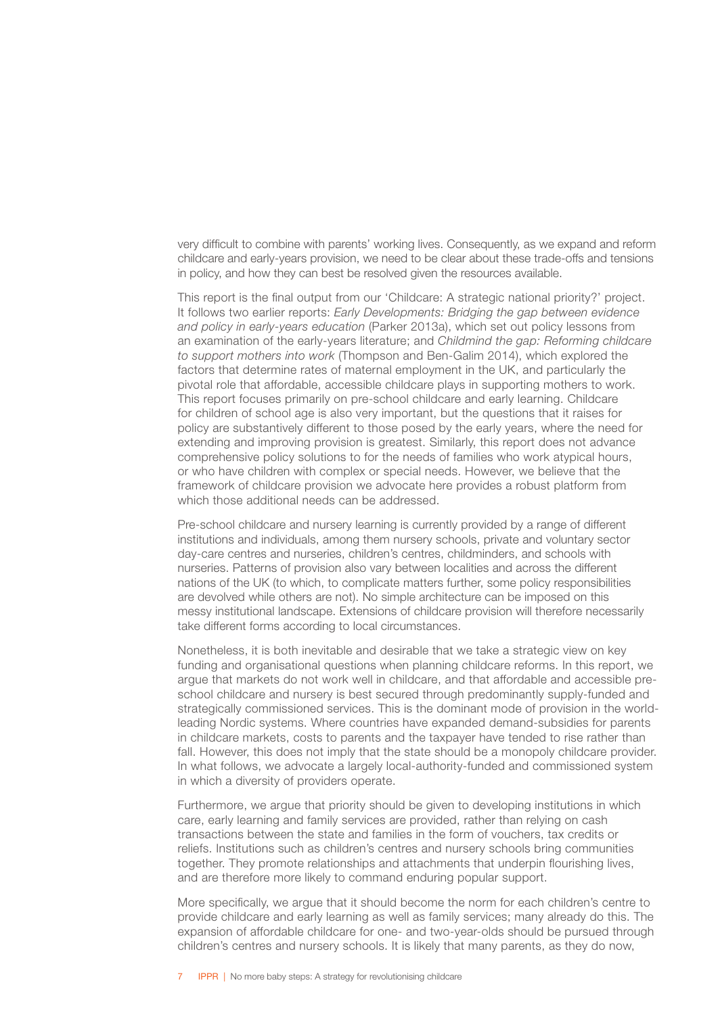very difficult to combine with parents' working lives. Consequently, as we expand and reform childcare and early-years provision, we need to be clear about these trade-offs and tensions in policy, and how they can best be resolved given the resources available.

This report is the final output from our 'Childcare: A strategic national priority?' project. It follows two earlier reports: *Early Developments: Bridging the gap between evidence and policy in early-years education* (Parker 2013a), which set out policy lessons from an examination of the early-years literature; and *Childmind the gap: Reforming childcare to support mothers into work* (Thompson and Ben-Galim 2014), which explored the factors that determine rates of maternal employment in the UK, and particularly the pivotal role that affordable, accessible childcare plays in supporting mothers to work. This report focuses primarily on pre-school childcare and early learning. Childcare for children of school age is also very important, but the questions that it raises for policy are substantively different to those posed by the early years, where the need for extending and improving provision is greatest. Similarly, this report does not advance comprehensive policy solutions to for the needs of families who work atypical hours, or who have children with complex or special needs. However, we believe that the framework of childcare provision we advocate here provides a robust platform from which those additional needs can be addressed.

Pre-school childcare and nursery learning is currently provided by a range of different institutions and individuals, among them nursery schools, private and voluntary sector day-care centres and nurseries, children's centres, childminders, and schools with nurseries. Patterns of provision also vary between localities and across the different nations of the UK (to which, to complicate matters further, some policy responsibilities are devolved while others are not). No simple architecture can be imposed on this messy institutional landscape. Extensions of childcare provision will therefore necessarily take different forms according to local circumstances.

Nonetheless, it is both inevitable and desirable that we take a strategic view on key funding and organisational questions when planning childcare reforms. In this report, we argue that markets do not work well in childcare, and that affordable and accessible preschool childcare and nursery is best secured through predominantly supply-funded and strategically commissioned services. This is the dominant mode of provision in the worldleading Nordic systems. Where countries have expanded demand-subsidies for parents in childcare markets, costs to parents and the taxpayer have tended to rise rather than fall. However, this does not imply that the state should be a monopoly childcare provider. In what follows, we advocate a largely local-authority-funded and commissioned system in which a diversity of providers operate.

Furthermore, we argue that priority should be given to developing institutions in which care, early learning and family services are provided, rather than relying on cash transactions between the state and families in the form of vouchers, tax credits or reliefs. Institutions such as children's centres and nursery schools bring communities together. They promote relationships and attachments that underpin flourishing lives, and are therefore more likely to command enduring popular support.

More specifically, we argue that it should become the norm for each children's centre to provide childcare and early learning as well as family services; many already do this. The expansion of affordable childcare for one- and two-year-olds should be pursued through children's centres and nursery schools. It is likely that many parents, as they do now,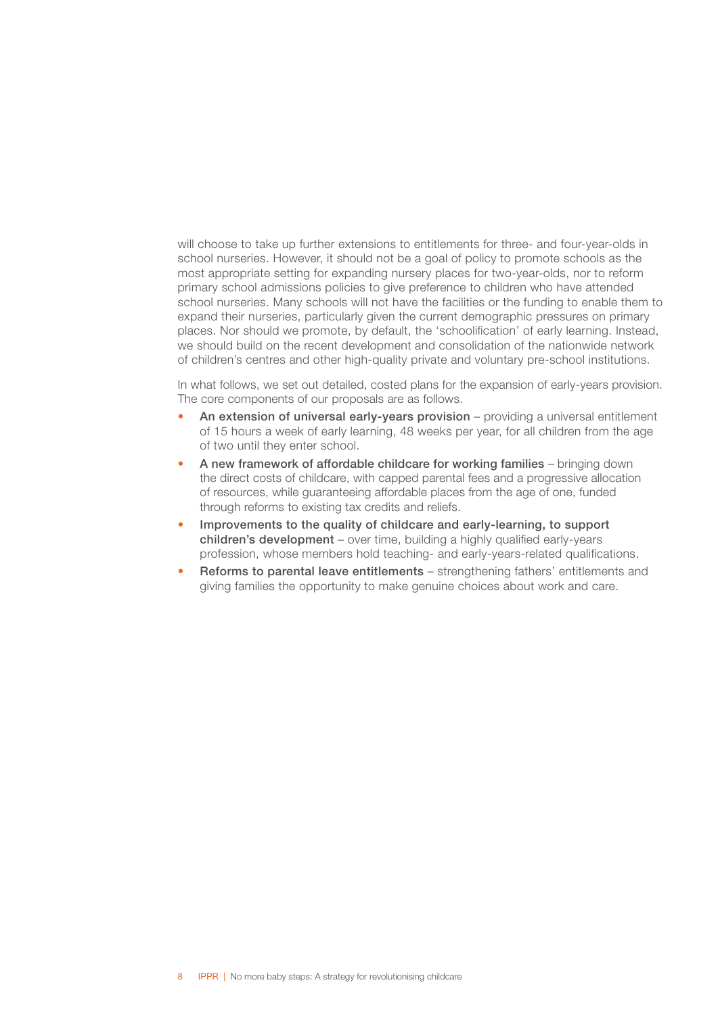will choose to take up further extensions to entitlements for three- and four-year-olds in school nurseries. However, it should not be a goal of policy to promote schools as the most appropriate setting for expanding nursery places for two-year-olds, nor to reform primary school admissions policies to give preference to children who have attended school nurseries. Many schools will not have the facilities or the funding to enable them to expand their nurseries, particularly given the current demographic pressures on primary places. Nor should we promote, by default, the 'schoolification' of early learning. Instead, we should build on the recent development and consolidation of the nationwide network of children's centres and other high-quality private and voluntary pre-school institutions.

In what follows, we set out detailed, costed plans for the expansion of early-years provision. The core components of our proposals are as follows.

- An extension of universal early-years provision providing a universal entitlement of 15 hours a week of early learning, 48 weeks per year, for all children from the age of two until they enter school.
- A new framework of affordable childcare for working families bringing down the direct costs of childcare, with capped parental fees and a progressive allocation of resources, while guaranteeing affordable places from the age of one, funded through reforms to existing tax credits and reliefs.
- Improvements to the quality of childcare and early-learning, to support children's development – over time, building a highly qualified early-years profession, whose members hold teaching- and early-years-related qualifications.
- Reforms to parental leave entitlements strengthening fathers' entitlements and giving families the opportunity to make genuine choices about work and care.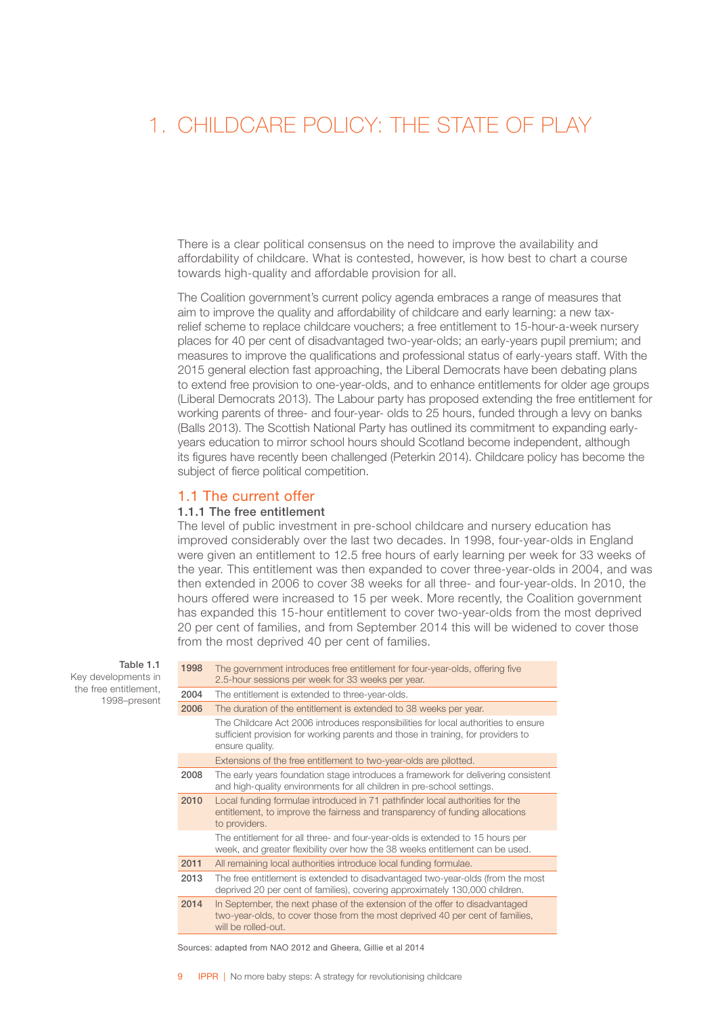### <span id="page-11-0"></span>1. CHILDCARE POLICY: THE STATE OF PLAY

There is a clear political consensus on the need to improve the availability and affordability of childcare. What is contested, however, is how best to chart a course towards high-quality and affordable provision for all.

The Coalition government's current policy agenda embraces a range of measures that aim to improve the quality and affordability of childcare and early learning: a new taxrelief scheme to replace childcare vouchers; a free entitlement to 15-hour-a-week nursery places for 40 per cent of disadvantaged two-year-olds; an early-years pupil premium; and measures to improve the qualifications and professional status of early-years staff. With the 2015 general election fast approaching, the Liberal Democrats have been debating plans to extend free provision to one-year-olds, and to enhance entitlements for older age groups (Liberal Democrats 2013). The Labour party has proposed extending the free entitlement for working parents of three- and four-year- olds to 25 hours, funded through a levy on banks (Balls 2013). The Scottish National Party has outlined its commitment to expanding earlyyears education to mirror school hours should Scotland become independent, although its figures have recently been challenged (Peterkin 2014). Childcare policy has become the subject of fierce political competition.

### 1.1 The current offer

### 1.1.1 The free entitlement

The level of public investment in pre-school childcare and nursery education has improved considerably over the last two decades. In 1998, four-year-olds in England were given an entitlement to 12.5 free hours of early learning per week for 33 weeks of the year. This entitlement was then expanded to cover three-year-olds in 2004, and was then extended in 2006 to cover 38 weeks for all three- and four-year-olds. In 2010, the hours offered were increased to 15 per week. More recently, the Coalition government has expanded this 15-hour entitlement to cover two-year-olds from the most deprived 20 per cent of families, and from September 2014 this will be widened to cover those from the most deprived 40 per cent of families.

Table 1.1 Key developments in

the free entitlement, 1998–present

| 1998 | The government introduces free entitlement for four-year-olds, offering five<br>2.5-hour sessions per week for 33 weeks per year.                                                         |
|------|-------------------------------------------------------------------------------------------------------------------------------------------------------------------------------------------|
| 2004 | The entitlement is extended to three-year-olds.                                                                                                                                           |
| 2006 | The duration of the entitlement is extended to 38 weeks per year.                                                                                                                         |
|      | The Childcare Act 2006 introduces responsibilities for local authorities to ensure<br>sufficient provision for working parents and those in training, for providers to<br>ensure quality. |
|      | Extensions of the free entitlement to two-year-olds are pilotted.                                                                                                                         |
| 2008 | The early years foundation stage introduces a framework for delivering consistent<br>and high-quality environments for all children in pre-school settings.                               |
| 2010 | Local funding formulae introduced in 71 pathfinder local authorities for the<br>entitlement, to improve the fairness and transparency of funding allocations<br>to providers.             |
|      | The entitlement for all three- and four-year-olds is extended to 15 hours per<br>week, and greater flexibility over how the 38 weeks entitlement can be used.                             |
| 2011 | All remaining local authorities introduce local funding formulae.                                                                                                                         |
| 2013 | The free entitlement is extended to disadvantaged two-year-olds (from the most<br>deprived 20 per cent of families), covering approximately 130,000 children.                             |
| 2014 | In September, the next phase of the extension of the offer to disadvantaged<br>two-year-olds, to cover those from the most deprived 40 per cent of families,<br>will be rolled-out.       |

Sources: adapted from NAO 2012 and Gheera, Gillie et al 2014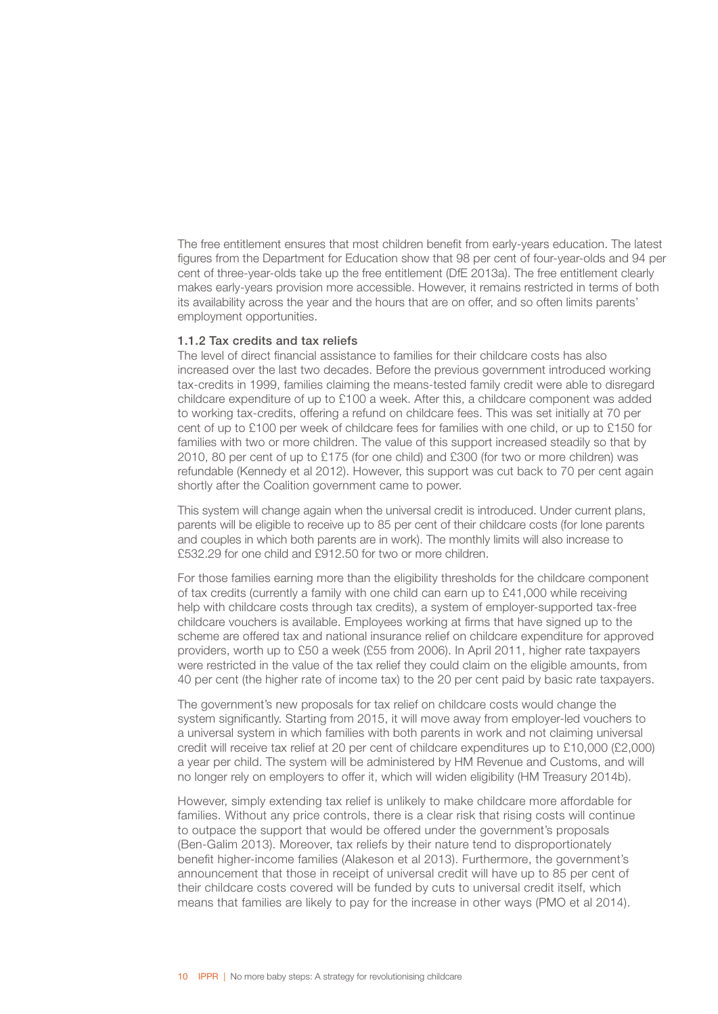The free entitlement ensures that most children benefit from early-years education. The latest figures from the Department for Education show that 98 per cent of four-year-olds and 94 per cent of three-year-olds take up the free entitlement (DfE 2013a). The free entitlement clearly makes early-years provision more accessible. However, it remains restricted in terms of both its availability across the year and the hours that are on offer, and so often limits parents' employment opportunities.

#### 1.1.2 Tax credits and tax reliefs

The level of direct financial assistance to families for their childcare costs has also increased over the last two decades. Before the previous government introduced working tax-credits in 1999, families claiming the means-tested family credit were able to disregard childcare expenditure of up to £100 a week. After this, a childcare component was added to working tax-credits, offering a refund on childcare fees. This was set initially at 70 per cent of up to £100 per week of childcare fees for families with one child, or up to £150 for families with two or more children. The value of this support increased steadily so that by 2010, 80 per cent of up to £175 (for one child) and £300 (for two or more children) was refundable (Kennedy et al 2012). However, this support was cut back to 70 per cent again shortly after the Coalition government came to power.

This system will change again when the universal credit is introduced. Under current plans, parents will be eligible to receive up to 85 per cent of their childcare costs (for lone parents and couples in which both parents are in work). The monthly limits will also increase to £532.29 for one child and £912.50 for two or more children.

For those families earning more than the eligibility thresholds for the childcare component of tax credits (currently a family with one child can earn up to £41,000 while receiving help with childcare costs through tax credits), a system of employer-supported tax-free childcare vouchers is available. Employees working at firms that have signed up to the scheme are offered tax and national insurance relief on childcare expenditure for approved providers, worth up to £50 a week (£55 from 2006). In April 2011, higher rate taxpayers were restricted in the value of the tax relief they could claim on the eligible amounts, from 40 per cent (the higher rate of income tax) to the 20 per cent paid by basic rate taxpayers.

The government's new proposals for tax relief on childcare costs would change the system significantly. Starting from 2015, it will move away from employer-led vouchers to a universal system in which families with both parents in work and not claiming universal credit will receive tax relief at 20 per cent of childcare expenditures up to £10,000 (£2,000) a year per child. The system will be administered by HM Revenue and Customs, and will no longer rely on employers to offer it, which will widen eligibility (HM Treasury 2014b).

However, simply extending tax relief is unlikely to make childcare more affordable for families. Without any price controls, there is a clear risk that rising costs will continue to outpace the support that would be offered under the government's proposals (Ben-Galim 2013). Moreover, tax reliefs by their nature tend to disproportionately benefit higher-income families (Alakeson et al 2013). Furthermore, the government's announcement that those in receipt of universal credit will have up to 85 per cent of their childcare costs covered will be funded by cuts to universal credit itself, which means that families are likely to pay for the increase in other ways (PMO et al 2014).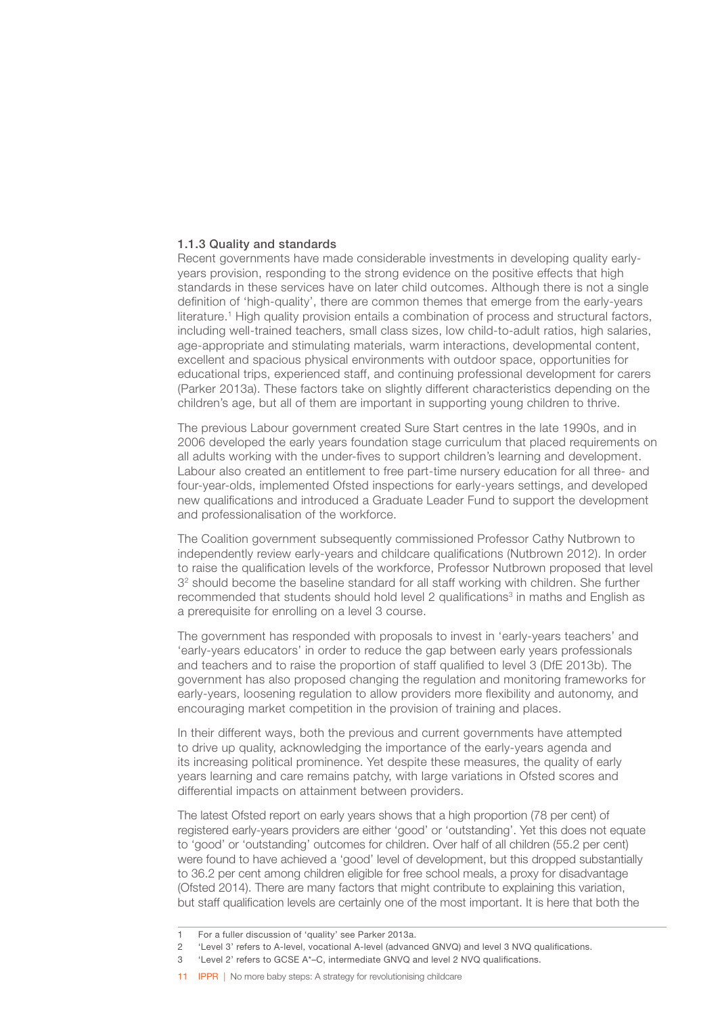### 1.1.3 Quality and standards

Recent governments have made considerable investments in developing quality earlyyears provision, responding to the strong evidence on the positive effects that high standards in these services have on later child outcomes. Although there is not a single definition of 'high-quality', there are common themes that emerge from the early-years literature.<sup>1</sup> High quality provision entails a combination of process and structural factors, including well-trained teachers, small class sizes, low child-to-adult ratios, high salaries, age-appropriate and stimulating materials, warm interactions, developmental content, excellent and spacious physical environments with outdoor space, opportunities for educational trips, experienced staff, and continuing professional development for carers (Parker 2013a). These factors take on slightly different characteristics depending on the children's age, but all of them are important in supporting young children to thrive.

The previous Labour government created Sure Start centres in the late 1990s, and in 2006 developed the early years foundation stage curriculum that placed requirements on all adults working with the under-fives to support children's learning and development. Labour also created an entitlement to free part-time nursery education for all three- and four-year-olds, implemented Ofsted inspections for early-years settings, and developed new qualifications and introduced a Graduate Leader Fund to support the development and professionalisation of the workforce.

The Coalition government subsequently commissioned Professor Cathy Nutbrown to independently review early-years and childcare qualifications (Nutbrown 2012). In order to raise the qualification levels of the workforce, Professor Nutbrown proposed that level 3<sup>2</sup> should become the baseline standard for all staff working with children. She further recommended that students should hold level 2 qualifications<sup>3</sup> in maths and English as a prerequisite for enrolling on a level 3 course.

The government has responded with proposals to invest in 'early-years teachers' and 'early-years educators' in order to reduce the gap between early years professionals and teachers and to raise the proportion of staff qualified to level 3 (DfE 2013b). The government has also proposed changing the regulation and monitoring frameworks for early-years, loosening regulation to allow providers more flexibility and autonomy, and encouraging market competition in the provision of training and places.

In their different ways, both the previous and current governments have attempted to drive up quality, acknowledging the importance of the early-years agenda and its increasing political prominence. Yet despite these measures, the quality of early years learning and care remains patchy, with large variations in Ofsted scores and differential impacts on attainment between providers.

The latest Ofsted report on early years shows that a high proportion (78 per cent) of registered early-years providers are either 'good' or 'outstanding'. Yet this does not equate to 'good' or 'outstanding' outcomes for children. Over half of all children (55.2 per cent) were found to have achieved a 'good' level of development, but this dropped substantially to 36.2 per cent among children eligible for free school meals, a proxy for disadvantage (Ofsted 2014). There are many factors that might contribute to explaining this variation, but staff qualification levels are certainly one of the most important. It is here that both the

- 3 'Level 2' refers to GCSE A\*–C, intermediate GNVQ and level 2 NVQ qualifications.
- 11 **IPPR** | No more baby steps: A strategy for revolutionising childcare

<sup>1</sup> For a fuller discussion of 'quality' see Parker 2013a.

<sup>2</sup> 'Level 3' refers to A-level, vocational A-level (advanced GNVQ) and level 3 NVQ qualifications.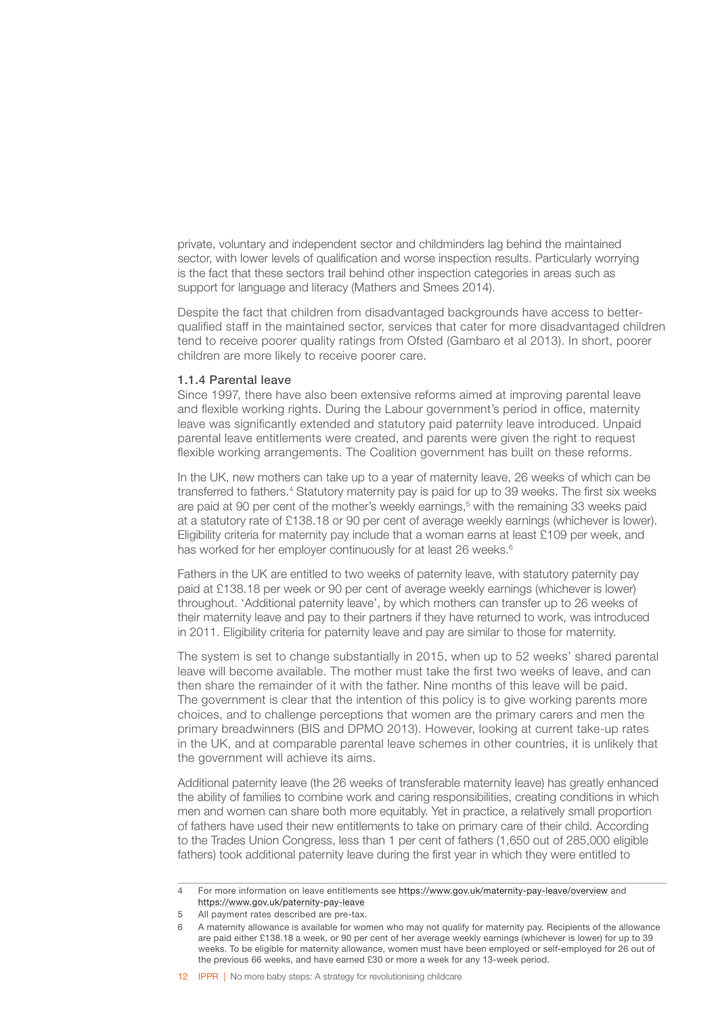private, voluntary and independent sector and childminders lag behind the maintained sector, with lower levels of qualification and worse inspection results. Particularly worrying is the fact that these sectors trail behind other inspection categories in areas such as support for language and literacy (Mathers and Smees 2014).

Despite the fact that children from disadvantaged backgrounds have access to betterqualified staff in the maintained sector, services that cater for more disadvantaged children tend to receive poorer quality ratings from Ofsted (Gambaro et al 2013). In short, poorer children are more likely to receive poorer care.

#### 1.1.4 Parental leave

Since 1997, there have also been extensive reforms aimed at improving parental leave and flexible working rights. During the Labour government's period in office, maternity leave was significantly extended and statutory paid paternity leave introduced. Unpaid parental leave entitlements were created, and parents were given the right to request flexible working arrangements. The Coalition government has built on these reforms.

In the UK, new mothers can take up to a year of maternity leave, 26 weeks of which can be transferred to fathers.<sup>4</sup> Statutory maternity pay is paid for up to 39 weeks. The first six weeks are paid at 90 per cent of the mother's weekly earnings,<sup>5</sup> with the remaining 33 weeks paid at a statutory rate of £138.18 or 90 per cent of average weekly earnings (whichever is lower). Eligibility criteria for maternity pay include that a woman earns at least £109 per week, and has worked for her employer continuously for at least 26 weeks.<sup>6</sup>

Fathers in the UK are entitled to two weeks of paternity leave, with statutory paternity pay paid at £138.18 per week or 90 per cent of average weekly earnings (whichever is lower) throughout. 'Additional paternity leave', by which mothers can transfer up to 26 weeks of their maternity leave and pay to their partners if they have returned to work, was introduced in 2011. Eligibility criteria for paternity leave and pay are similar to those for maternity.

The system is set to change substantially in 2015, when up to 52 weeks' shared parental leave will become available. The mother must take the first two weeks of leave, and can then share the remainder of it with the father. Nine months of this leave will be paid. The government is clear that the intention of this policy is to give working parents more choices, and to challenge perceptions that women are the primary carers and men the primary breadwinners (BIS and DPMO 2013). However, looking at current take-up rates in the UK, and at comparable parental leave schemes in other countries, it is unlikely that the government will achieve its aims.

Additional paternity leave (the 26 weeks of transferable maternity leave) has greatly enhanced the ability of families to combine work and caring responsibilities, creating conditions in which men and women can share both more equitably. Yet in practice, a relatively small proportion of fathers have used their new entitlements to take on primary care of their child. According to the Trades Union Congress, less than 1 per cent of fathers (1,650 out of 285,000 eligible fathers) took additional paternity leave during the first year in which they were entitled to

<sup>4</sup> For more information on leave entitlements see <https://www.gov.uk/maternity-pay-leave/overview> and <https://www.gov.uk/paternity-pay-leave>

<sup>5</sup> All payment rates described are pre-tax.

<sup>6</sup> A maternity allowance is available for women who may not qualify for maternity pay. Recipients of the allowance are paid either £138.18 a week, or 90 per cent of her average weekly earnings (whichever is lower) for up to 39 weeks. To be eligible for maternity allowance, women must have been employed or self-employed for 26 out of the previous 66 weeks, and have earned £30 or more a week for any 13-week period.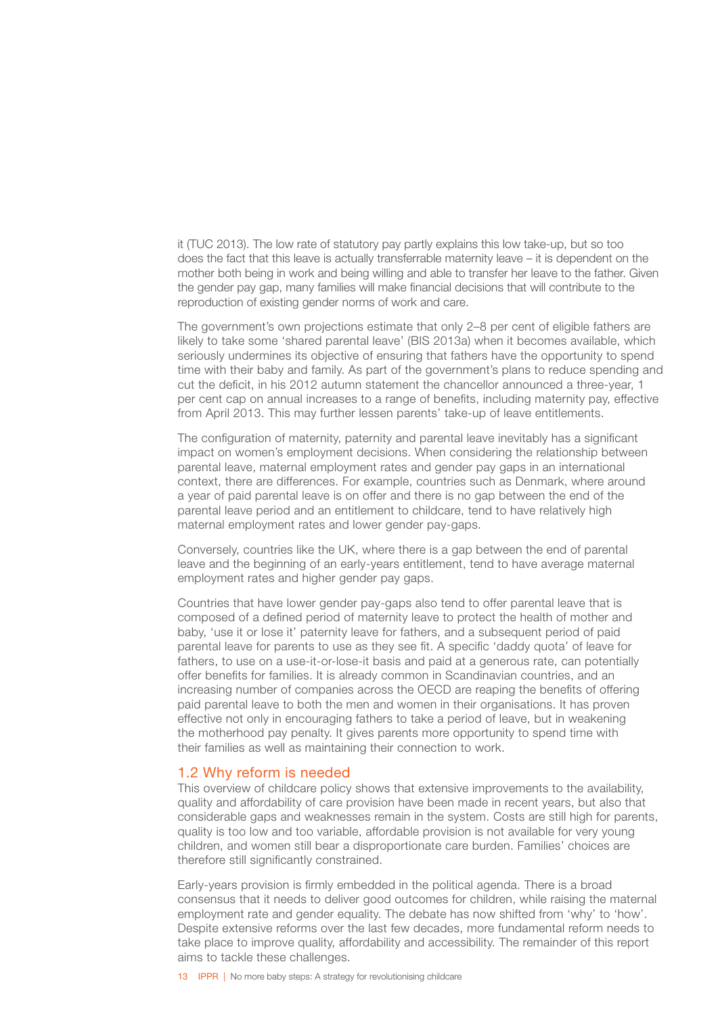<span id="page-15-0"></span>it (TUC 2013). The low rate of statutory pay partly explains this low take-up, but so too does the fact that this leave is actually transferrable maternity leave – it is dependent on the mother both being in work and being willing and able to transfer her leave to the father. Given the gender pay gap, many families will make financial decisions that will contribute to the reproduction of existing gender norms of work and care.

The government's own projections estimate that only 2–8 per cent of eligible fathers are likely to take some 'shared parental leave' (BIS 2013a) when it becomes available, which seriously undermines its objective of ensuring that fathers have the opportunity to spend time with their baby and family. As part of the government's plans to reduce spending and cut the deficit, in his 2012 autumn statement the chancellor announced a three-year, 1 per cent cap on annual increases to a range of benefits, including maternity pay, effective from April 2013. This may further lessen parents' take-up of leave entitlements.

The configuration of maternity, paternity and parental leave inevitably has a significant impact on women's employment decisions. When considering the relationship between parental leave, maternal employment rates and gender pay gaps in an international context, there are differences. For example, countries such as Denmark, where around a year of paid parental leave is on offer and there is no gap between the end of the parental leave period and an entitlement to childcare, tend to have relatively high maternal employment rates and lower gender pay-gaps.

Conversely, countries like the UK, where there is a gap between the end of parental leave and the beginning of an early-years entitlement, tend to have average maternal employment rates and higher gender pay gaps.

Countries that have lower gender pay-gaps also tend to offer parental leave that is composed of a defined period of maternity leave to protect the health of mother and baby, 'use it or lose it' paternity leave for fathers, and a subsequent period of paid parental leave for parents to use as they see fit. A specific 'daddy quota' of leave for fathers, to use on a use-it-or-lose-it basis and paid at a generous rate, can potentially offer benefits for families. It is already common in Scandinavian countries, and an increasing number of companies across the OECD are reaping the benefits of offering paid parental leave to both the men and women in their organisations. It has proven effective not only in encouraging fathers to take a period of leave, but in weakening the motherhood pay penalty. It gives parents more opportunity to spend time with their families as well as maintaining their connection to work.

### 1.2 Why reform is needed

This overview of childcare policy shows that extensive improvements to the availability, quality and affordability of care provision have been made in recent years, but also that considerable gaps and weaknesses remain in the system. Costs are still high for parents, quality is too low and too variable, affordable provision is not available for very young children, and women still bear a disproportionate care burden. Families' choices are therefore still significantly constrained.

Early-years provision is firmly embedded in the political agenda. There is a broad consensus that it needs to deliver good outcomes for children, while raising the maternal employment rate and gender equality. The debate has now shifted from 'why' to 'how'. Despite extensive reforms over the last few decades, more fundamental reform needs to take place to improve quality, affordability and accessibility. The remainder of this report aims to tackle these challenges.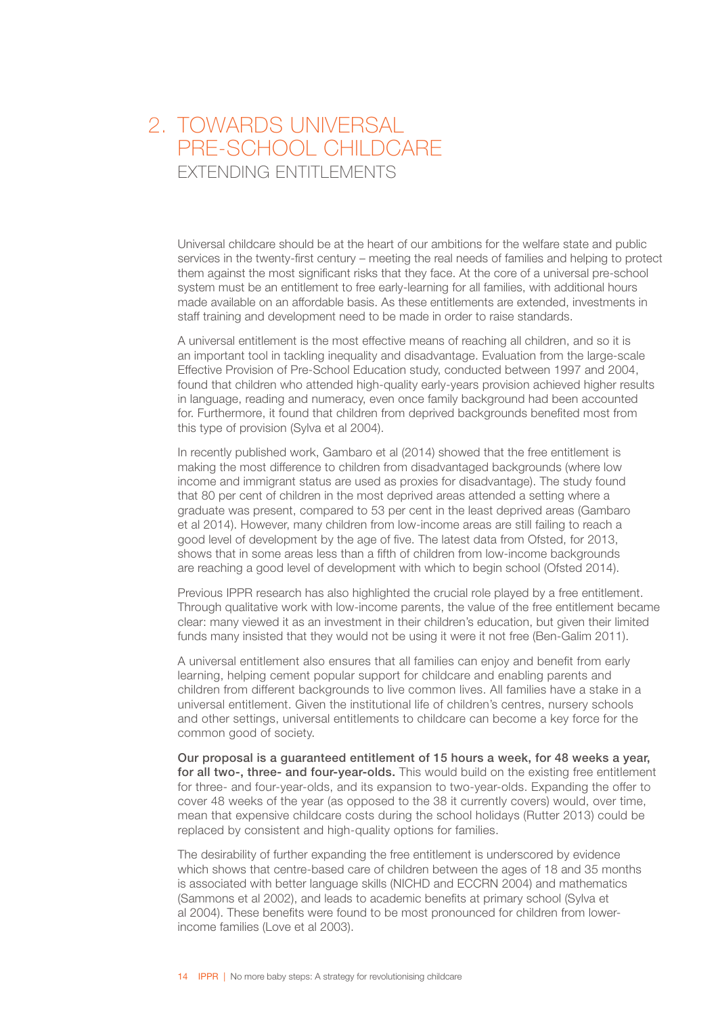### <span id="page-16-0"></span>2. TOWARDS UNIVERSAL PRE-SCHOOL CHILDCARE **EXTENDING ENTITLEMENTS**

Universal childcare should be at the heart of our ambitions for the welfare state and public services in the twenty-first century – meeting the real needs of families and helping to protect them against the most significant risks that they face. At the core of a universal pre-school system must be an entitlement to free early-learning for all families, with additional hours made available on an affordable basis. As these entitlements are extended, investments in staff training and development need to be made in order to raise standards.

A universal entitlement is the most effective means of reaching all children, and so it is an important tool in tackling inequality and disadvantage. Evaluation from the large-scale Effective Provision of Pre-School Education study, conducted between 1997 and 2004, found that children who attended high-quality early-years provision achieved higher results in language, reading and numeracy, even once family background had been accounted for. Furthermore, it found that children from deprived backgrounds benefited most from this type of provision (Sylva et al 2004).

In recently published work, Gambaro et al (2014) showed that the free entitlement is making the most difference to children from disadvantaged backgrounds (where low income and immigrant status are used as proxies for disadvantage). The study found that 80 per cent of children in the most deprived areas attended a setting where a graduate was present, compared to 53 per cent in the least deprived areas (Gambaro et al 2014). However, many children from low-income areas are still failing to reach a good level of development by the age of five. The latest data from Ofsted, for 2013, shows that in some areas less than a fifth of children from low-income backgrounds are reaching a good level of development with which to begin school (Ofsted 2014).

Previous IPPR research has also highlighted the crucial role played by a free entitlement. Through qualitative work with low-income parents, the value of the free entitlement became clear: many viewed it as an investment in their children's education, but given their limited funds many insisted that they would not be using it were it not free (Ben-Galim 2011).

A universal entitlement also ensures that all families can enjoy and benefit from early learning, helping cement popular support for childcare and enabling parents and children from different backgrounds to live common lives. All families have a stake in a universal entitlement. Given the institutional life of children's centres, nursery schools and other settings, universal entitlements to childcare can become a key force for the common good of society.

Our proposal is a guaranteed entitlement of 15 hours a week, for 48 weeks a year, for all two-, three- and four-year-olds. This would build on the existing free entitlement for three- and four-year-olds, and its expansion to two-year-olds. Expanding the offer to cover 48 weeks of the year (as opposed to the 38 it currently covers) would, over time, mean that expensive childcare costs during the school holidays (Rutter 2013) could be replaced by consistent and high-quality options for families.

The desirability of further expanding the free entitlement is underscored by evidence which shows that centre-based care of children between the ages of 18 and 35 months is associated with better language skills (NICHD and ECCRN 2004) and mathematics (Sammons et al 2002), and leads to academic benefits at primary school (Sylva et al 2004). These benefits were found to be most pronounced for children from lowerincome families (Love et al 2003).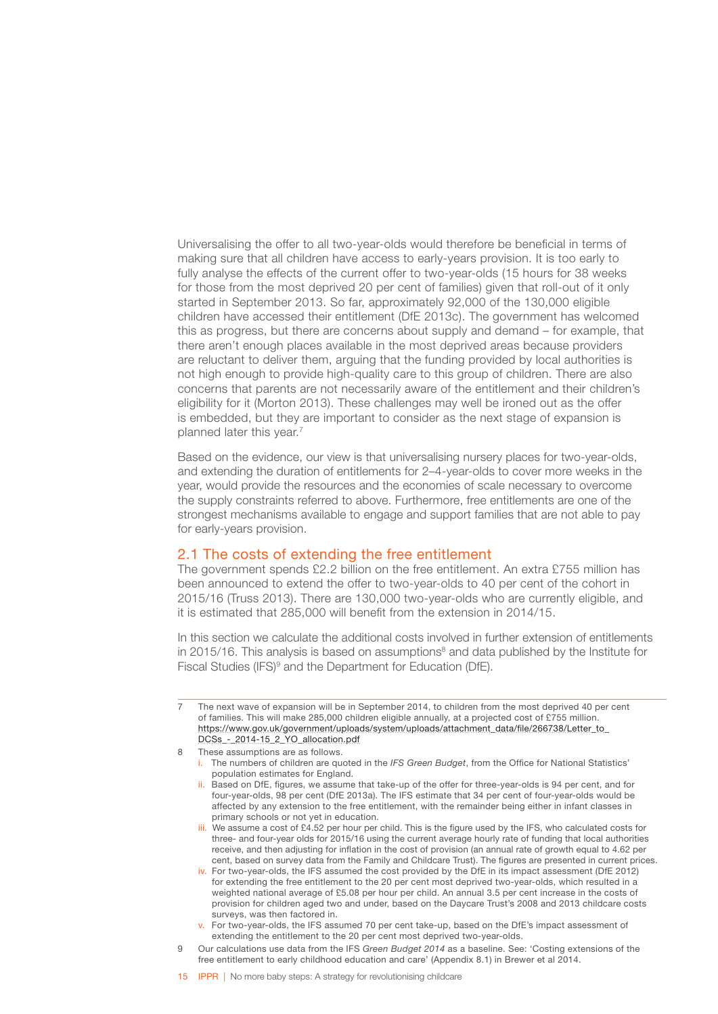<span id="page-17-0"></span>Universalising the offer to all two-year-olds would therefore be beneficial in terms of making sure that all children have access to early-years provision. It is too early to fully analyse the effects of the current offer to two-year-olds (15 hours for 38 weeks for those from the most deprived 20 per cent of families) given that roll-out of it only started in September 2013. So far, approximately 92,000 of the 130,000 eligible children have accessed their entitlement (DfE 2013c). The government has welcomed this as progress, but there are concerns about supply and demand – for example, that there aren't enough places available in the most deprived areas because providers are reluctant to deliver them, arguing that the funding provided by local authorities is not high enough to provide high-quality care to this group of children. There are also concerns that parents are not necessarily aware of the entitlement and their children's eligibility for it (Morton 2013). These challenges may well be ironed out as the offer is embedded, but they are important to consider as the next stage of expansion is planned later this year.<sup>7</sup>

Based on the evidence, our view is that universalising nursery places for two-year-olds, and extending the duration of entitlements for 2–4-year-olds to cover more weeks in the year, would provide the resources and the economies of scale necessary to overcome the supply constraints referred to above. Furthermore, free entitlements are one of the strongest mechanisms available to engage and support families that are not able to pay for early-years provision.

### 2.1 The costs of extending the free entitlement

The government spends £2.2 billion on the free entitlement. An extra £755 million has been announced to extend the offer to two-year-olds to 40 per cent of the cohort in 2015/16 (Truss 2013). There are 130,000 two-year-olds who are currently eligible, and it is estimated that 285,000 will benefit from the extension in 2014/15.

In this section we calculate the additional costs involved in further extension of entitlements in 2015/16. This analysis is based on assumptions<sup>8</sup> and data published by the Institute for Fiscal Studies (IFS)<sup>9</sup> and the Department for Education (DfE).

- i. The numbers of children are quoted in the *IFS Green Budget*, from the Office for National Statistics' population estimates for England.
- ii. Based on DfE, figures, we assume that take-up of the offer for three-year-olds is 94 per cent, and for four-year-olds, 98 per cent (DfE 2013a). The IFS estimate that 34 per cent of four-year-olds would be affected by any extension to the free entitlement, with the remainder being either in infant classes in primary schools or not yet in education.
- iii. We assume a cost of £4.52 per hour per child. This is the figure used by the IFS, who calculated costs for three- and four-year olds for 2015/16 using the current average hourly rate of funding that local authorities receive, and then adjusting for inflation in the cost of provision (an annual rate of growth equal to 4.62 per cent, based on survey data from the Family and Childcare Trust). The figures are presented in current prices.
- iv. For two-year-olds, the IFS assumed the cost provided by the DfE in its impact assessment (DfE 2012) for extending the free entitlement to the 20 per cent most deprived two-year-olds, which resulted in a weighted national average of £5.08 per hour per child. An annual 3.5 per cent increase in the costs of provision for children aged two and under, based on the Daycare Trust's 2008 and 2013 childcare costs surveys, was then factored in.
- v. For two-year-olds, the IFS assumed 70 per cent take-up, based on the DfE's impact assessment of extending the entitlement to the 20 per cent most deprived two-year-olds.
- 9 Our calculations use data from the IFS *Green Budget 2014* as a baseline. See: 'Costing extensions of the free entitlement to early childhood education and care' (Appendix 8.1) in Brewer et al 2014.
- 15 **IPPR** | No more baby steps: A strategy for revolutionising childcare

<sup>7</sup> The next wave of expansion will be in September 2014, to children from the most deprived 40 per cent of families. This will make 285,000 children eligible annually, at a projected cost of £755 million. [https://www.gov.uk/government/uploads/system/uploads/attachment\\_data/file/266738/Letter\\_to\\_](https://www.gov.uk/government/uploads/system/uploads/attachment_data/file/266738/Letter_to_DCSs_-_2014-15_2_YO_allocation.pdf) DCSs - 2014-15\_2\_YO\_allocation.pdf

<sup>8</sup> These assumptions are as follows.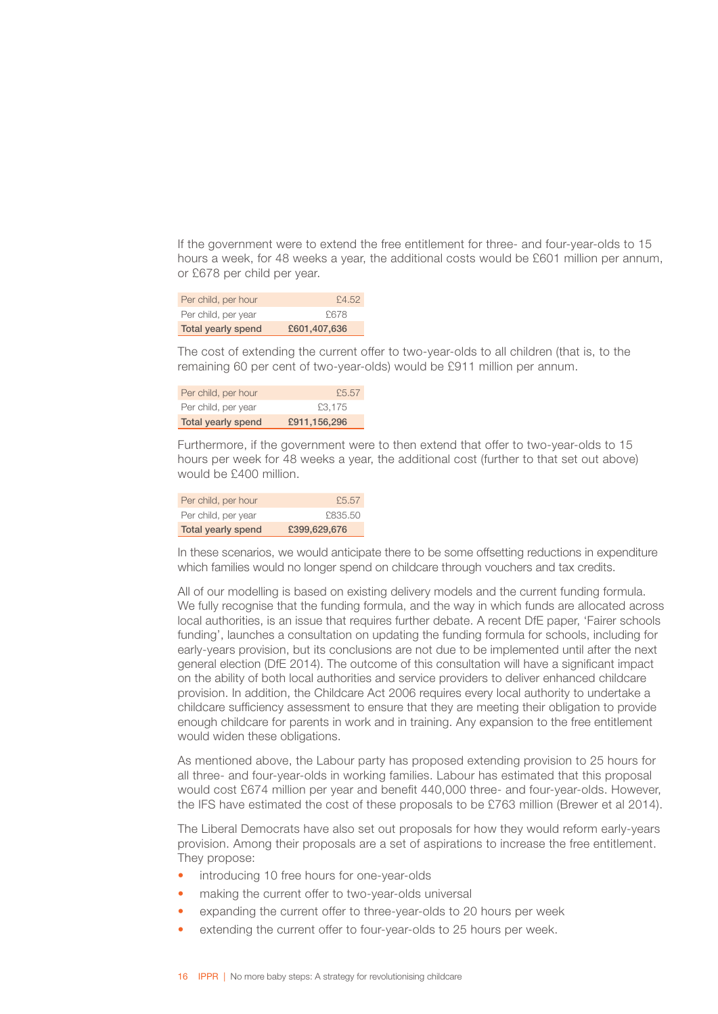If the government were to extend the free entitlement for three- and four-year-olds to 15 hours a week, for 48 weeks a year, the additional costs would be £601 million per annum, or £678 per child per year.

| Per child, per hour       | £4.52        |
|---------------------------|--------------|
| Per child, per year       | £678         |
| <b>Total yearly spend</b> | £601,407,636 |

The cost of extending the current offer to two-year-olds to all children (that is, to the remaining 60 per cent of two-year-olds) would be £911 million per annum.

| Per child, per hour       | £5.57        |
|---------------------------|--------------|
| Per child, per year       | £3.175       |
| <b>Total yearly spend</b> | £911,156,296 |

Furthermore, if the government were to then extend that offer to two-year-olds to 15 hours per week for 48 weeks a year, the additional cost (further to that set out above) would be £400 million.

| Per child, per hour       | £5.57        |
|---------------------------|--------------|
| Per child, per year       | £835.50      |
| <b>Total yearly spend</b> | £399,629,676 |

In these scenarios, we would anticipate there to be some offsetting reductions in expenditure which families would no longer spend on childcare through vouchers and tax credits.

All of our modelling is based on existing delivery models and the current funding formula. We fully recognise that the funding formula, and the way in which funds are allocated across local authorities, is an issue that requires further debate. A recent DfE paper, 'Fairer schools funding', launches a consultation on updating the funding formula for schools, including for early-years provision, but its conclusions are not due to be implemented until after the next general election (DfE 2014). The outcome of this consultation will have a significant impact on the ability of both local authorities and service providers to deliver enhanced childcare provision. In addition, the Childcare Act 2006 requires every local authority to undertake a childcare sufficiency assessment to ensure that they are meeting their obligation to provide enough childcare for parents in work and in training. Any expansion to the free entitlement would widen these obligations.

As mentioned above, the Labour party has proposed extending provision to 25 hours for all three- and four-year-olds in working families. Labour has estimated that this proposal would cost £674 million per year and benefit 440,000 three- and four-year-olds. However, the IFS have estimated the cost of these proposals to be £763 million (Brewer et al 2014).

The Liberal Democrats have also set out proposals for how they would reform early-years provision. Among their proposals are a set of aspirations to increase the free entitlement. They propose:

- introducing 10 free hours for one-year-olds
- making the current offer to two-year-olds universal
- expanding the current offer to three-year-olds to 20 hours per week
- extending the current offer to four-year-olds to 25 hours per week.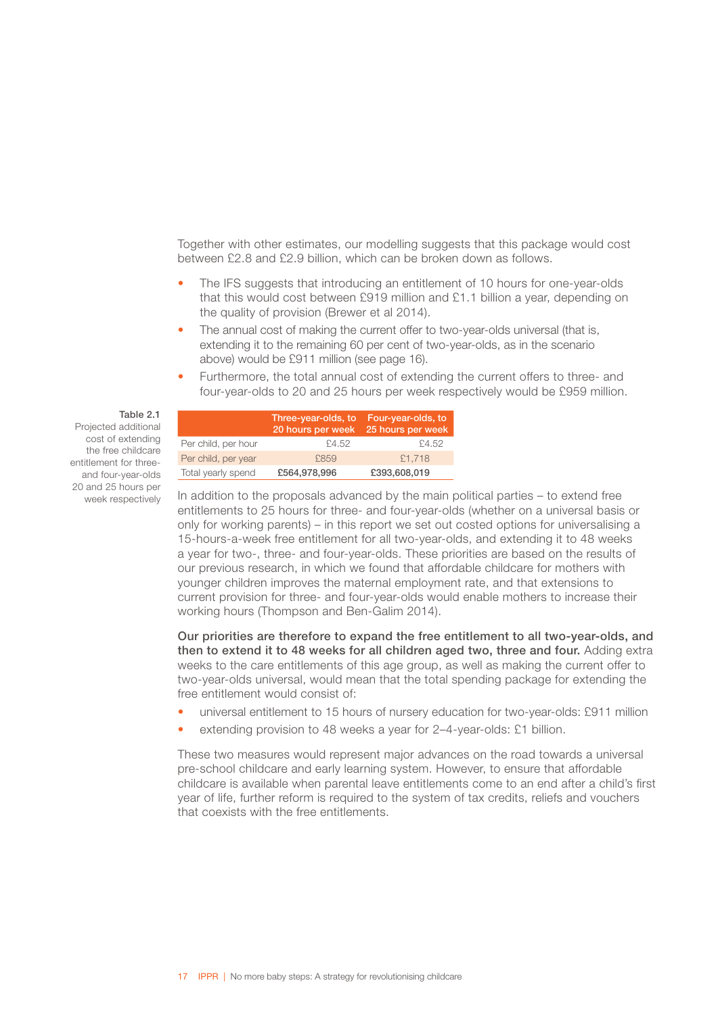Together with other estimates, our modelling suggests that this package would cost between £2.8 and £2.9 billion, which can be broken down as follows.

- The IFS suggests that introducing an entitlement of 10 hours for one-year-olds that this would cost between £919 million and £1.1 billion a year, depending on the quality of provision (Brewer et al 2014).
- The annual cost of making the current offer to two-year-olds universal (that is, extending it to the remaining 60 per cent of two-year-olds, as in the scenario above) would be £911 million (see page 16).
- Furthermore, the total annual cost of extending the current offers to three- and four-year-olds to 20 and 25 hours per week respectively would be £959 million.

|                     | Three-year-olds, to<br>20 hours per week | Four-year-olds, to<br>25 hours per week |
|---------------------|------------------------------------------|-----------------------------------------|
| Per child, per hour | £4.52                                    | £4.52                                   |
| Per child, per year | £859                                     | £1.718                                  |
| Total yearly spend  | £564,978,996                             | £393,608,019                            |

In addition to the proposals advanced by the main political parties – to extend free entitlements to 25 hours for three- and four-year-olds (whether on a universal basis or only for working parents) – in this report we set out costed options for universalising a 15-hours-a-week free entitlement for all two-year-olds, and extending it to 48 weeks a year for two-, three- and four-year-olds. These priorities are based on the results of our previous research, in which we found that affordable childcare for mothers with younger children improves the maternal employment rate, and that extensions to current provision for three- and four-year-olds would enable mothers to increase their working hours (Thompson and Ben-Galim 2014).

Our priorities are therefore to expand the free entitlement to all two-year-olds, and then to extend it to 48 weeks for all children aged two, three and four. Adding extra weeks to the care entitlements of this age group, as well as making the current offer to two-year-olds universal, would mean that the total spending package for extending the free entitlement would consist of:

- universal entitlement to 15 hours of nursery education for two-year-olds: £911 million
- extending provision to 48 weeks a year for 2–4-year-olds: £1 billion.

These two measures would represent major advances on the road towards a universal pre-school childcare and early learning system. However, to ensure that affordable childcare is available when parental leave entitlements come to an end after a child's first year of life, further reform is required to the system of tax credits, reliefs and vouchers that coexists with the free entitlements.

#### Table 2.1 Projected additional cost of extending the free childcare entitlement for threeand four-year-olds 20 and 25 hours per

week respectively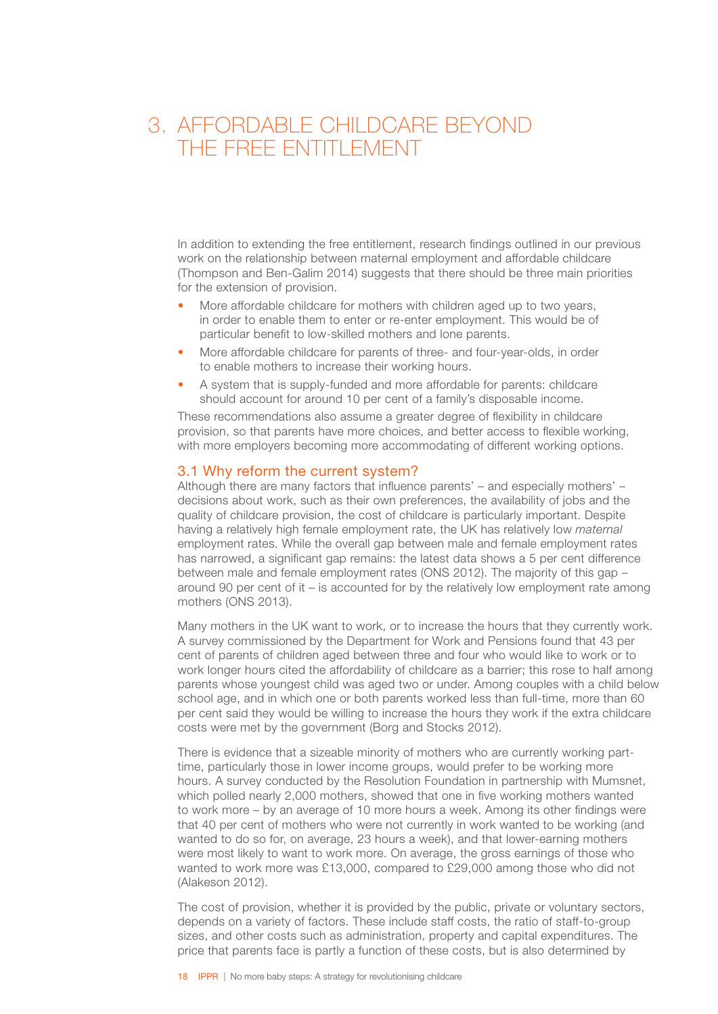### <span id="page-20-0"></span>3. AFFORDABLE CHILDCARE BEYOND THE FREE ENTITLEMENT

In addition to extending the free entitlement, research findings outlined in our previous work on the relationship between maternal employment and affordable childcare (Thompson and Ben-Galim 2014) suggests that there should be three main priorities for the extension of provision.

- More affordable childcare for mothers with children aged up to two years, in order to enable them to enter or re-enter employment. This would be of particular benefit to low-skilled mothers and lone parents.
- More affordable childcare for parents of three- and four-year-olds, in order to enable mothers to increase their working hours.
- A system that is supply-funded and more affordable for parents: childcare should account for around 10 per cent of a family's disposable income.

These recommendations also assume a greater degree of flexibility in childcare provision, so that parents have more choices, and better access to flexible working, with more employers becoming more accommodating of different working options.

### 3.1 Why reform the current system?

Although there are many factors that influence parents' – and especially mothers' – decisions about work, such as their own preferences, the availability of jobs and the quality of childcare provision, the cost of childcare is particularly important. Despite having a relatively high female employment rate, the UK has relatively low *maternal* employment rates. While the overall gap between male and female employment rates has narrowed, a significant gap remains: the latest data shows a 5 per cent difference between male and female employment rates (ONS 2012). The majority of this gap – around 90 per cent of it – is accounted for by the relatively low employment rate among mothers (ONS 2013).

Many mothers in the UK want to work, or to increase the hours that they currently work. A survey commissioned by the Department for Work and Pensions found that 43 per cent of parents of children aged between three and four who would like to work or to work longer hours cited the affordability of childcare as a barrier; this rose to half among parents whose youngest child was aged two or under. Among couples with a child below school age, and in which one or both parents worked less than full-time, more than 60 per cent said they would be willing to increase the hours they work if the extra childcare costs were met by the government (Borg and Stocks 2012).

There is evidence that a sizeable minority of mothers who are currently working parttime, particularly those in lower income groups, would prefer to be working more hours. A survey conducted by the Resolution Foundation in partnership with Mumsnet, which polled nearly 2,000 mothers, showed that one in five working mothers wanted to work more – by an average of 10 more hours a week. Among its other findings were that 40 per cent of mothers who were not currently in work wanted to be working (and wanted to do so for, on average, 23 hours a week), and that lower-earning mothers were most likely to want to work more. On average, the gross earnings of those who wanted to work more was £13,000, compared to £29,000 among those who did not (Alakeson 2012).

The cost of provision, whether it is provided by the public, private or voluntary sectors, depends on a variety of factors. These include staff costs, the ratio of staff-to-group sizes, and other costs such as administration, property and capital expenditures. The price that parents face is partly a function of these costs, but is also determined by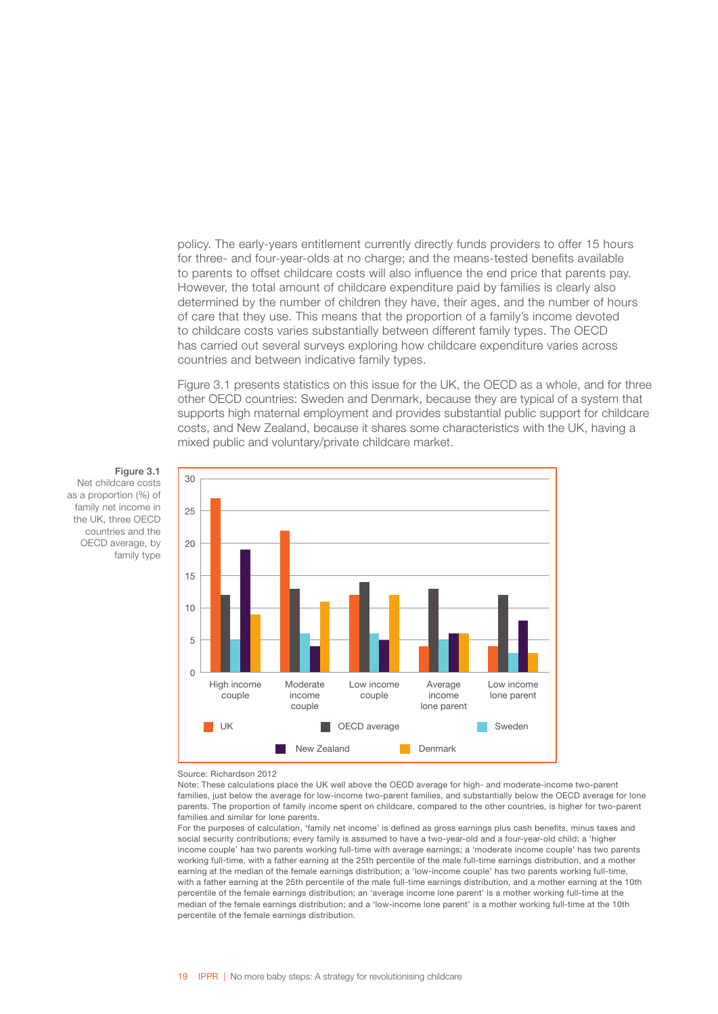policy. The early-years entitlement currently directly funds providers to offer 15 hours for three- and four-year-olds at no charge; and the means-tested benefits available to parents to offset childcare costs will also influence the end price that parents pay. However, the total amount of childcare expenditure paid by families is clearly also determined by the number of children they have, their ages, and the number of hours of care that they use. This means that the proportion of a family's income devoted to childcare costs varies substantially between different family types. The OECD has carried out several surveys exploring how childcare expenditure varies across countries and between indicative family types.

Figure 3.1 presents statistics on this issue for the UK, the OECD as a whole, and for three other OECD countries: Sweden and Denmark, because they are typical of a system that supports high maternal employment and provides substantial public support for childcare costs, and New Zealand, because it shares some characteristics with the UK, having a mixed public and voluntary/private childcare market.

#### Figure 3.1

Net childcare costs as a proportion (%) of family net income in the UK, three OECD countries and the OECD average, by family type



#### Source: Richardson 2012

Note: These calculations place the UK well above the OECD average for high- and moderate-income two-parent families, just below the average for low-income two-parent families, and substantially below the OECD average for lone parents. The proportion of family income spent on childcare, compared to the other countries, is higher for two-parent families and similar for lone parents.

For the purposes of calculation, 'family net income' is defined as gross earnings plus cash benefits, minus taxes and social security contributions; every family is assumed to have a two-year-old and a four-year-old child; a 'higher income couple' has two parents working full-time with average earnings; a 'moderate income couple' has two parents working full-time, with a father earning at the 25th percentile of the male full-time earnings distribution, and a mother earning at the median of the female earnings distribution; a 'low-income couple' has two parents working full-time, with a father earning at the 25th percentile of the male full-time earnings distribution, and a mother earning at the 10th percentile of the female earnings distribution; an 'average income lone parent' is a mother working full-time at the median of the female earnings distribution; and a 'low-income lone parent' is a mother working full-time at the 10th percentile of the female earnings distribution.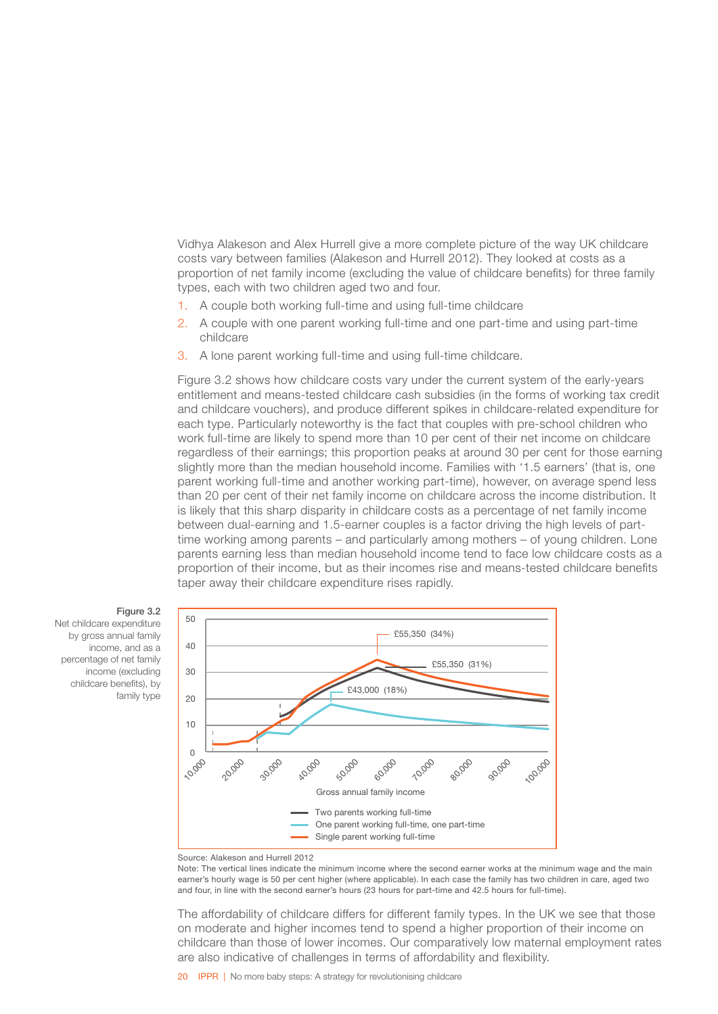Vidhya Alakeson and Alex Hurrell give a more complete picture of the way UK childcare costs vary between families (Alakeson and Hurrell 2012). They looked at costs as a proportion of net family income (excluding the value of childcare benefits) for three family types, each with two children aged two and four.

- 1. A couple both working full-time and using full-time childcare
- 2. A couple with one parent working full-time and one part-time and using part-time childcare
- 3. A lone parent working full-time and using full-time childcare.

Figure 3.2 shows how childcare costs vary under the current system of the early-years entitlement and means-tested childcare cash subsidies (in the forms of working tax credit and childcare vouchers), and produce different spikes in childcare-related expenditure for each type. Particularly noteworthy is the fact that couples with pre-school children who work full-time are likely to spend more than 10 per cent of their net income on childcare regardless of their earnings; this proportion peaks at around 30 per cent for those earning slightly more than the median household income. Families with '1.5 earners' (that is, one parent working full-time and another working part-time), however, on average spend less than 20 per cent of their net family income on childcare across the income distribution. It is likely that this sharp disparity in childcare costs as a percentage of net family income between dual-earning and 1.5-earner couples is a factor driving the high levels of parttime working among parents – and particularly among mothers – of young children. Lone parents earning less than median household income tend to face low childcare costs as a proportion of their income, but as their incomes rise and means-tested childcare benefits taper away their childcare expenditure rises rapidly.



Figure 3.2

Net childcare expenditure by gross annual family income, and as a percentage of net family income (excluding childcare benefits), by family type



Note: The vertical lines indicate the minimum income where the second earner works at the minimum wage and the main earner's hourly wage is 50 per cent higher (where applicable). In each case the family has two children in care, aged two and four, in line with the second earner's hours (23 hours for part-time and 42.5 hours for full-time).

The affordability of childcare differs for different family types. In the UK we see that those on moderate and higher incomes tend to spend a higher proportion of their income on childcare than those of lower incomes. Our comparatively low maternal employment rates are also indicative of challenges in terms of affordability and flexibility.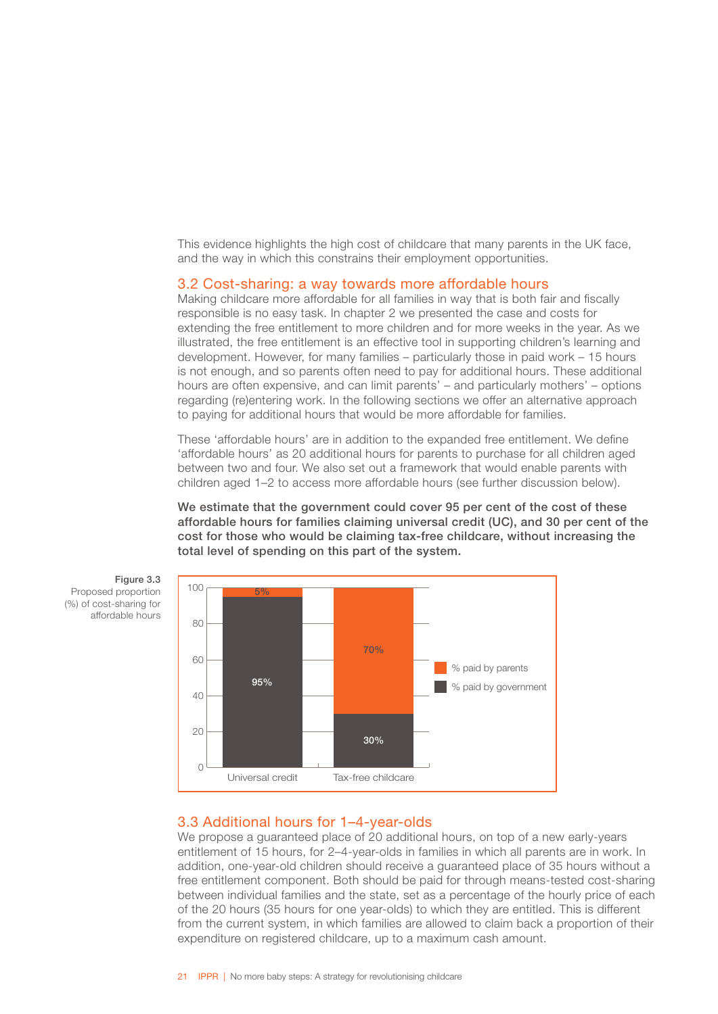<span id="page-23-0"></span>This evidence highlights the high cost of childcare that many parents in the UK face, and the way in which this constrains their employment opportunities.

### 3.2 Cost-sharing: a way towards more affordable hours

Making childcare more affordable for all families in way that is both fair and fiscally responsible is no easy task. In chapter 2 we presented the case and costs for extending the free entitlement to more children and for more weeks in the year. As we illustrated, the free entitlement is an effective tool in supporting children's learning and development. However, for many families – particularly those in paid work – 15 hours is not enough, and so parents often need to pay for additional hours. These additional hours are often expensive, and can limit parents' – and particularly mothers' – options regarding (re)entering work. In the following sections we offer an alternative approach to paying for additional hours that would be more affordable for families.

These 'affordable hours' are in addition to the expanded free entitlement. We define 'affordable hours' as 20 additional hours for parents to purchase for all children aged between two and four. We also set out a framework that would enable parents with children aged 1–2 to access more affordable hours (see further discussion below).

We estimate that the government could cover 95 per cent of the cost of these affordable hours for families claiming universal credit (UC), and 30 per cent of the cost for those who would be claiming tax-free childcare, without increasing the total level of spending on this part of the system.



Figure 3.3 Proposed proportion (%) of cost-sharing for affordable hours

### 3.3 Additional hours for 1–4-year-olds

We propose a quaranteed place of 20 additional hours, on top of a new early-years entitlement of 15 hours, for 2–4-year-olds in families in which all parents are in work. In addition, one-year-old children should receive a guaranteed place of 35 hours without a free entitlement component. Both should be paid for through means-tested cost-sharing between individual families and the state, set as a percentage of the hourly price of each of the 20 hours (35 hours for one year-olds) to which they are entitled. This is different from the current system, in which families are allowed to claim back a proportion of their expenditure on registered childcare, up to a maximum cash amount.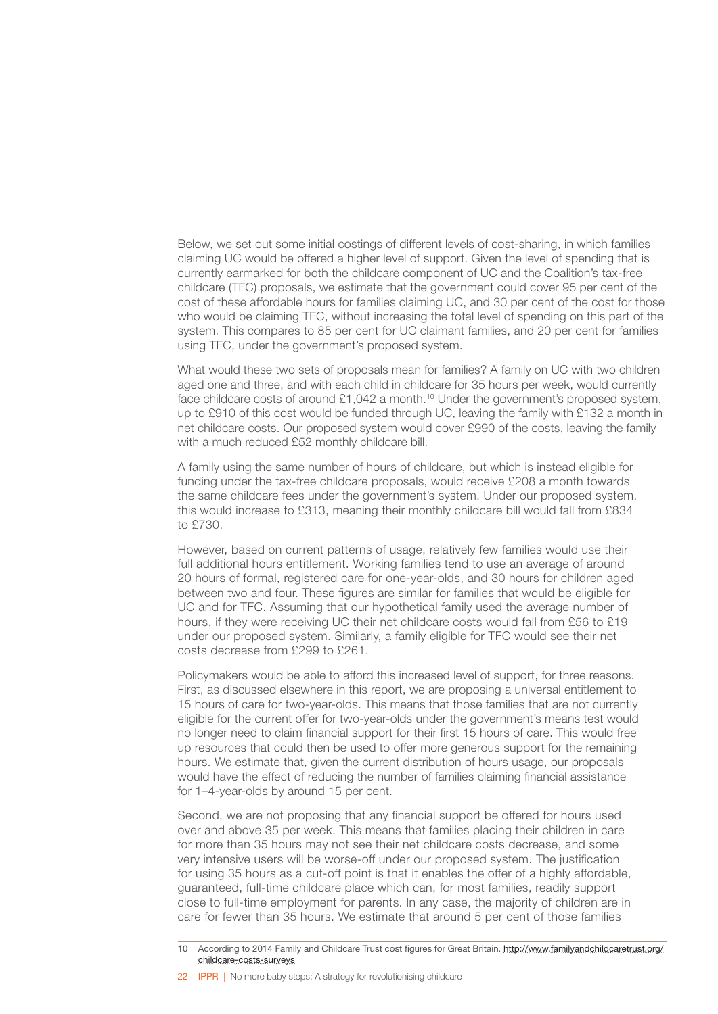Below, we set out some initial costings of different levels of cost-sharing, in which families claiming UC would be offered a higher level of support. Given the level of spending that is currently earmarked for both the childcare component of UC and the Coalition's tax-free childcare (TFC) proposals, we estimate that the government could cover 95 per cent of the cost of these affordable hours for families claiming UC, and 30 per cent of the cost for those who would be claiming TFC, without increasing the total level of spending on this part of the system. This compares to 85 per cent for UC claimant families, and 20 per cent for families using TFC, under the government's proposed system.

What would these two sets of proposals mean for families? A family on UC with two children aged one and three, and with each child in childcare for 35 hours per week, would currently face childcare costs of around £1,042 a month.10 Under the government's proposed system, up to £910 of this cost would be funded through UC, leaving the family with £132 a month in net childcare costs. Our proposed system would cover £990 of the costs, leaving the family with a much reduced £52 monthly childcare bill.

A family using the same number of hours of childcare, but which is instead eligible for funding under the tax-free childcare proposals, would receive £208 a month towards the same childcare fees under the government's system. Under our proposed system, this would increase to £313, meaning their monthly childcare bill would fall from £834 to £730.

However, based on current patterns of usage, relatively few families would use their full additional hours entitlement. Working families tend to use an average of around 20 hours of formal, registered care for one-year-olds, and 30 hours for children aged between two and four. These figures are similar for families that would be eligible for UC and for TFC. Assuming that our hypothetical family used the average number of hours, if they were receiving UC their net childcare costs would fall from £56 to £19 under our proposed system. Similarly, a family eligible for TFC would see their net costs decrease from £299 to £261.

Policymakers would be able to afford this increased level of support, for three reasons. First, as discussed elsewhere in this report, we are proposing a universal entitlement to 15 hours of care for two-year-olds. This means that those families that are not currently eligible for the current offer for two-year-olds under the government's means test would no longer need to claim financial support for their first 15 hours of care. This would free up resources that could then be used to offer more generous support for the remaining hours. We estimate that, given the current distribution of hours usage, our proposals would have the effect of reducing the number of families claiming financial assistance for 1–4-year-olds by around 15 per cent.

Second, we are not proposing that any financial support be offered for hours used over and above 35 per week. This means that families placing their children in care for more than 35 hours may not see their net childcare costs decrease, and some very intensive users will be worse-off under our proposed system. The justification for using 35 hours as a cut-off point is that it enables the offer of a highly affordable, guaranteed, full-time childcare place which can, for most families, readily support close to full-time employment for parents. In any case, the majority of children are in care for fewer than 35 hours. We estimate that around 5 per cent of those families

<sup>10</sup> According to 2014 Family and Childcare Trust cost figures for Great Britain. [http://www.familyandchildcaretrust.org/](http://www.familyandchildcaretrust.org/childcare-costs-surveys) [childcare-costs-surveys](http://www.familyandchildcaretrust.org/childcare-costs-surveys)

<sup>22</sup> IPPR | No more baby steps: A strategy for revolutionising childcare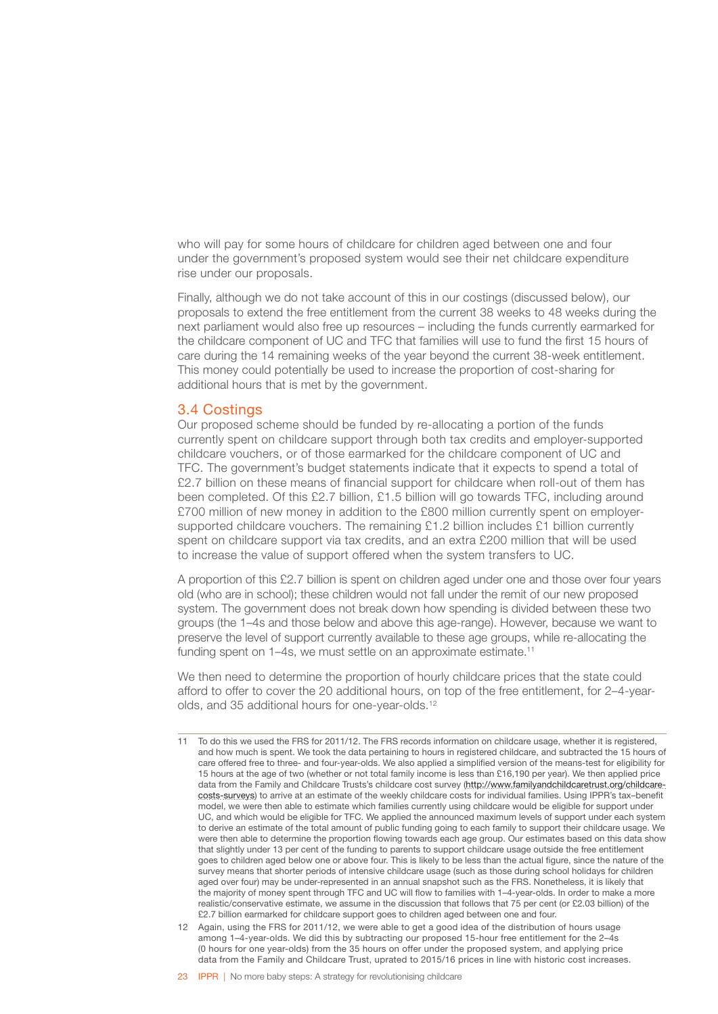<span id="page-25-0"></span>who will pay for some hours of childcare for children aged between one and four under the government's proposed system would see their net childcare expenditure rise under our proposals.

Finally, although we do not take account of this in our costings (discussed below), our proposals to extend the free entitlement from the current 38 weeks to 48 weeks during the next parliament would also free up resources – including the funds currently earmarked for the childcare component of UC and TFC that families will use to fund the first 15 hours of care during the 14 remaining weeks of the year beyond the current 38-week entitlement. This money could potentially be used to increase the proportion of cost-sharing for additional hours that is met by the government.

### 3.4 Costings

Our proposed scheme should be funded by re-allocating a portion of the funds currently spent on childcare support through both tax credits and employer-supported childcare vouchers, or of those earmarked for the childcare component of UC and TFC. The government's budget statements indicate that it expects to spend a total of £2.7 billion on these means of financial support for childcare when roll-out of them has been completed. Of this £2.7 billion, £1.5 billion will go towards TFC, including around £700 million of new money in addition to the £800 million currently spent on employersupported childcare vouchers. The remaining £1.2 billion includes £1 billion currently spent on childcare support via tax credits, and an extra £200 million that will be used to increase the value of support offered when the system transfers to UC.

A proportion of this £2.7 billion is spent on children aged under one and those over four years old (who are in school); these children would not fall under the remit of our new proposed system. The government does not break down how spending is divided between these two groups (the 1–4s and those below and above this age-range). However, because we want to preserve the level of support currently available to these age groups, while re-allocating the funding spent on 1–4s, we must settle on an approximate estimate.<sup>11</sup>

We then need to determine the proportion of hourly childcare prices that the state could afford to offer to cover the 20 additional hours, on top of the free entitlement, for 2–4-yearolds, and 35 additional hours for one-year-olds.<sup>12</sup>

<sup>11</sup> To do this we used the FRS for 2011/12. The FRS records information on childcare usage, whether it is registered, and how much is spent. We took the data pertaining to hours in registered childcare, and subtracted the 15 hours of care offered free to three- and four-year-olds. We also applied a simplified version of the means-test for eligibility for 15 hours at the age of two (whether or not total family income is less than £16,190 per year). We then applied price data from the Family and Childcare Trusts's childcare cost survey [\(http://www.familyandchildcaretrust.org/childcare](http://www.familyandchildcaretrust.org/childcare-costs-surveys)[costs-surveys](http://www.familyandchildcaretrust.org/childcare-costs-surveys)) to arrive at an estimate of the weekly childcare costs for individual families. Using IPPR's tax–benefit model, we were then able to estimate which families currently using childcare would be eligible for support under UC, and which would be eligible for TFC. We applied the announced maximum levels of support under each system to derive an estimate of the total amount of public funding going to each family to support their childcare usage. We were then able to determine the proportion flowing towards each age group. Our estimates based on this data show that slightly under 13 per cent of the funding to parents to support childcare usage outside the free entitlement goes to children aged below one or above four. This is likely to be less than the actual figure, since the nature of the survey means that shorter periods of intensive childcare usage (such as those during school holidays for children aged over four) may be under-represented in an annual snapshot such as the FRS. Nonetheless, it is likely that the majority of money spent through TFC and UC will flow to families with 1–4-year-olds. In order to make a more realistic/conservative estimate, we assume in the discussion that follows that 75 per cent (or £2.03 billion) of the £2.7 billion earmarked for childcare support goes to children aged between one and four.

<sup>12</sup> Again, using the FRS for 2011/12, we were able to get a good idea of the distribution of hours usage among 1–4-year-olds. We did this by subtracting our proposed 15-hour free entitlement for the 2–4s (0 hours for one year-olds) from the 35 hours on offer under the proposed system, and applying price data from the Family and Childcare Trust, uprated to 2015/16 prices in line with historic cost increases.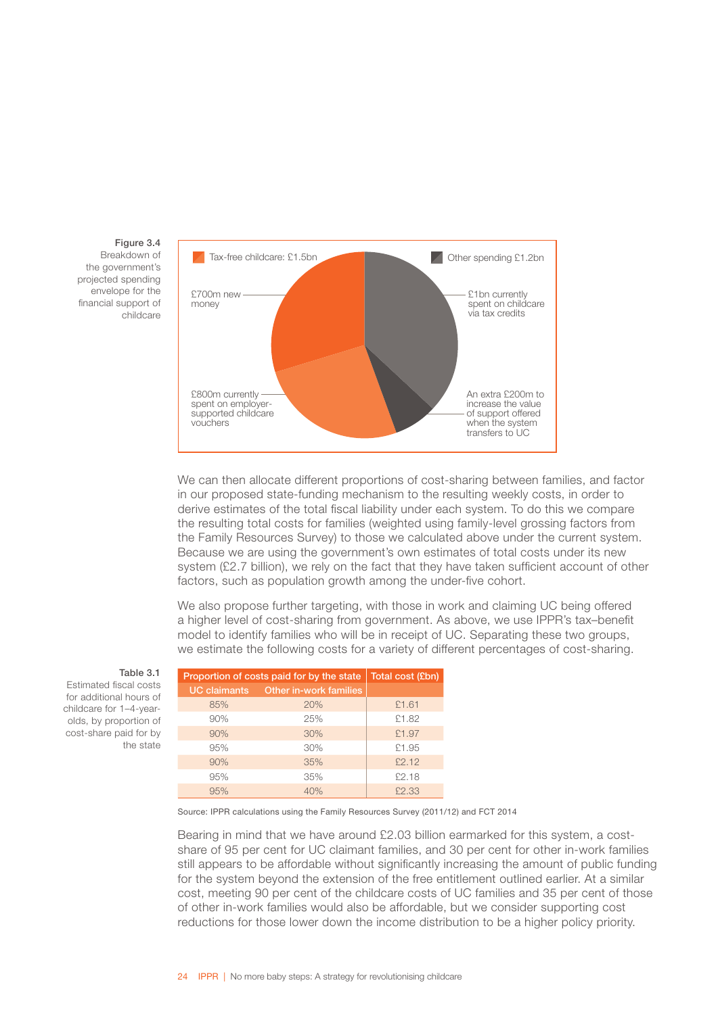

Figure 3.4 Breakdown of the government's projected spending envelope for the financial support of childcare

> We can then allocate different proportions of cost-sharing between families, and factor in our proposed state-funding mechanism to the resulting weekly costs, in order to derive estimates of the total fiscal liability under each system. To do this we compare the resulting total costs for families (weighted using family-level grossing factors from the Family Resources Survey) to those we calculated above under the current system. Because we are using the government's own estimates of total costs under its new system (£2.7 billion), we rely on the fact that they have taken sufficient account of other factors, such as population growth among the under-five cohort.

We also propose further targeting, with those in work and claiming UC being offered a higher level of cost-sharing from government. As above, we use IPPR's tax–benefit model to identify families who will be in receipt of UC. Separating these two groups, we estimate the following costs for a variety of different percentages of cost-sharing.

| Proportion of costs paid for by the state | Total cost (£bn)                    |       |
|-------------------------------------------|-------------------------------------|-------|
|                                           | UC claimants Other in-work families |       |
| 85%                                       | 20%                                 | £1.61 |
| 90%                                       | 25%                                 | £1.82 |
| 90%                                       | 30%                                 | £1.97 |
| 95%                                       | 30%                                 | £1.95 |
| 90%                                       | 35%                                 | £2.12 |
| 95%                                       | 35%                                 | £2.18 |
| 95%                                       | 40%                                 | £2.33 |

Source: IPPR calculations using the Family Resources Survey (2011/12) and FCT 2014

Bearing in mind that we have around £2.03 billion earmarked for this system, a costshare of 95 per cent for UC claimant families, and 30 per cent for other in-work families still appears to be affordable without significantly increasing the amount of public funding for the system beyond the extension of the free entitlement outlined earlier. At a similar cost, meeting 90 per cent of the childcare costs of UC families and 35 per cent of those of other in-work families would also be affordable, but we consider supporting cost reductions for those lower down the income distribution to be a higher policy priority.

#### Table 3.1

Estimated fiscal costs for additional hours of childcare for 1–4-yearolds, by proportion of cost-share paid for by the state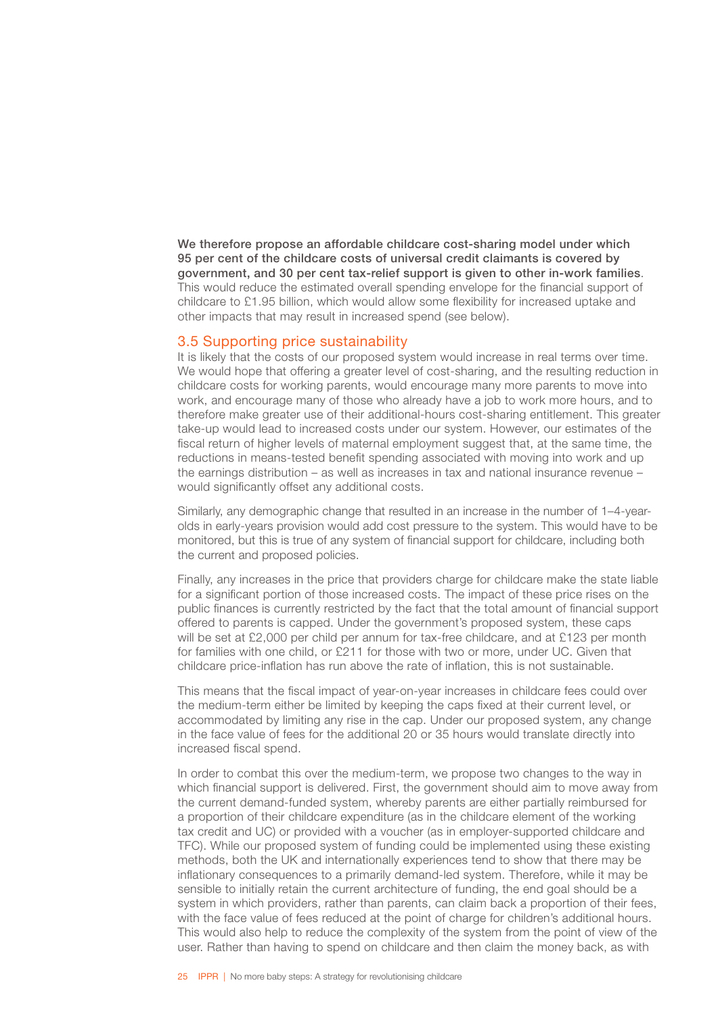<span id="page-27-0"></span>We therefore propose an affordable childcare cost-sharing model under which 95 per cent of the childcare costs of universal credit claimants is covered by government, and 30 per cent tax-relief support is given to other in-work families. This would reduce the estimated overall spending envelope for the financial support of childcare to £1.95 billion, which would allow some flexibility for increased uptake and other impacts that may result in increased spend (see below).

### 3.5 Supporting price sustainability

It is likely that the costs of our proposed system would increase in real terms over time. We would hope that offering a greater level of cost-sharing, and the resulting reduction in childcare costs for working parents, would encourage many more parents to move into work, and encourage many of those who already have a job to work more hours, and to therefore make greater use of their additional-hours cost-sharing entitlement. This greater take-up would lead to increased costs under our system. However, our estimates of the fiscal return of higher levels of maternal employment suggest that, at the same time, the reductions in means-tested benefit spending associated with moving into work and up the earnings distribution – as well as increases in tax and national insurance revenue – would significantly offset any additional costs.

Similarly, any demographic change that resulted in an increase in the number of 1–4-yearolds in early-years provision would add cost pressure to the system. This would have to be monitored, but this is true of any system of financial support for childcare, including both the current and proposed policies.

Finally, any increases in the price that providers charge for childcare make the state liable for a significant portion of those increased costs. The impact of these price rises on the public finances is currently restricted by the fact that the total amount of financial support offered to parents is capped. Under the government's proposed system, these caps will be set at £2,000 per child per annum for tax-free childcare, and at £123 per month for families with one child, or £211 for those with two or more, under UC. Given that childcare price-inflation has run above the rate of inflation, this is not sustainable.

This means that the fiscal impact of year-on-year increases in childcare fees could over the medium-term either be limited by keeping the caps fixed at their current level, or accommodated by limiting any rise in the cap. Under our proposed system, any change in the face value of fees for the additional 20 or 35 hours would translate directly into increased fiscal spend.

In order to combat this over the medium-term, we propose two changes to the way in which financial support is delivered. First, the government should aim to move away from the current demand-funded system, whereby parents are either partially reimbursed for a proportion of their childcare expenditure (as in the childcare element of the working tax credit and UC) or provided with a voucher (as in employer-supported childcare and TFC). While our proposed system of funding could be implemented using these existing methods, both the UK and internationally experiences tend to show that there may be inflationary consequences to a primarily demand-led system. Therefore, while it may be sensible to initially retain the current architecture of funding, the end goal should be a system in which providers, rather than parents, can claim back a proportion of their fees, with the face value of fees reduced at the point of charge for children's additional hours. This would also help to reduce the complexity of the system from the point of view of the user. Rather than having to spend on childcare and then claim the money back, as with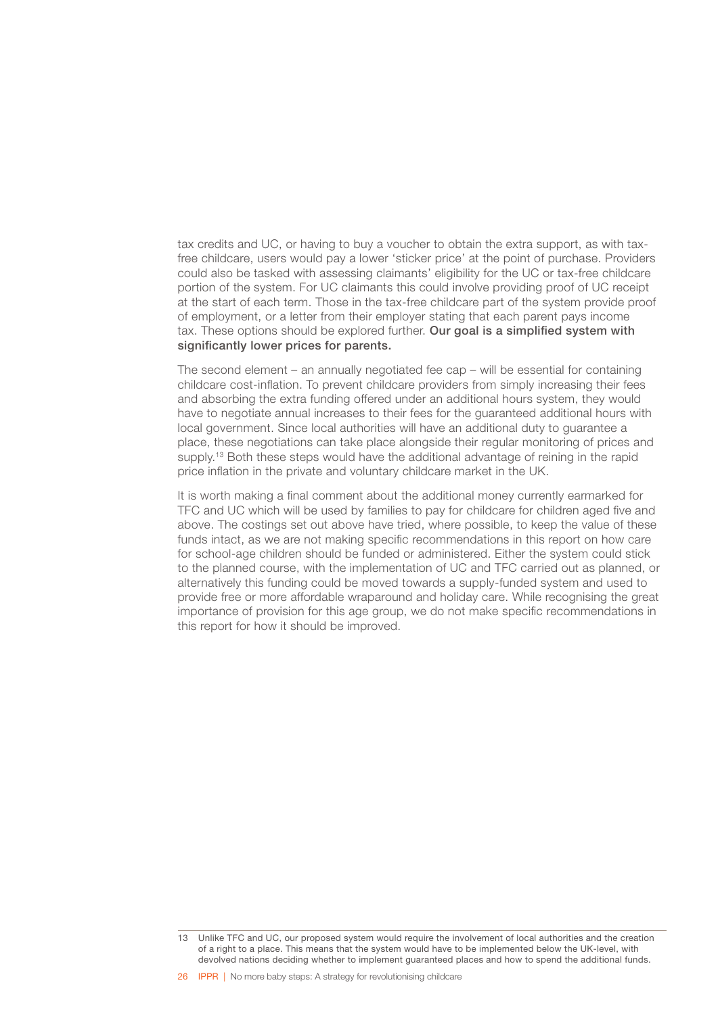tax credits and UC, or having to buy a voucher to obtain the extra support, as with taxfree childcare, users would pay a lower 'sticker price' at the point of purchase. Providers could also be tasked with assessing claimants' eligibility for the UC or tax-free childcare portion of the system. For UC claimants this could involve providing proof of UC receipt at the start of each term. Those in the tax-free childcare part of the system provide proof of employment, or a letter from their employer stating that each parent pays income tax. These options should be explored further. Our goal is a simplified system with significantly lower prices for parents.

The second element – an annually negotiated fee cap – will be essential for containing childcare cost-inflation. To prevent childcare providers from simply increasing their fees and absorbing the extra funding offered under an additional hours system, they would have to negotiate annual increases to their fees for the guaranteed additional hours with local government. Since local authorities will have an additional duty to guarantee a place, these negotiations can take place alongside their regular monitoring of prices and supply.<sup>13</sup> Both these steps would have the additional advantage of reining in the rapid price inflation in the private and voluntary childcare market in the UK.

It is worth making a final comment about the additional money currently earmarked for TFC and UC which will be used by families to pay for childcare for children aged five and above. The costings set out above have tried, where possible, to keep the value of these funds intact, as we are not making specific recommendations in this report on how care for school-age children should be funded or administered. Either the system could stick to the planned course, with the implementation of UC and TFC carried out as planned, or alternatively this funding could be moved towards a supply-funded system and used to provide free or more affordable wraparound and holiday care. While recognising the great importance of provision for this age group, we do not make specific recommendations in this report for how it should be improved.

<sup>13</sup> Unlike TFC and UC, our proposed system would require the involvement of local authorities and the creation of a right to a place. This means that the system would have to be implemented below the UK-level, with devolved nations deciding whether to implement guaranteed places and how to spend the additional funds.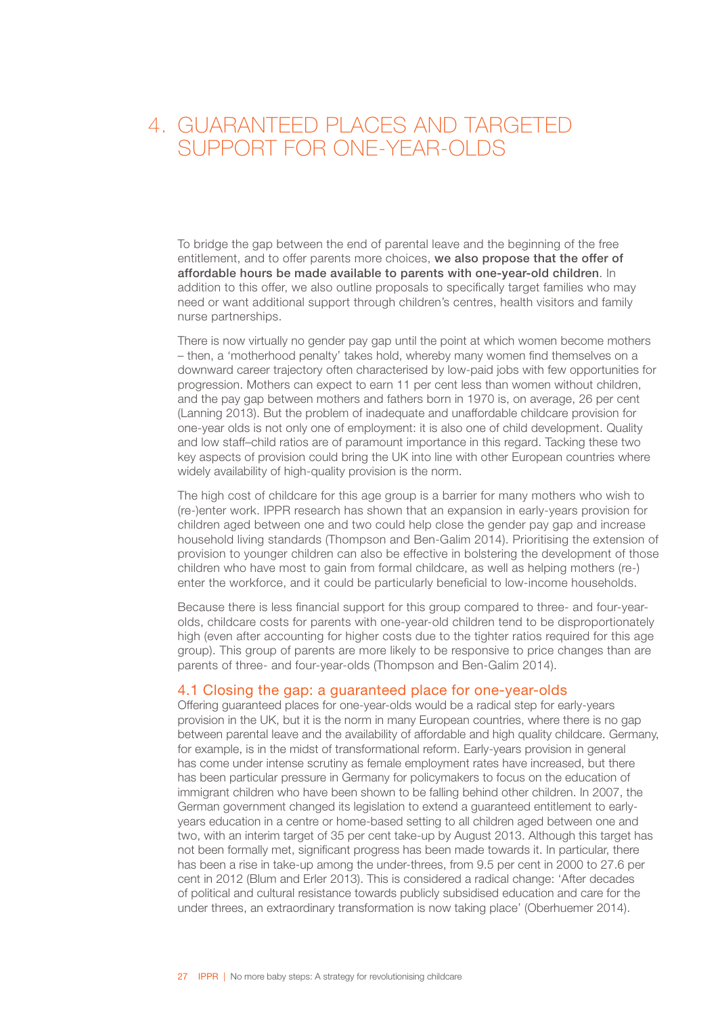### <span id="page-29-0"></span>4. GUARANTEED PLACES AND TARGETED SUPPORT FOR ONE-YEAR-OLDS

To bridge the gap between the end of parental leave and the beginning of the free entitlement, and to offer parents more choices, we also propose that the offer of affordable hours be made available to parents with one-year-old children. In addition to this offer, we also outline proposals to specifically target families who may need or want additional support through children's centres, health visitors and family nurse partnerships.

There is now virtually no gender pay gap until the point at which women become mothers – then, a 'motherhood penalty' takes hold, whereby many women find themselves on a downward career trajectory often characterised by low-paid jobs with few opportunities for progression. Mothers can expect to earn 11 per cent less than women without children, and the pay gap between mothers and fathers born in 1970 is, on average, 26 per cent (Lanning 2013). But the problem of inadequate and unaffordable childcare provision for one-year olds is not only one of employment: it is also one of child development. Quality and low staff–child ratios are of paramount importance in this regard. Tacking these two key aspects of provision could bring the UK into line with other European countries where widely availability of high-quality provision is the norm.

The high cost of childcare for this age group is a barrier for many mothers who wish to (re-)enter work. IPPR research has shown that an expansion in early-years provision for children aged between one and two could help close the gender pay gap and increase household living standards (Thompson and Ben-Galim 2014). Prioritising the extension of provision to younger children can also be effective in bolstering the development of those children who have most to gain from formal childcare, as well as helping mothers (re-) enter the workforce, and it could be particularly beneficial to low-income households.

Because there is less financial support for this group compared to three- and four-yearolds, childcare costs for parents with one-year-old children tend to be disproportionately high (even after accounting for higher costs due to the tighter ratios required for this age group). This group of parents are more likely to be responsive to price changes than are parents of three- and four-year-olds (Thompson and Ben-Galim 2014).

### 4.1 Closing the gap: a guaranteed place for one-year-olds

Offering guaranteed places for one-year-olds would be a radical step for early-years provision in the UK, but it is the norm in many European countries, where there is no gap between parental leave and the availability of affordable and high quality childcare. Germany, for example, is in the midst of transformational reform. Early-years provision in general has come under intense scrutiny as female employment rates have increased, but there has been particular pressure in Germany for policymakers to focus on the education of immigrant children who have been shown to be falling behind other children. In 2007, the German government changed its legislation to extend a guaranteed entitlement to earlyyears education in a centre or home-based setting to all children aged between one and two, with an interim target of 35 per cent take-up by August 2013. Although this target has not been formally met, significant progress has been made towards it. In particular, there has been a rise in take-up among the under-threes, from 9.5 per cent in 2000 to 27.6 per cent in 2012 (Blum and Erler 2013). This is considered a radical change: 'After decades of political and cultural resistance towards publicly subsidised education and care for the under threes, an extraordinary transformation is now taking place' (Oberhuemer 2014).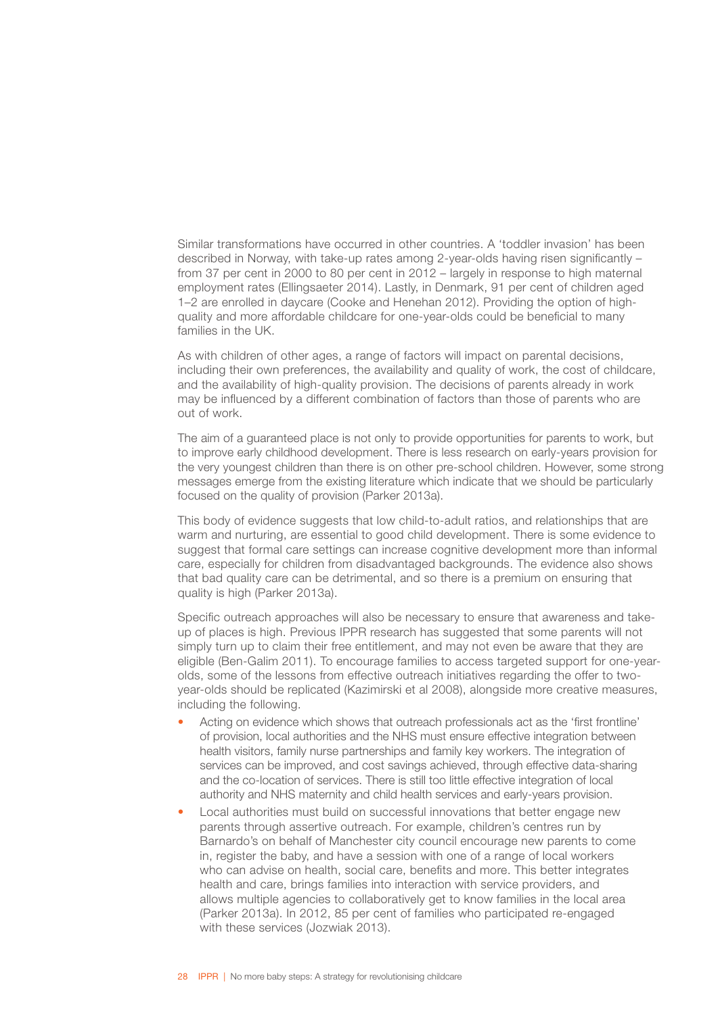Similar transformations have occurred in other countries. A 'toddler invasion' has been described in Norway, with take-up rates among 2-year-olds having risen significantly – from 37 per cent in 2000 to 80 per cent in 2012 – largely in response to high maternal employment rates (Ellingsaeter 2014). Lastly, in Denmark, 91 per cent of children aged 1–2 are enrolled in daycare (Cooke and Henehan 2012). Providing the option of highquality and more affordable childcare for one-year-olds could be beneficial to many families in the UK.

As with children of other ages, a range of factors will impact on parental decisions, including their own preferences, the availability and quality of work, the cost of childcare, and the availability of high-quality provision. The decisions of parents already in work may be influenced by a different combination of factors than those of parents who are out of work.

The aim of a guaranteed place is not only to provide opportunities for parents to work, but to improve early childhood development. There is less research on early-years provision for the very youngest children than there is on other pre-school children. However, some strong messages emerge from the existing literature which indicate that we should be particularly focused on the quality of provision (Parker 2013a).

This body of evidence suggests that low child-to-adult ratios, and relationships that are warm and nurturing, are essential to good child development. There is some evidence to suggest that formal care settings can increase cognitive development more than informal care, especially for children from disadvantaged backgrounds. The evidence also shows that bad quality care can be detrimental, and so there is a premium on ensuring that quality is high (Parker 2013a).

Specific outreach approaches will also be necessary to ensure that awareness and takeup of places is high. Previous IPPR research has suggested that some parents will not simply turn up to claim their free entitlement, and may not even be aware that they are eligible (Ben-Galim 2011). To encourage families to access targeted support for one-yearolds, some of the lessons from effective outreach initiatives regarding the offer to twoyear-olds should be replicated (Kazimirski et al 2008), alongside more creative measures, including the following.

- Acting on evidence which shows that outreach professionals act as the 'first frontline' of provision, local authorities and the NHS must ensure effective integration between health visitors, family nurse partnerships and family key workers. The integration of services can be improved, and cost savings achieved, through effective data-sharing and the co-location of services. There is still too little effective integration of local authority and NHS maternity and child health services and early-years provision.
- Local authorities must build on successful innovations that better engage new parents through assertive outreach. For example, children's centres run by Barnardo's on behalf of Manchester city council encourage new parents to come in, register the baby, and have a session with one of a range of local workers who can advise on health, social care, benefits and more. This better integrates health and care, brings families into interaction with service providers, and allows multiple agencies to collaboratively get to know families in the local area (Parker 2013a). In 2012, 85 per cent of families who participated re-engaged with these services (Jozwiak 2013).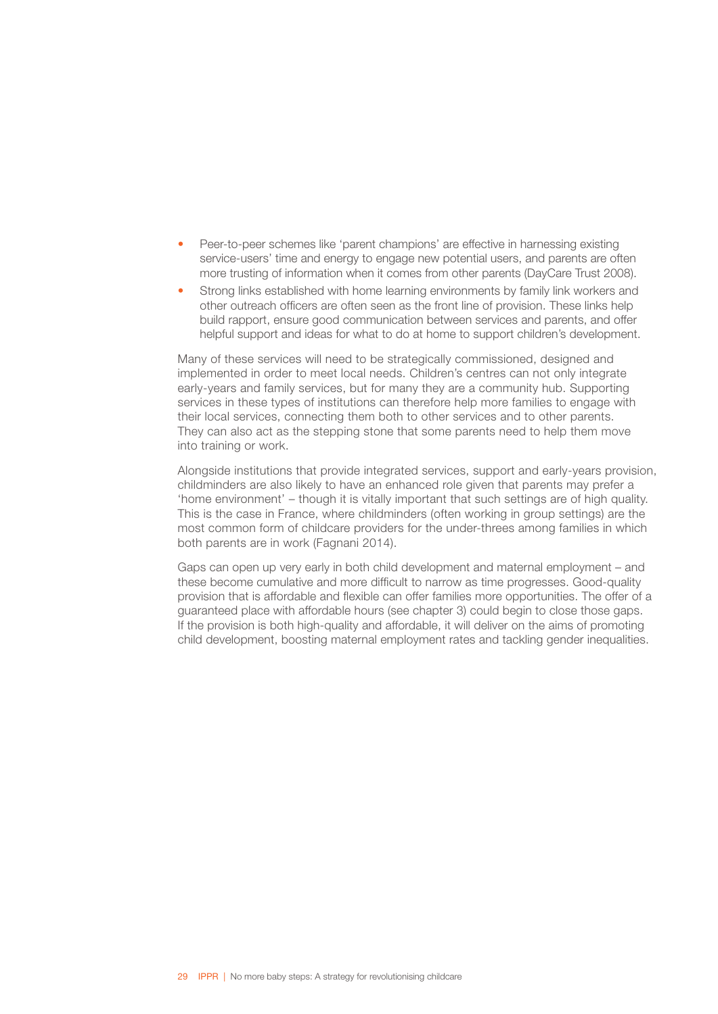- Peer-to-peer schemes like 'parent champions' are effective in harnessing existing service-users' time and energy to engage new potential users, and parents are often more trusting of information when it comes from other parents (DayCare Trust 2008).
- Strong links established with home learning environments by family link workers and other outreach officers are often seen as the front line of provision. These links help build rapport, ensure good communication between services and parents, and offer helpful support and ideas for what to do at home to support children's development.

Many of these services will need to be strategically commissioned, designed and implemented in order to meet local needs. Children's centres can not only integrate early-years and family services, but for many they are a community hub. Supporting services in these types of institutions can therefore help more families to engage with their local services, connecting them both to other services and to other parents. They can also act as the stepping stone that some parents need to help them move into training or work.

Alongside institutions that provide integrated services, support and early-years provision, childminders are also likely to have an enhanced role given that parents may prefer a 'home environment' – though it is vitally important that such settings are of high quality. This is the case in France, where childminders (often working in group settings) are the most common form of childcare providers for the under-threes among families in which both parents are in work (Fagnani 2014).

Gaps can open up very early in both child development and maternal employment – and these become cumulative and more difficult to narrow as time progresses. Good-quality provision that is affordable and flexible can offer families more opportunities. The offer of a guaranteed place with affordable hours (see chapter 3) could begin to close those gaps. If the provision is both high-quality and affordable, it will deliver on the aims of promoting child development, boosting maternal employment rates and tackling gender inequalities.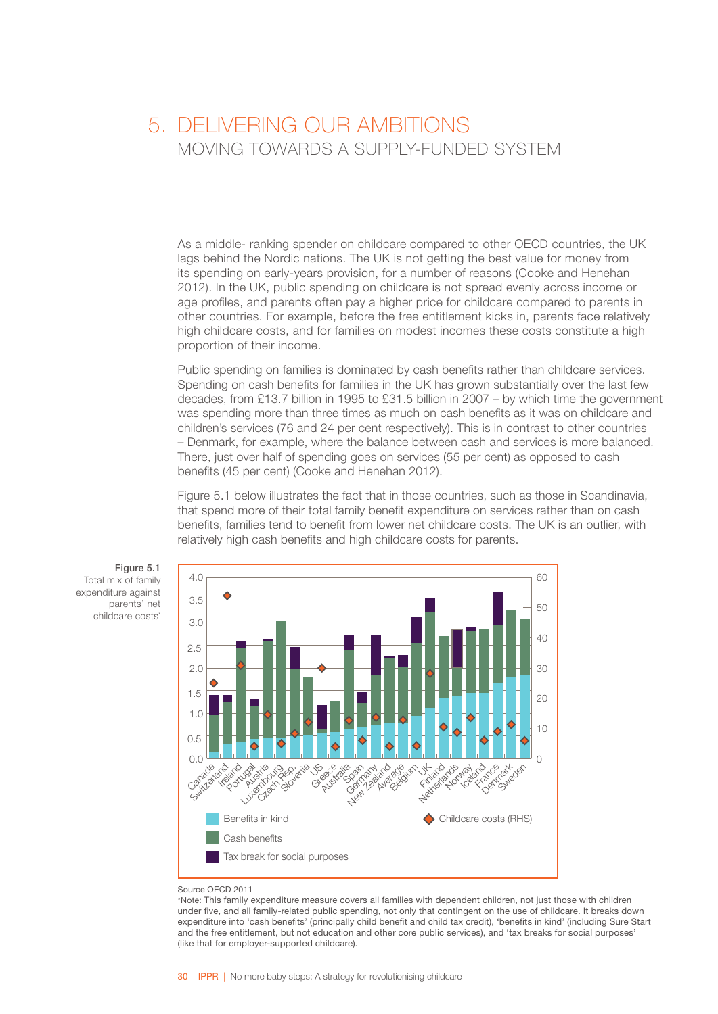### <span id="page-32-0"></span>5. DELIVERING OUR AMBITIONS MOVING TOWARDS A SUPPLY-FUNDED SYSTEM

As a middle- ranking spender on childcare compared to other OECD countries, the UK lags behind the Nordic nations. The UK is not getting the best value for money from its spending on early-years provision, for a number of reasons (Cooke and Henehan 2012). In the UK, public spending on childcare is not spread evenly across income or age profiles, and parents often pay a higher price for childcare compared to parents in other countries. For example, before the free entitlement kicks in, parents face relatively high childcare costs, and for families on modest incomes these costs constitute a high proportion of their income.

Public spending on families is dominated by cash benefits rather than childcare services. Spending on cash benefits for families in the UK has grown substantially over the last few decades, from £13.7 billion in 1995 to £31.5 billion in 2007 – by which time the government was spending more than three times as much on cash benefits as it was on childcare and children's services (76 and 24 per cent respectively). This is in contrast to other countries – Denmark, for example, where the balance between cash and services is more balanced. There, just over half of spending goes on services (55 per cent) as opposed to cash benefits (45 per cent) (Cooke and Henehan 2012).

Figure 5.1 below illustrates the fact that in those countries, such as those in Scandinavia, that spend more of their total family benefit expenditure on services rather than on cash benefits, families tend to benefit from lower net childcare costs. The UK is an outlier, with relatively high cash benefits and high childcare costs for parents.



Figure 5.1 Total mix of family expenditure against parents' net childcare costs<sup>\*</sup>

#### Source OECD 2011

\*Note: This family expenditure measure covers all families with dependent children, not just those with children under five, and all family-related public spending, not only that contingent on the use of childcare. It breaks down expenditure into 'cash benefits' (principally child benefit and child tax credit), 'benefits in kind' (including Sure Start and the free entitlement, but not education and other core public services), and 'tax breaks for social purposes' (like that for employer-supported childcare).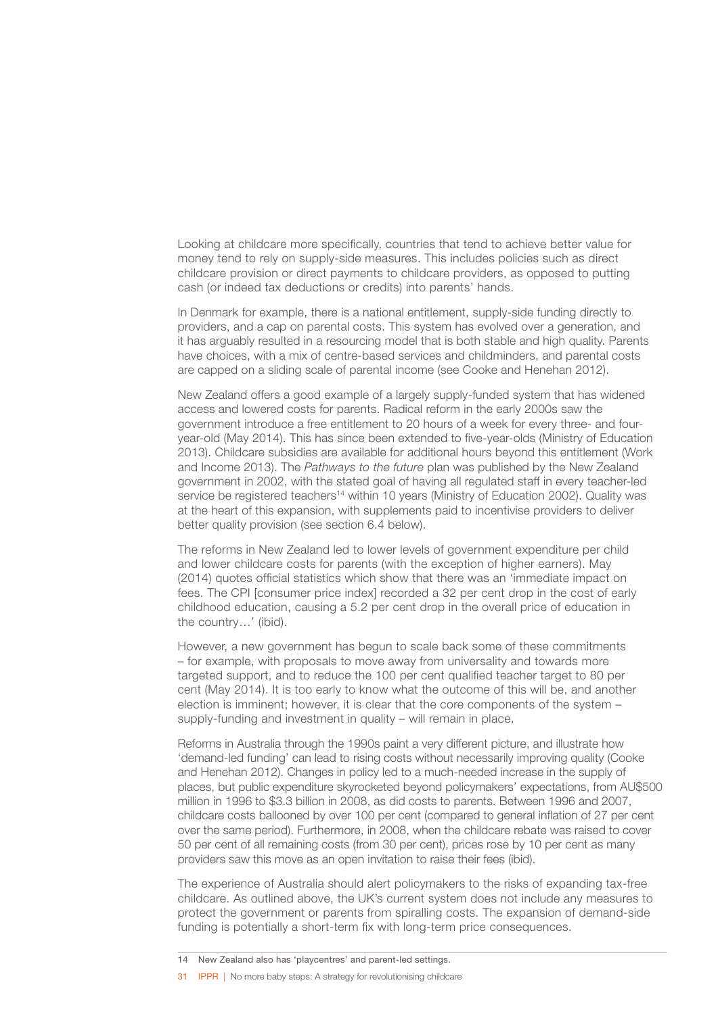Looking at childcare more specifically, countries that tend to achieve better value for money tend to rely on supply-side measures. This includes policies such as direct childcare provision or direct payments to childcare providers, as opposed to putting cash (or indeed tax deductions or credits) into parents' hands.

In Denmark for example, there is a national entitlement, supply-side funding directly to providers, and a cap on parental costs. This system has evolved over a generation, and it has arguably resulted in a resourcing model that is both stable and high quality. Parents have choices, with a mix of centre-based services and childminders, and parental costs are capped on a sliding scale of parental income (see Cooke and Henehan 2012).

New Zealand offers a good example of a largely supply-funded system that has widened access and lowered costs for parents. Radical reform in the early 2000s saw the government introduce a free entitlement to 20 hours of a week for every three- and fouryear-old (May 2014). This has since been extended to five-year-olds (Ministry of Education 2013). Childcare subsidies are available for additional hours beyond this entitlement (Work and Income 2013). The *Pathways to the future* plan was published by the New Zealand government in 2002, with the stated goal of having all regulated staff in every teacher-led service be registered teachers<sup>14</sup> within 10 years (Ministry of Education 2002). Quality was at the heart of this expansion, with supplements paid to incentivise providers to deliver better quality provision (see section 6.4 below).

The reforms in New Zealand led to lower levels of government expenditure per child and lower childcare costs for parents (with the exception of higher earners). May (2014) quotes official statistics which show that there was an 'immediate impact on fees. The CPI [consumer price index] recorded a 32 per cent drop in the cost of early childhood education, causing a 5.2 per cent drop in the overall price of education in the country…' (ibid).

However, a new government has begun to scale back some of these commitments – for example, with proposals to move away from universality and towards more targeted support, and to reduce the 100 per cent qualified teacher target to 80 per cent (May 2014). It is too early to know what the outcome of this will be, and another election is imminent; however, it is clear that the core components of the system – supply-funding and investment in quality – will remain in place.

Reforms in Australia through the 1990s paint a very different picture, and illustrate how 'demand-led funding' can lead to rising costs without necessarily improving quality (Cooke and Henehan 2012). Changes in policy led to a much-needed increase in the supply of places, but public expenditure skyrocketed beyond policymakers' expectations, from AU\$500 million in 1996 to \$3.3 billion in 2008, as did costs to parents. Between 1996 and 2007, childcare costs ballooned by over 100 per cent (compared to general inflation of 27 per cent over the same period). Furthermore, in 2008, when the childcare rebate was raised to cover 50 per cent of all remaining costs (from 30 per cent), prices rose by 10 per cent as many providers saw this move as an open invitation to raise their fees (ibid).

The experience of Australia should alert policymakers to the risks of expanding tax-free childcare. As outlined above, the UK's current system does not include any measures to protect the government or parents from spiralling costs. The expansion of demand-side funding is potentially a short-term fix with long-term price consequences.

31 **IPPR | No more baby steps: A strategy for revolutionising childcare** 

<sup>14</sup> New Zealand also has 'playcentres' and parent-led settings.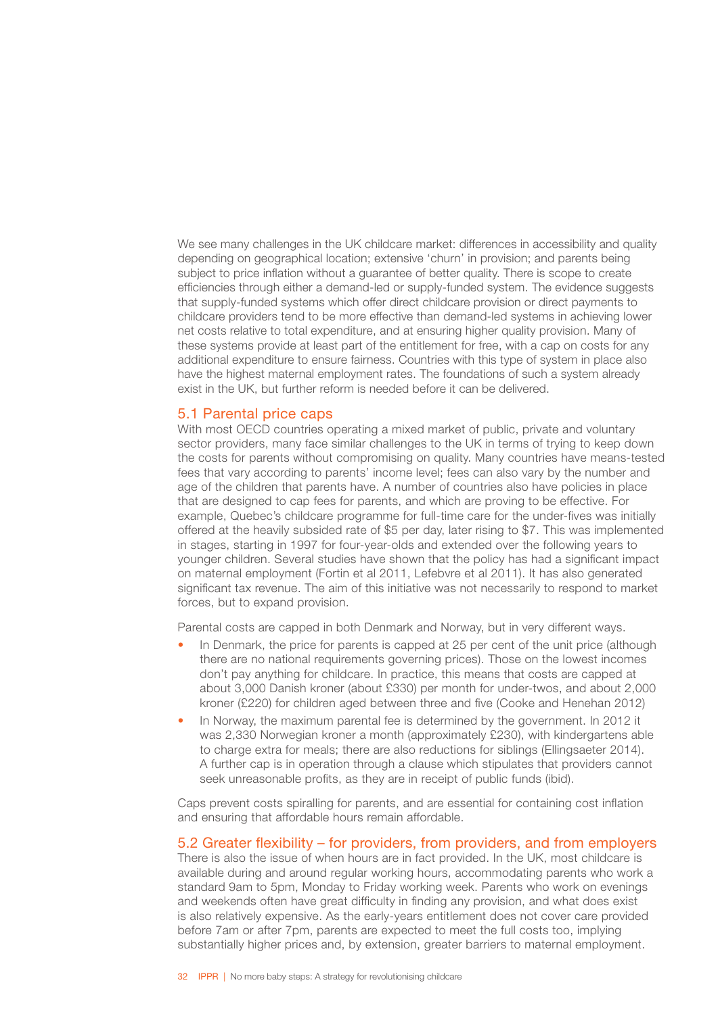<span id="page-34-0"></span>We see many challenges in the UK childcare market: differences in accessibility and quality depending on geographical location; extensive 'churn' in provision; and parents being subject to price inflation without a guarantee of better quality. There is scope to create efficiencies through either a demand-led or supply-funded system. The evidence suggests that supply-funded systems which offer direct childcare provision or direct payments to childcare providers tend to be more effective than demand-led systems in achieving lower net costs relative to total expenditure, and at ensuring higher quality provision. Many of these systems provide at least part of the entitlement for free, with a cap on costs for any additional expenditure to ensure fairness. Countries with this type of system in place also have the highest maternal employment rates. The foundations of such a system already exist in the UK, but further reform is needed before it can be delivered.

#### 5.1 Parental price caps

With most OECD countries operating a mixed market of public, private and voluntary sector providers, many face similar challenges to the UK in terms of trying to keep down the costs for parents without compromising on quality. Many countries have means-tested fees that vary according to parents' income level; fees can also vary by the number and age of the children that parents have. A number of countries also have policies in place that are designed to cap fees for parents, and which are proving to be effective. For example, Quebec's childcare programme for full-time care for the under-fives was initially offered at the heavily subsided rate of \$5 per day, later rising to \$7. This was implemented in stages, starting in 1997 for four-year-olds and extended over the following years to younger children. Several studies have shown that the policy has had a significant impact on maternal employment (Fortin et al 2011, Lefebvre et al 2011). It has also generated significant tax revenue. The aim of this initiative was not necessarily to respond to market forces, but to expand provision.

Parental costs are capped in both Denmark and Norway, but in very different ways.

- In Denmark, the price for parents is capped at 25 per cent of the unit price (although there are no national requirements governing prices). Those on the lowest incomes don't pay anything for childcare. In practice, this means that costs are capped at about 3,000 Danish kroner (about £330) per month for under-twos, and about 2,000 kroner (£220) for children aged between three and five (Cooke and Henehan 2012)
- In Norway, the maximum parental fee is determined by the government. In 2012 it was 2,330 Norwegian kroner a month (approximately £230), with kindergartens able to charge extra for meals; there are also reductions for siblings (Ellingsaeter 2014). A further cap is in operation through a clause which stipulates that providers cannot seek unreasonable profits, as they are in receipt of public funds (ibid).

Caps prevent costs spiralling for parents, and are essential for containing cost inflation and ensuring that affordable hours remain affordable.

### 5.2 Greater flexibility – for providers, from providers, and from employers

There is also the issue of when hours are in fact provided. In the UK, most childcare is available during and around regular working hours, accommodating parents who work a standard 9am to 5pm, Monday to Friday working week. Parents who work on evenings and weekends often have great difficulty in finding any provision, and what does exist is also relatively expensive. As the early-years entitlement does not cover care provided before 7am or after 7pm, parents are expected to meet the full costs too, implying substantially higher prices and, by extension, greater barriers to maternal employment.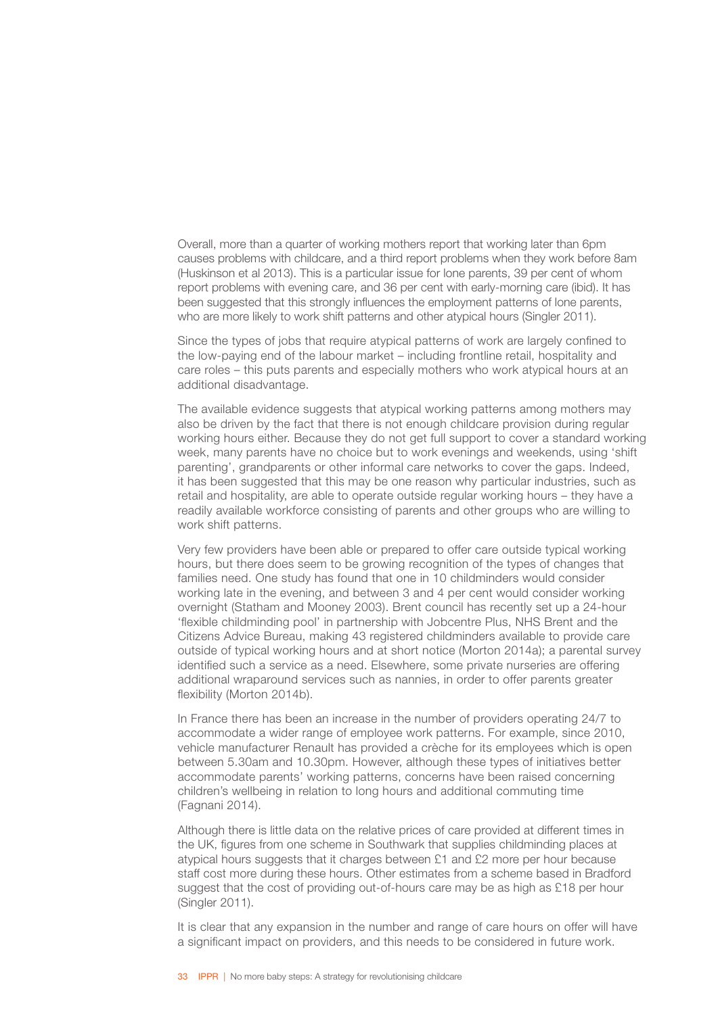Overall, more than a quarter of working mothers report that working later than 6pm causes problems with childcare, and a third report problems when they work before 8am (Huskinson et al 2013). This is a particular issue for lone parents, 39 per cent of whom report problems with evening care, and 36 per cent with early-morning care (ibid). It has been suggested that this strongly influences the employment patterns of lone parents, who are more likely to work shift patterns and other atypical hours (Singler 2011).

Since the types of jobs that require atypical patterns of work are largely confined to the low-paying end of the labour market – including frontline retail, hospitality and care roles – this puts parents and especially mothers who work atypical hours at an additional disadvantage.

The available evidence suggests that atypical working patterns among mothers may also be driven by the fact that there is not enough childcare provision during regular working hours either. Because they do not get full support to cover a standard working week, many parents have no choice but to work evenings and weekends, using 'shift parenting', grandparents or other informal care networks to cover the gaps. Indeed, it has been suggested that this may be one reason why particular industries, such as retail and hospitality, are able to operate outside regular working hours – they have a readily available workforce consisting of parents and other groups who are willing to work shift patterns.

Very few providers have been able or prepared to offer care outside typical working hours, but there does seem to be growing recognition of the types of changes that families need. One study has found that one in 10 childminders would consider working late in the evening, and between 3 and 4 per cent would consider working overnight (Statham and Mooney 2003). Brent council has recently set up a 24-hour 'flexible childminding pool' in partnership with Jobcentre Plus, NHS Brent and the Citizens Advice Bureau, making 43 registered childminders available to provide care outside of typical working hours and at short notice (Morton 2014a); a parental survey identified such a service as a need. Elsewhere, some private nurseries are offering additional wraparound services such as nannies, in order to offer parents greater flexibility (Morton 2014b).

In France there has been an increase in the number of providers operating 24/7 to accommodate a wider range of employee work patterns. For example, since 2010, vehicle manufacturer Renault has provided a crèche for its employees which is open between 5.30am and 10.30pm. However, although these types of initiatives better accommodate parents' working patterns, concerns have been raised concerning children's wellbeing in relation to long hours and additional commuting time (Fagnani 2014).

Although there is little data on the relative prices of care provided at different times in the UK, figures from one scheme in Southwark that supplies childminding places at atypical hours suggests that it charges between £1 and £2 more per hour because staff cost more during these hours. Other estimates from a scheme based in Bradford suggest that the cost of providing out-of-hours care may be as high as £18 per hour (Singler 2011).

It is clear that any expansion in the number and range of care hours on offer will have a significant impact on providers, and this needs to be considered in future work.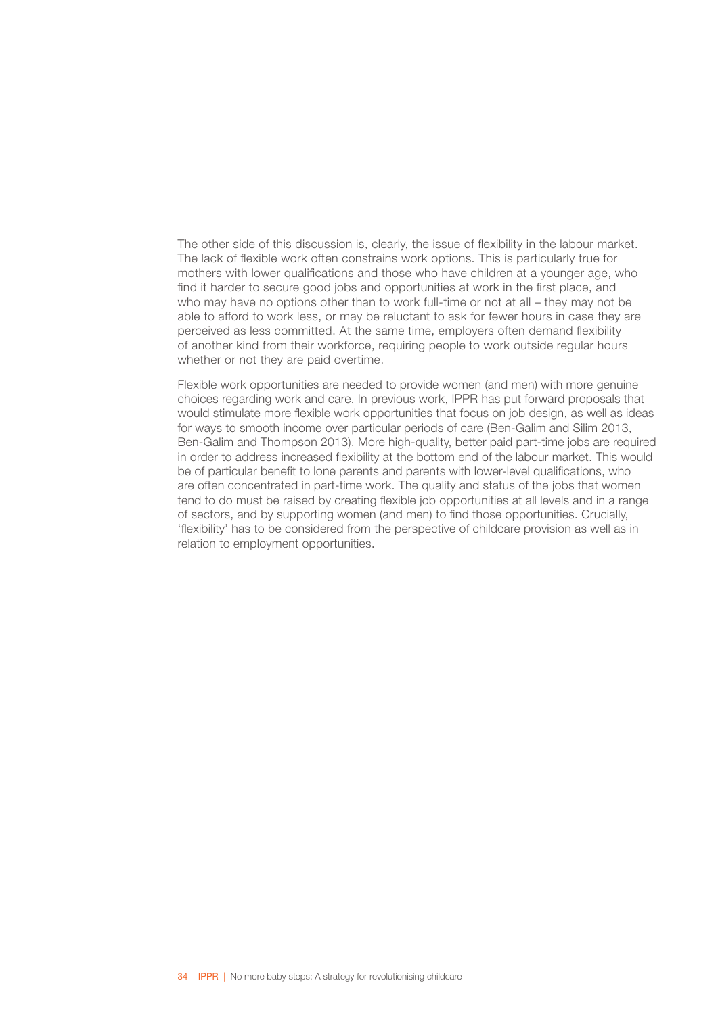The other side of this discussion is, clearly, the issue of flexibility in the labour market. The lack of flexible work often constrains work options. This is particularly true for mothers with lower qualifications and those who have children at a younger age, who find it harder to secure good jobs and opportunities at work in the first place, and who may have no options other than to work full-time or not at all – they may not be able to afford to work less, or may be reluctant to ask for fewer hours in case they are perceived as less committed. At the same time, employers often demand flexibility of another kind from their workforce, requiring people to work outside regular hours whether or not they are paid overtime.

Flexible work opportunities are needed to provide women (and men) with more genuine choices regarding work and care. In previous work, IPPR has put forward proposals that would stimulate more flexible work opportunities that focus on job design, as well as ideas for ways to smooth income over particular periods of care (Ben-Galim and Silim 2013, Ben-Galim and Thompson 2013). More high-quality, better paid part-time jobs are required in order to address increased flexibility at the bottom end of the labour market. This would be of particular benefit to lone parents and parents with lower-level qualifications, who are often concentrated in part-time work. The quality and status of the jobs that women tend to do must be raised by creating flexible job opportunities at all levels and in a range of sectors, and by supporting women (and men) to find those opportunities. Crucially, 'flexibility' has to be considered from the perspective of childcare provision as well as in relation to employment opportunities.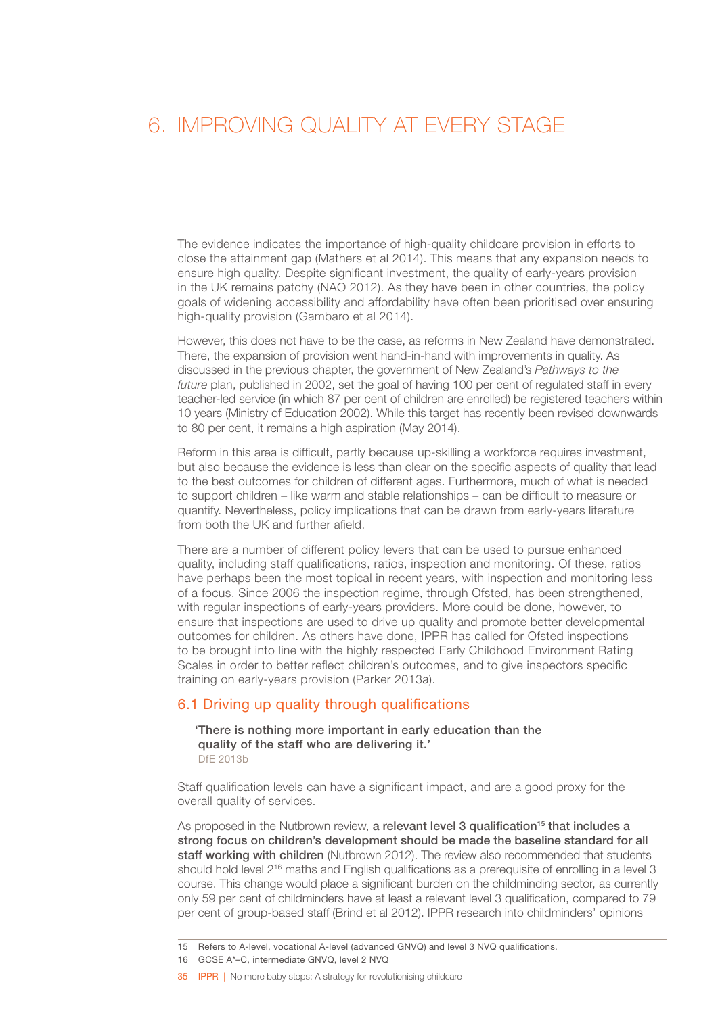### <span id="page-37-0"></span>6. IMPROVING OUALITY AT EVERY STAGE

The evidence indicates the importance of high-quality childcare provision in efforts to close the attainment gap (Mathers et al 2014). This means that any expansion needs to ensure high quality. Despite significant investment, the quality of early-years provision in the UK remains patchy (NAO 2012). As they have been in other countries, the policy goals of widening accessibility and affordability have often been prioritised over ensuring high-quality provision (Gambaro et al 2014).

However, this does not have to be the case, as reforms in New Zealand have demonstrated. There, the expansion of provision went hand-in-hand with improvements in quality. As discussed in the previous chapter, the government of New Zealand's *Pathways to the future* plan, published in 2002, set the goal of having 100 per cent of regulated staff in every teacher-led service (in which 87 per cent of children are enrolled) be registered teachers within 10 years (Ministry of Education 2002). While this target has recently been revised downwards to 80 per cent, it remains a high aspiration (May 2014).

Reform in this area is difficult, partly because up-skilling a workforce requires investment, but also because the evidence is less than clear on the specific aspects of quality that lead to the best outcomes for children of different ages. Furthermore, much of what is needed to support children – like warm and stable relationships – can be difficult to measure or quantify. Nevertheless, policy implications that can be drawn from early-years literature from both the UK and further afield.

There are a number of different policy levers that can be used to pursue enhanced quality, including staff qualifications, ratios, inspection and monitoring. Of these, ratios have perhaps been the most topical in recent years, with inspection and monitoring less of a focus. Since 2006 the inspection regime, through Ofsted, has been strengthened, with regular inspections of early-years providers. More could be done, however, to ensure that inspections are used to drive up quality and promote better developmental outcomes for children. As others have done, IPPR has called for Ofsted inspections to be brought into line with the highly respected Early Childhood Environment Rating Scales in order to better reflect children's outcomes, and to give inspectors specific training on early-years provision (Parker 2013a).

### 6.1 Driving up quality through qualifications

'There is nothing more important in early education than the quality of the staff who are delivering it.' DfE 2013b

Staff qualification levels can have a significant impact, and are a good proxy for the overall quality of services.

As proposed in the Nutbrown review, a relevant level 3 qualification<sup>15</sup> that includes a strong focus on children's development should be made the baseline standard for all staff working with children (Nutbrown 2012). The review also recommended that students should hold level 2<sup>16</sup> maths and English qualifications as a prerequisite of enrolling in a level 3 course. This change would place a significant burden on the childminding sector, as currently only 59 per cent of childminders have at least a relevant level 3 qualification, compared to 79 per cent of group-based staff (Brind et al 2012). IPPR research into childminders' opinions

35 IPPR | No more baby steps: A strategy for revolutionising childcare

<sup>15</sup> Refers to A-level, vocational A-level (advanced GNVQ) and level 3 NVQ qualifications.

<sup>16</sup> GCSE A\*–C, intermediate GNVQ, level 2 NVQ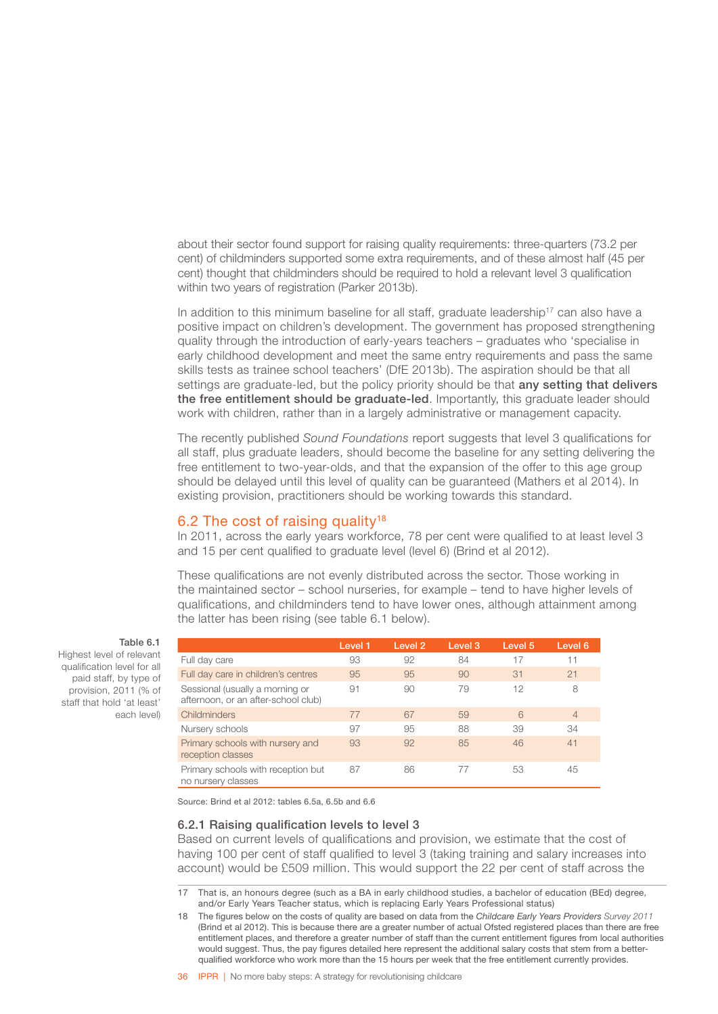<span id="page-38-0"></span>about their sector found support for raising quality requirements: three-quarters (73.2 per cent) of childminders supported some extra requirements, and of these almost half (45 per cent) thought that childminders should be required to hold a relevant level 3 qualification within two years of registration (Parker 2013b).

In addition to this minimum baseline for all staff, graduate leadership<sup>17</sup> can also have a positive impact on children's development. The government has proposed strengthening quality through the introduction of early-years teachers – graduates who 'specialise in early childhood development and meet the same entry requirements and pass the same skills tests as trainee school teachers' (DfE 2013b). The aspiration should be that all settings are graduate-led, but the policy priority should be that any setting that delivers the free entitlement should be graduate-led. Importantly, this graduate leader should work with children, rather than in a largely administrative or management capacity.

The recently published *Sound Foundations* report suggests that level 3 qualifications for all staff, plus graduate leaders, should become the baseline for any setting delivering the free entitlement to two-year-olds, and that the expansion of the offer to this age group should be delayed until this level of quality can be guaranteed (Mathers et al 2014). In existing provision, practitioners should be working towards this standard.

### 6.2 The cost of raising quality<sup>18</sup>

In 2011, across the early years workforce, 78 per cent were qualified to at least level 3 and 15 per cent qualified to graduate level (level 6) (Brind et al 2012).

These qualifications are not evenly distributed across the sector. Those working in the maintained sector – school nurseries, for example – tend to have higher levels of qualifications, and childminders tend to have lower ones, although attainment among the latter has been rising (see table 6.1 below).

|                                                                        | Level 1 | Level 2 | Level 3 | Level 5 | Level 6        |
|------------------------------------------------------------------------|---------|---------|---------|---------|----------------|
| Full day care                                                          | 93      | 92      | 84      | 17      | 11             |
| Full day care in children's centres                                    | 95      | 95      | 90      | 31      | 21             |
| Sessional (usually a morning or<br>afternoon, or an after-school club) | 91      | 90      | 79      | 12      | 8              |
| Childminders                                                           | 77      | 67      | 59      | 6       | $\overline{4}$ |
| Nursery schools                                                        | 97      | 95      | 88      | 39      | 34             |
| Primary schools with nursery and<br>reception classes                  | 93      | 92      | 85      | 46      | 41             |
| Primary schools with reception but<br>no nursery classes               | 87      | 86      |         | 53      | 45             |

Table 6.1

Highest level of relevant qualification level for all paid staff, by type of provision, 2011 (% of staff that hold 'at least' each level)

Source: Brind et al 2012: tables 6.5a, 6.5b and 6.6

#### 6.2.1 Raising qualification levels to level 3

Based on current levels of qualifications and provision, we estimate that the cost of having 100 per cent of staff qualified to level 3 (taking training and salary increases into account) would be £509 million. This would support the 22 per cent of staff across the

<sup>17</sup> That is, an honours degree (such as a BA in early childhood studies, a bachelor of education (BEd) degree, and/or Early Years Teacher status, which is replacing Early Years Professional status)

<sup>18</sup> The figures below on the costs of quality are based on data from the *Childcare Early Years Providers Survey 2011*  (Brind et al 2012). This is because there are a greater number of actual Ofsted registered places than there are free entitlement places, and therefore a greater number of staff than the current entitlement figures from local authorities would suggest. Thus, the pay figures detailed here represent the additional salary costs that stem from a betterqualified workforce who work more than the 15 hours per week that the free entitlement currently provides.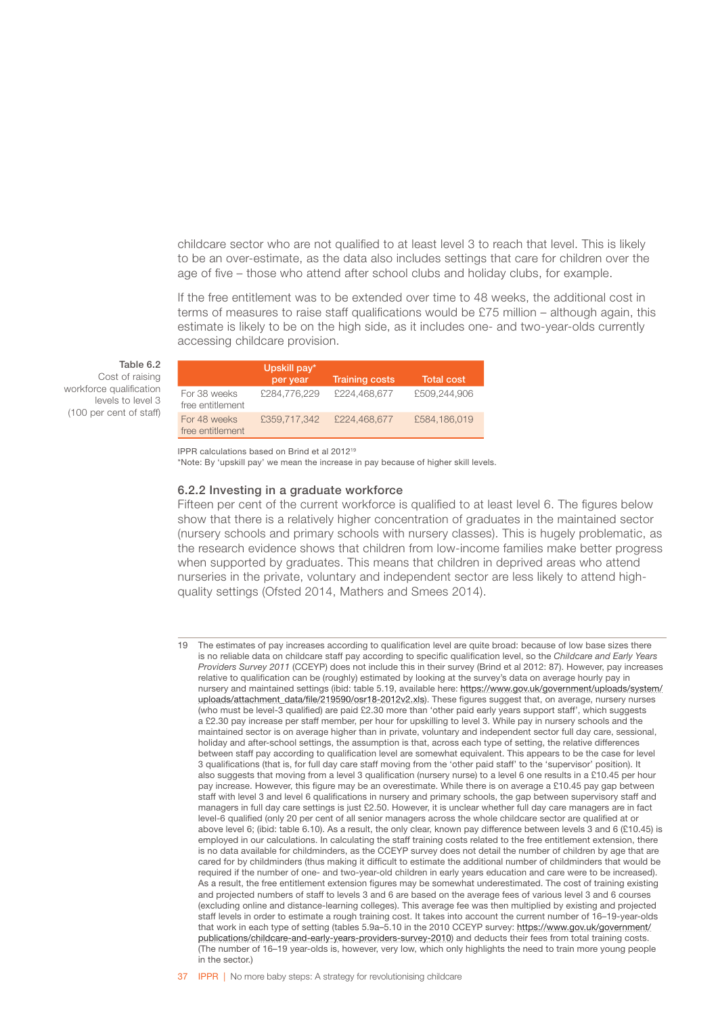childcare sector who are not qualified to at least level 3 to reach that level. This is likely to be an over-estimate, as the data also includes settings that care for children over the age of five – those who attend after school clubs and holiday clubs, for example.

If the free entitlement was to be extended over time to 48 weeks, the additional cost in terms of measures to raise staff qualifications would be £75 million – although again, this estimate is likely to be on the high side, as it includes one- and two-year-olds currently accessing childcare provision.

#### Table 6.2

Cost of raising workforce qualification levels to level 3 (100 per cent of staff)

|                                  | Upskill pay*<br>per year | Training costs | <b>Total cost</b> |
|----------------------------------|--------------------------|----------------|-------------------|
| For 38 weeks<br>free entitlement | £284,776,229             | £224,468,677   | £509,244,906      |
| For 48 weeks<br>free entitlement | £359,717,342             | £224,468,677   | £584,186,019      |

IPPR calculations based on Brind et al 201219

\*Note: By 'upskill pay' we mean the increase in pay because of higher skill levels.

#### 6.2.2 Investing in a graduate workforce

Fifteen per cent of the current workforce is qualified to at least level 6. The figures below show that there is a relatively higher concentration of graduates in the maintained sector (nursery schools and primary schools with nursery classes). This is hugely problematic, as the research evidence shows that children from low-income families make better progress when supported by graduates. This means that children in deprived areas who attend nurseries in the private, voluntary and independent sector are less likely to attend highquality settings (Ofsted 2014, Mathers and Smees 2014).

19 The estimates of pay increases according to qualification level are quite broad: because of low base sizes there is no reliable data on childcare staff pay according to specific qualification level, so the *Childcare and Early Years Providers Survey 2011* (CCEYP) does not include this in their survey (Brind et al 2012: 87). However, pay increases relative to qualification can be (roughly) estimated by looking at the survey's data on average hourly pay in nursery and maintained settings (ibid: table 5.19, available here: [https://www.gov.uk/government/uploads/system/](https://www.gov.uk/government/uploads/system/uploads/attachment_data/file/219590/osr18-2012v2.xls) [uploads/attachment\\_data/file/219590/osr18-2012v2.xls](https://www.gov.uk/government/uploads/system/uploads/attachment_data/file/219590/osr18-2012v2.xls)). These figures suggest that, on average, nursery nurses (who must be level-3 qualified) are paid £2.30 more than 'other paid early years support staff', which suggests a £2.30 pay increase per staff member, per hour for upskilling to level 3. While pay in nursery schools and the maintained sector is on average higher than in private, voluntary and independent sector full day care, sessional, holiday and after-school settings, the assumption is that, across each type of setting, the relative differences between staff pay according to qualification level are somewhat equivalent. This appears to be the case for level 3 qualifications (that is, for full day care staff moving from the 'other paid staff' to the 'supervisor' position). It also suggests that moving from a level 3 qualification (nursery nurse) to a level 6 one results in a £10.45 per hour pay increase. However, this figure may be an overestimate. While there is on average a £10.45 pay gap between staff with level 3 and level 6 qualifications in nursery and primary schools, the gap between supervisory staff and managers in full day care settings is just £2.50. However, it is unclear whether full day care managers are in fact level-6 qualified (only 20 per cent of all senior managers across the whole childcare sector are qualified at or above level 6; (ibid: table 6.10). As a result, the only clear, known pay difference between levels 3 and 6 (£10.45) is employed in our calculations. In calculating the staff training costs related to the free entitlement extension, there is no data available for childminders, as the CCEYP survey does not detail the number of children by age that are cared for by childminders (thus making it difficult to estimate the additional number of childminders that would be required if the number of one- and two-year-old children in early years education and care were to be increased). As a result, the free entitlement extension figures may be somewhat underestimated. The cost of training existing and projected numbers of staff to levels 3 and 6 are based on the average fees of various level 3 and 6 courses (excluding online and distance-learning colleges). This average fee was then multiplied by existing and projected staff levels in order to estimate a rough training cost. It takes into account the current number of 16–19-year-olds that work in each type of setting (tables 5.9a–5.10 in the 2010 CCEYP survey: [https://www.gov.uk/government/](https://www.gov.uk/government/publications/childcare-and-early-years-providers-survey-2010) [publications/childcare-and-early-years-providers-survey-2010](https://www.gov.uk/government/publications/childcare-and-early-years-providers-survey-2010)) and deducts their fees from total training costs. (The number of 16–19 year-olds is, however, very low, which only highlights the need to train more young people in the sector.)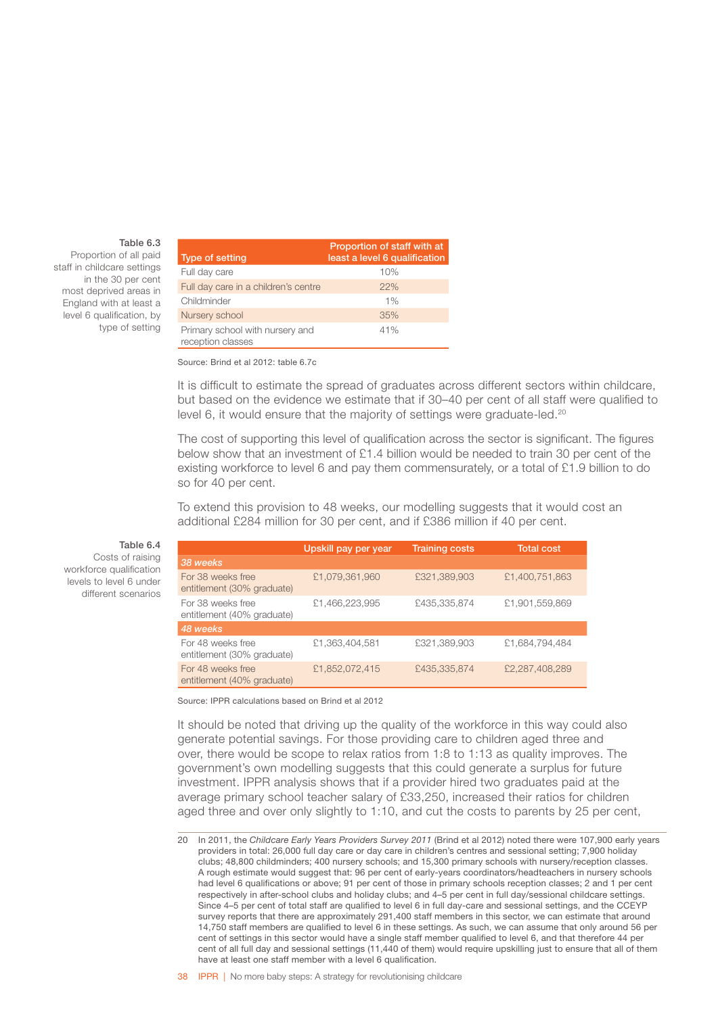#### Table 6.3

Proportion of all paid staff in childcare settings in the 30 per cent most deprived areas in England with at least a level 6 qualification, by type of setting

| Type of setting                                      | Proportion of staff with at<br>least a level 6 qualification |
|------------------------------------------------------|--------------------------------------------------------------|
| Full day care                                        | 10%                                                          |
| Full day care in a children's centre                 | 22%                                                          |
| Childminder                                          | 1%                                                           |
| Nursery school                                       | 35%                                                          |
| Primary school with nursery and<br>reception classes | 41%                                                          |

Source: Brind et al 2012: table 6.7c

It is difficult to estimate the spread of graduates across different sectors within childcare, but based on the evidence we estimate that if 30–40 per cent of all staff were qualified to level 6, it would ensure that the majority of settings were graduate-led.<sup>20</sup>

The cost of supporting this level of qualification across the sector is significant. The figures below show that an investment of £1.4 billion would be needed to train 30 per cent of the existing workforce to level 6 and pay them commensurately, or a total of £1.9 billion to do so for 40 per cent.

To extend this provision to 48 weeks, our modelling suggests that it would cost an additional £284 million for 30 per cent, and if £386 million if 40 per cent.

|                                                 | Upskill pay per year | <b>Training costs</b> | <b>Total cost</b> |
|-------------------------------------------------|----------------------|-----------------------|-------------------|
| 38 weeks                                        |                      |                       |                   |
| For 38 weeks free<br>entitlement (30% graduate) | £1,079,361,960       | £321,389,903          | £1,400,751,863    |
| For 38 weeks free<br>entitlement (40% graduate) | £1,466,223,995       | £435,335,874          | £1,901,559,869    |
| 48 weeks                                        |                      |                       |                   |
| For 48 weeks free<br>entitlement (30% graduate) | £1,363,404,581       | £321,389,903          | £1,684,794,484    |
| For 48 weeks free<br>entitlement (40% graduate) | £1,852,072,415       | £435,335,874          | £2,287,408,289    |

Source: IPPR calculations based on Brind et al 2012

It should be noted that driving up the quality of the workforce in this way could also generate potential savings. For those providing care to children aged three and over, there would be scope to relax ratios from 1:8 to 1:13 as quality improves. The government's own modelling suggests that this could generate a surplus for future investment. IPPR analysis shows that if a provider hired two graduates paid at the average primary school teacher salary of £33,250, increased their ratios for children aged three and over only slightly to 1:10, and cut the costs to parents by 25 per cent,

Table 6.4 Costs of raising workforce qualification levels to level 6 under different scenarios

<sup>20</sup> In 2011, the *Childcare Early Years Providers Survey 2011* (Brind et al 2012) noted there were 107,900 early years providers in total: 26,000 full day care or day care in children's centres and sessional setting; 7,900 holiday clubs; 48,800 childminders; 400 nursery schools; and 15,300 primary schools with nursery/reception classes. A rough estimate would suggest that: 96 per cent of early-years coordinators/headteachers in nursery schools had level 6 qualifications or above; 91 per cent of those in primary schools reception classes; 2 and 1 per cent respectively in after-school clubs and holiday clubs; and 4–5 per cent in full day/sessional childcare settings. Since 4–5 per cent of total staff are qualified to level 6 in full day-care and sessional settings, and the CCEYP survey reports that there are approximately 291,400 staff members in this sector, we can estimate that around 14,750 staff members are qualified to level 6 in these settings. As such, we can assume that only around 56 per cent of settings in this sector would have a single staff member qualified to level 6, and that therefore 44 per cent of all full day and sessional settings (11,440 of them) would require upskilling just to ensure that all of them have at least one staff member with a level 6 qualification.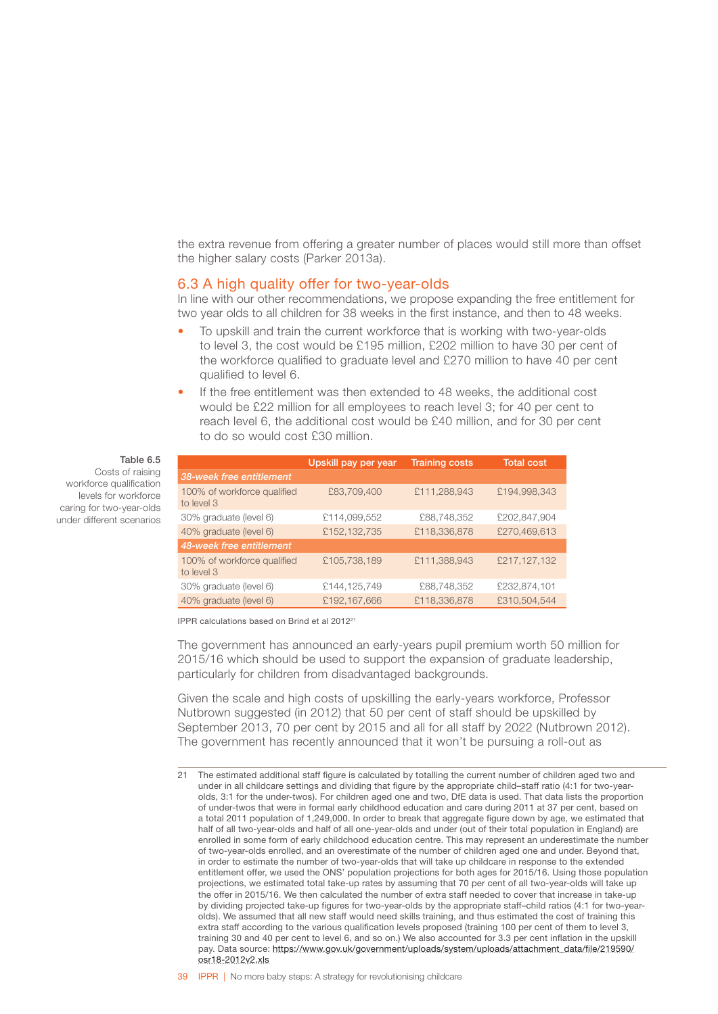<span id="page-41-0"></span>the extra revenue from offering a greater number of places would still more than offset the higher salary costs (Parker 2013a).

### 6.3 A high quality offer for two-year-olds

In line with our other recommendations, we propose expanding the free entitlement for two year olds to all children for 38 weeks in the first instance, and then to 48 weeks.

- To upskill and train the current workforce that is working with two-year-olds to level 3, the cost would be £195 million, £202 million to have 30 per cent of the workforce qualified to graduate level and £270 million to have 40 per cent qualified to level 6.
- If the free entitlement was then extended to 48 weeks, the additional cost would be £22 million for all employees to reach level 3; for 40 per cent to reach level 6, the additional cost would be £40 million, and for 30 per cent to do so would cost £30 million.

#### Table 6.5

Costs of raising workforce qualification levels for workforce caring for two-year-olds under different scenarios

|                                           | Upskill pay per year | <b>Training costs</b> | <b>Total cost</b> |
|-------------------------------------------|----------------------|-----------------------|-------------------|
| 38-week free entitlement                  |                      |                       |                   |
| 100% of workforce qualified<br>to level 3 | £83,709,400          | £111,288,943          | £194,998,343      |
| 30% graduate (level 6)                    | £114,099,552         | £88,748,352           | £202,847,904      |
| 40% graduate (level 6)                    | £152,132,735         | £118,336,878          | £270,469,613      |
| 48-week free entitlement                  |                      |                       |                   |
| 100% of workforce qualified<br>to level 3 | £105,738,189         | £111,388,943          | £217,127,132      |
| 30% graduate (level 6)                    | £144,125,749         | £88,748,352           | £232,874,101      |
| 40% graduate (level 6)                    | £192,167,666         | £118,336,878          | £310,504.544      |

IPPR calculations based on Brind et al 201221

The government has announced an early-years pupil premium worth 50 million for 2015/16 which should be used to support the expansion of graduate leadership, particularly for children from disadvantaged backgrounds.

Given the scale and high costs of upskilling the early-years workforce, Professor Nutbrown suggested (in 2012) that 50 per cent of staff should be upskilled by September 2013, 70 per cent by 2015 and all for all staff by 2022 (Nutbrown 2012). The government has recently announced that it won't be pursuing a roll-out as

<sup>21</sup> The estimated additional staff figure is calculated by totalling the current number of children aged two and under in all childcare settings and dividing that figure by the appropriate child–staff ratio (4:1 for two-yearolds, 3:1 for the under-twos). For children aged one and two, DfE data is used. That data lists the proportion of under-twos that were in formal early childhood education and care during 2011 at 37 per cent, based on a total 2011 population of 1,249,000. In order to break that aggregate figure down by age, we estimated that half of all two-year-olds and half of all one-year-olds and under (out of their total population in England) are enrolled in some form of early childchood education centre. This may represent an underestimate the number of two-year-olds enrolled, and an overestimate of the number of children aged one and under. Beyond that, in order to estimate the number of two-year-olds that will take up childcare in response to the extended entitlement offer, we used the ONS' population projections for both ages for 2015/16. Using those population projections, we estimated total take-up rates by assuming that 70 per cent of all two-year-olds will take up the offer in 2015/16. We then calculated the number of extra staff needed to cover that increase in take-up by dividing projected take-up figures for two-year-olds by the appropriate staff–child ratios (4:1 for two-yearolds). We assumed that all new staff would need skills training, and thus estimated the cost of training this extra staff according to the various qualification levels proposed (training 100 per cent of them to level 3, training 30 and 40 per cent to level 6, and so on.) We also accounted for 3.3 per cent inflation in the upskill pay. Data source: [https://www.gov.uk/government/uploads/system/uploads/attachment\\_data/file/219590/](https://www.gov.uk/government/uploads/system/uploads/attachment_data/file/219590/osr18-2012v2.xls) [osr18-2012v2.xls](https://www.gov.uk/government/uploads/system/uploads/attachment_data/file/219590/osr18-2012v2.xls)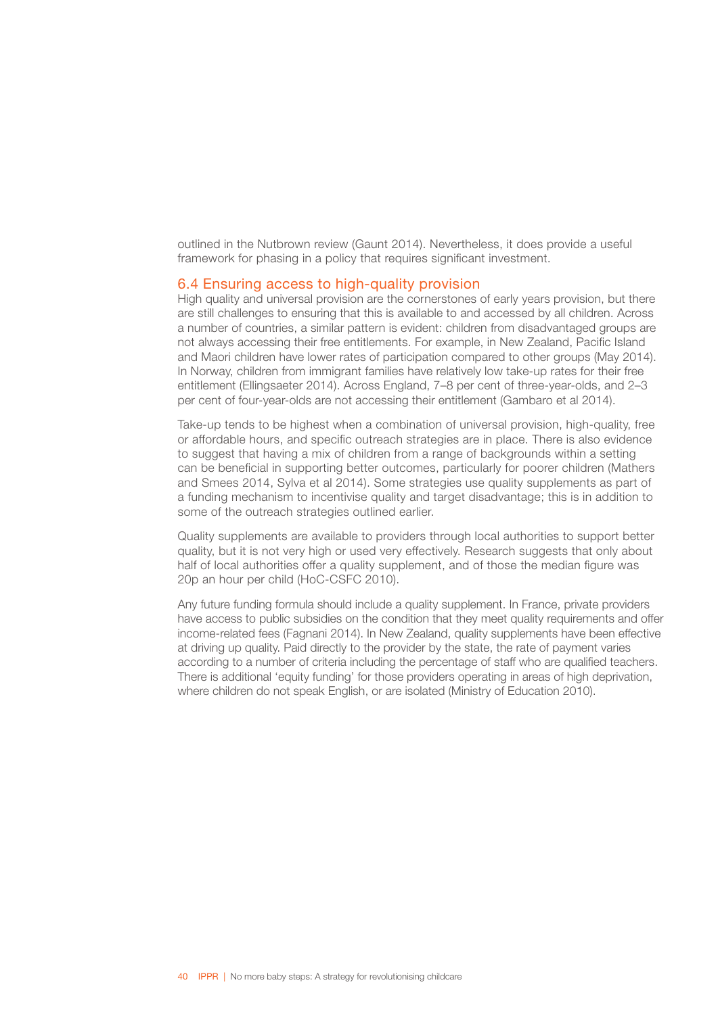<span id="page-42-0"></span>outlined in the Nutbrown review (Gaunt 2014). Nevertheless, it does provide a useful framework for phasing in a policy that requires significant investment.

### 6.4 Ensuring access to high-quality provision

High quality and universal provision are the cornerstones of early years provision, but there are still challenges to ensuring that this is available to and accessed by all children. Across a number of countries, a similar pattern is evident: children from disadvantaged groups are not always accessing their free entitlements. For example, in New Zealand, Pacific Island and Maori children have lower rates of participation compared to other groups (May 2014). In Norway, children from immigrant families have relatively low take-up rates for their free entitlement (Ellingsaeter 2014). Across England, 7–8 per cent of three-year-olds, and 2–3 per cent of four-year-olds are not accessing their entitlement (Gambaro et al 2014).

Take-up tends to be highest when a combination of universal provision, high-quality, free or affordable hours, and specific outreach strategies are in place. There is also evidence to suggest that having a mix of children from a range of backgrounds within a setting can be beneficial in supporting better outcomes, particularly for poorer children (Mathers and Smees 2014, Sylva et al 2014). Some strategies use quality supplements as part of a funding mechanism to incentivise quality and target disadvantage; this is in addition to some of the outreach strategies outlined earlier.

Quality supplements are available to providers through local authorities to support better quality, but it is not very high or used very effectively. Research suggests that only about half of local authorities offer a quality supplement, and of those the median figure was 20p an hour per child (HoC-CSFC 2010).

Any future funding formula should include a quality supplement. In France, private providers have access to public subsidies on the condition that they meet quality requirements and offer income-related fees (Fagnani 2014). In New Zealand, quality supplements have been effective at driving up quality. Paid directly to the provider by the state, the rate of payment varies according to a number of criteria including the percentage of staff who are qualified teachers. There is additional 'equity funding' for those providers operating in areas of high deprivation, where children do not speak English, or are isolated (Ministry of Education 2010).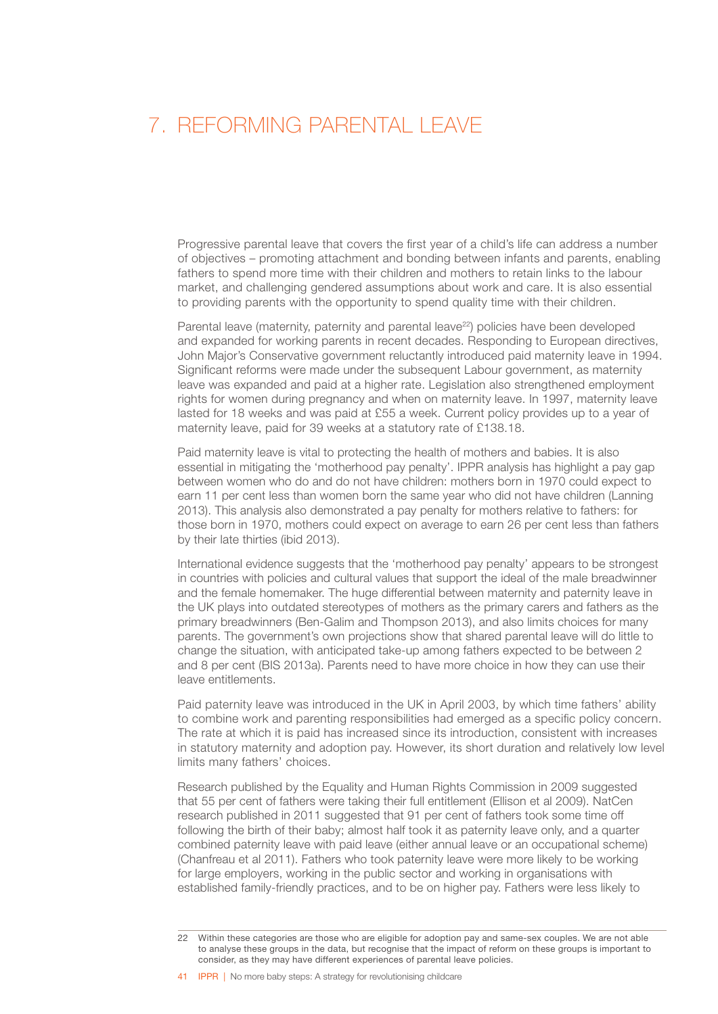### <span id="page-43-0"></span>7. REFORMING PARENTAL LEAVE

Progressive parental leave that covers the first year of a child's life can address a number of objectives – promoting attachment and bonding between infants and parents, enabling fathers to spend more time with their children and mothers to retain links to the labour market, and challenging gendered assumptions about work and care. It is also essential to providing parents with the opportunity to spend quality time with their children.

Parental leave (maternity, paternity and parental leave<sup>22</sup>) policies have been developed and expanded for working parents in recent decades. Responding to European directives, John Major's Conservative government reluctantly introduced paid maternity leave in 1994. Significant reforms were made under the subsequent Labour government, as maternity leave was expanded and paid at a higher rate. Legislation also strengthened employment rights for women during pregnancy and when on maternity leave. In 1997, maternity leave lasted for 18 weeks and was paid at £55 a week. Current policy provides up to a year of maternity leave, paid for 39 weeks at a statutory rate of £138.18.

Paid maternity leave is vital to protecting the health of mothers and babies. It is also essential in mitigating the 'motherhood pay penalty'. IPPR analysis has highlight a pay gap between women who do and do not have children: mothers born in 1970 could expect to earn 11 per cent less than women born the same year who did not have children (Lanning 2013). This analysis also demonstrated a pay penalty for mothers relative to fathers: for those born in 1970, mothers could expect on average to earn 26 per cent less than fathers by their late thirties (ibid 2013).

International evidence suggests that the 'motherhood pay penalty' appears to be strongest in countries with policies and cultural values that support the ideal of the male breadwinner and the female homemaker. The huge differential between maternity and paternity leave in the UK plays into outdated stereotypes of mothers as the primary carers and fathers as the primary breadwinners (Ben-Galim and Thompson 2013), and also limits choices for many parents. The government's own projections show that shared parental leave will do little to change the situation, with anticipated take-up among fathers expected to be between 2 and 8 per cent (BIS 2013a). Parents need to have more choice in how they can use their leave entitlements.

Paid paternity leave was introduced in the UK in April 2003, by which time fathers' ability to combine work and parenting responsibilities had emerged as a specific policy concern. The rate at which it is paid has increased since its introduction, consistent with increases in statutory maternity and adoption pay. However, its short duration and relatively low level limits many fathers' choices.

Research published by the Equality and Human Rights Commission in 2009 suggested that 55 per cent of fathers were taking their full entitlement (Ellison et al 2009). NatCen research published in 2011 suggested that 91 per cent of fathers took some time off following the birth of their baby; almost half took it as paternity leave only, and a quarter combined paternity leave with paid leave (either annual leave or an occupational scheme) (Chanfreau et al 2011). Fathers who took paternity leave were more likely to be working for large employers, working in the public sector and working in organisations with established family-friendly practices, and to be on higher pay. Fathers were less likely to

41 **IPPR |** No more baby steps: A strategy for revolutionising childcare

<sup>22</sup> Within these categories are those who are eligible for adoption pay and same-sex couples. We are not able to analyse these groups in the data, but recognise that the impact of reform on these groups is important to consider, as they may have different experiences of parental leave policies.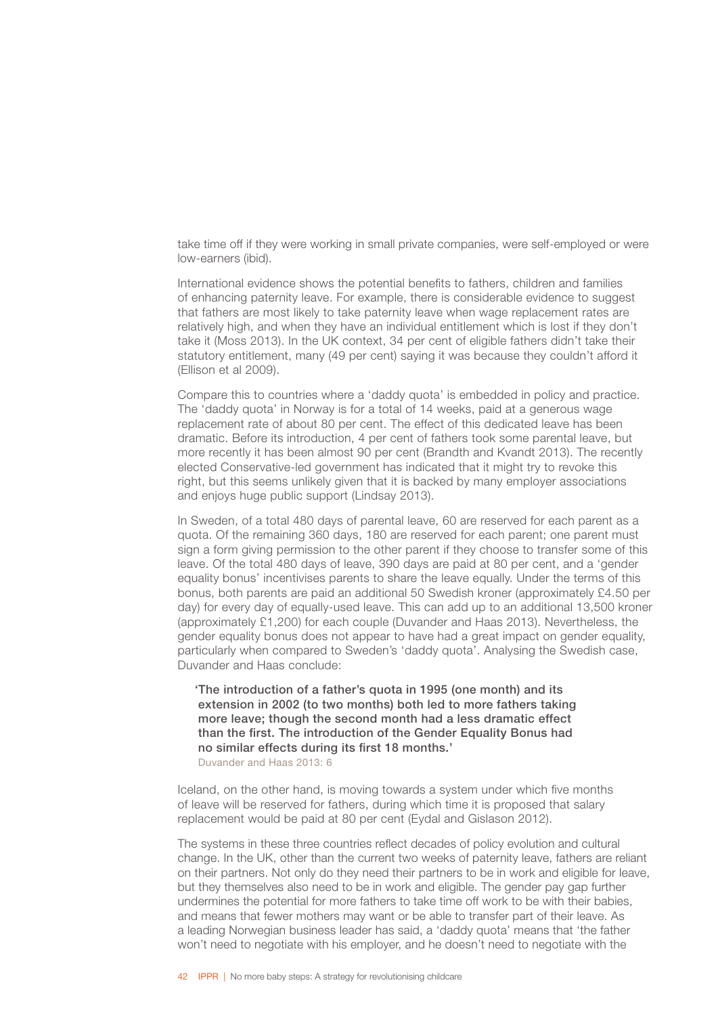take time off if they were working in small private companies, were self-employed or were low-earners (ibid).

International evidence shows the potential benefits to fathers, children and families of enhancing paternity leave. For example, there is considerable evidence to suggest that fathers are most likely to take paternity leave when wage replacement rates are relatively high, and when they have an individual entitlement which is lost if they don't take it (Moss 2013). In the UK context, 34 per cent of eligible fathers didn't take their statutory entitlement, many (49 per cent) saying it was because they couldn't afford it (Ellison et al 2009).

Compare this to countries where a 'daddy quota' is embedded in policy and practice. The 'daddy quota' in Norway is for a total of 14 weeks, paid at a generous wage replacement rate of about 80 per cent. The effect of this dedicated leave has been dramatic. Before its introduction, 4 per cent of fathers took some parental leave, but more recently it has been almost 90 per cent (Brandth and Kvandt 2013). The recently elected Conservative-led government has indicated that it might try to revoke this right, but this seems unlikely given that it is backed by many employer associations and enjoys huge public support (Lindsay 2013).

In Sweden, of a total 480 days of parental leave, 60 are reserved for each parent as a quota. Of the remaining 360 days, 180 are reserved for each parent; one parent must sign a form giving permission to the other parent if they choose to transfer some of this leave. Of the total 480 days of leave, 390 days are paid at 80 per cent, and a 'gender equality bonus' incentivises parents to share the leave equally. Under the terms of this bonus, both parents are paid an additional 50 Swedish kroner (approximately £4.50 per day) for every day of equally-used leave. This can add up to an additional 13,500 kroner (approximately £1,200) for each couple (Duvander and Haas 2013). Nevertheless, the gender equality bonus does not appear to have had a great impact on gender equality, particularly when compared to Sweden's 'daddy quota'. Analysing the Swedish case, Duvander and Haas conclude:

'The introduction of a father's quota in 1995 (one month) and its extension in 2002 (to two months) both led to more fathers taking more leave; though the second month had a less dramatic effect than the first. The introduction of the Gender Equality Bonus had no similar effects during its first 18 months.' Duvander and Haas 2013: 6

Iceland, on the other hand, is moving towards a system under which five months of leave will be reserved for fathers, during which time it is proposed that salary replacement would be paid at 80 per cent (Eydal and Gislason 2012).

The systems in these three countries reflect decades of policy evolution and cultural change. In the UK, other than the current two weeks of paternity leave, fathers are reliant on their partners. Not only do they need their partners to be in work and eligible for leave, but they themselves also need to be in work and eligible. The gender pay gap further undermines the potential for more fathers to take time off work to be with their babies, and means that fewer mothers may want or be able to transfer part of their leave. As a leading Norwegian business leader has said, a 'daddy quota' means that 'the father won't need to negotiate with his employer, and he doesn't need to negotiate with the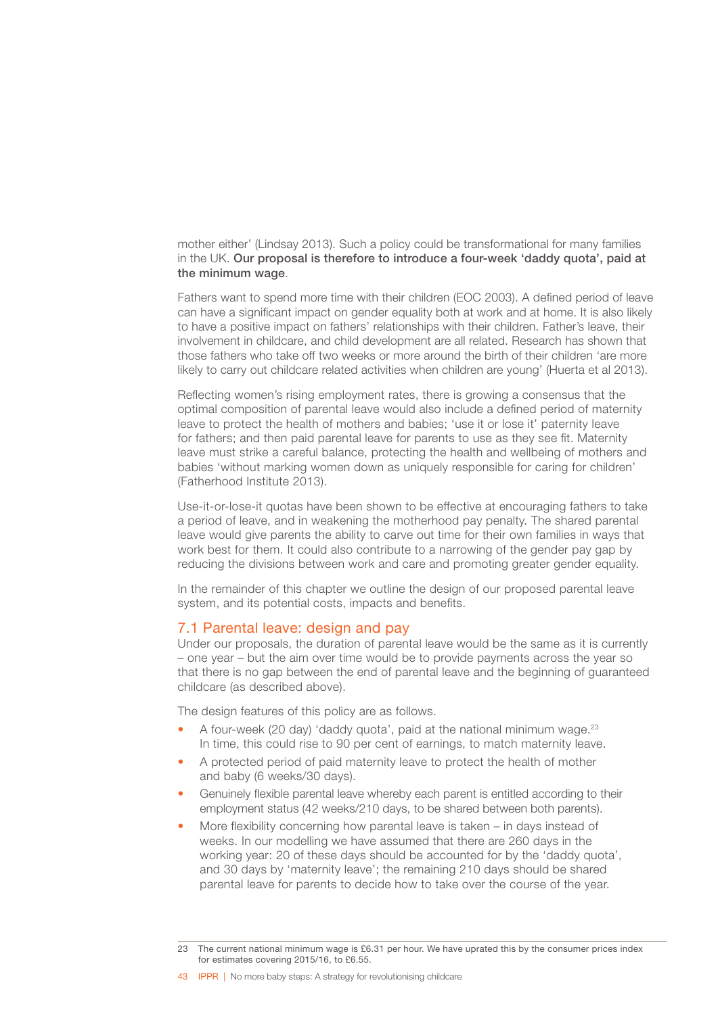<span id="page-45-0"></span>mother either' (Lindsay 2013). Such a policy could be transformational for many families in the UK. Our proposal is therefore to introduce a four-week 'daddy quota', paid at the minimum wage.

Fathers want to spend more time with their children (EOC 2003). A defined period of leave can have a significant impact on gender equality both at work and at home. It is also likely to have a positive impact on fathers' relationships with their children. Father's leave, their involvement in childcare, and child development are all related. Research has shown that those fathers who take off two weeks or more around the birth of their children 'are more likely to carry out childcare related activities when children are young' (Huerta et al 2013).

Reflecting women's rising employment rates, there is growing a consensus that the optimal composition of parental leave would also include a defined period of maternity leave to protect the health of mothers and babies; 'use it or lose it' paternity leave for fathers; and then paid parental leave for parents to use as they see fit. Maternity leave must strike a careful balance, protecting the health and wellbeing of mothers and babies 'without marking women down as uniquely responsible for caring for children' (Fatherhood Institute 2013).

Use-it-or-lose-it quotas have been shown to be effective at encouraging fathers to take a period of leave, and in weakening the motherhood pay penalty. The shared parental leave would give parents the ability to carve out time for their own families in ways that work best for them. It could also contribute to a narrowing of the gender pay gap by reducing the divisions between work and care and promoting greater gender equality.

In the remainder of this chapter we outline the design of our proposed parental leave system, and its potential costs, impacts and benefits.

### 7.1 Parental leave: design and pay

Under our proposals, the duration of parental leave would be the same as it is currently – one year – but the aim over time would be to provide payments across the year so that there is no gap between the end of parental leave and the beginning of guaranteed childcare (as described above).

The design features of this policy are as follows.

- A four-week (20 day) 'daddy quota', paid at the national minimum wage.<sup>23</sup> In time, this could rise to 90 per cent of earnings, to match maternity leave.
- A protected period of paid maternity leave to protect the health of mother and baby (6 weeks/30 days).
- Genuinely flexible parental leave whereby each parent is entitled according to their employment status (42 weeks/210 days, to be shared between both parents).
- More flexibility concerning how parental leave is taken in days instead of weeks. In our modelling we have assumed that there are 260 days in the working year: 20 of these days should be accounted for by the 'daddy quota', and 30 days by 'maternity leave'; the remaining 210 days should be shared parental leave for parents to decide how to take over the course of the year.

<sup>23</sup> The current national minimum wage is £6.31 per hour. We have uprated this by the consumer prices index for estimates covering 2015/16, to £6.55.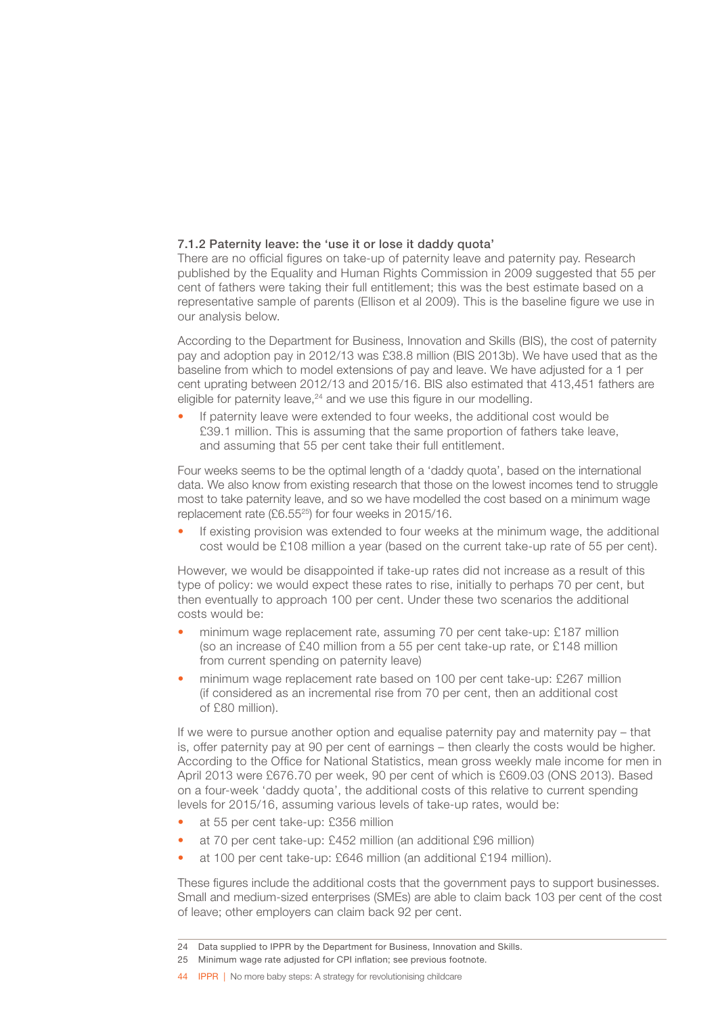### 7.1.2 Paternity leave: the 'use it or lose it daddy quota'

There are no official figures on take-up of paternity leave and paternity pay. Research published by the Equality and Human Rights Commission in 2009 suggested that 55 per cent of fathers were taking their full entitlement; this was the best estimate based on a representative sample of parents (Ellison et al 2009). This is the baseline figure we use in our analysis below.

According to the Department for Business, Innovation and Skills (BIS), the cost of paternity pay and adoption pay in 2012/13 was £38.8 million (BIS 2013b). We have used that as the baseline from which to model extensions of pay and leave. We have adjusted for a 1 per cent uprating between 2012/13 and 2015/16. BIS also estimated that 413,451 fathers are eligible for paternity leave, $24$  and we use this figure in our modelling.

If paternity leave were extended to four weeks, the additional cost would be £39.1 million. This is assuming that the same proportion of fathers take leave, and assuming that 55 per cent take their full entitlement.

Four weeks seems to be the optimal length of a 'daddy quota', based on the international data. We also know from existing research that those on the lowest incomes tend to struggle most to take paternity leave, and so we have modelled the cost based on a minimum wage replacement rate (£6.5525) for four weeks in 2015/16.

If existing provision was extended to four weeks at the minimum wage, the additional cost would be £108 million a year (based on the current take-up rate of 55 per cent).

However, we would be disappointed if take-up rates did not increase as a result of this type of policy: we would expect these rates to rise, initially to perhaps 70 per cent, but then eventually to approach 100 per cent. Under these two scenarios the additional costs would be:

- minimum wage replacement rate, assuming 70 per cent take-up: £187 million (so an increase of £40 million from a 55 per cent take-up rate, or £148 million from current spending on paternity leave)
- minimum wage replacement rate based on 100 per cent take-up: £267 million (if considered as an incremental rise from 70 per cent, then an additional cost  $of$   $f$ 80 million)

If we were to pursue another option and equalise paternity pay and maternity pay – that is, offer paternity pay at 90 per cent of earnings – then clearly the costs would be higher. According to the Office for National Statistics, mean gross weekly male income for men in April 2013 were £676.70 per week, 90 per cent of which is £609.03 (ONS 2013). Based on a four-week 'daddy quota', the additional costs of this relative to current spending levels for 2015/16, assuming various levels of take-up rates, would be:

- at 55 per cent take-up: £356 million
- at 70 per cent take-up: £452 million (an additional £96 million)
- at 100 per cent take-up: £646 million (an additional £194 million).

These figures include the additional costs that the government pays to support businesses. Small and medium-sized enterprises (SMEs) are able to claim back 103 per cent of the cost of leave; other employers can claim back 92 per cent.

44 IPPR | No more baby steps: A strategy for revolutionising childcare

<sup>24</sup> Data supplied to IPPR by the Department for Business, Innovation and Skills.

<sup>25</sup> Minimum wage rate adjusted for CPI inflation; see previous footnote.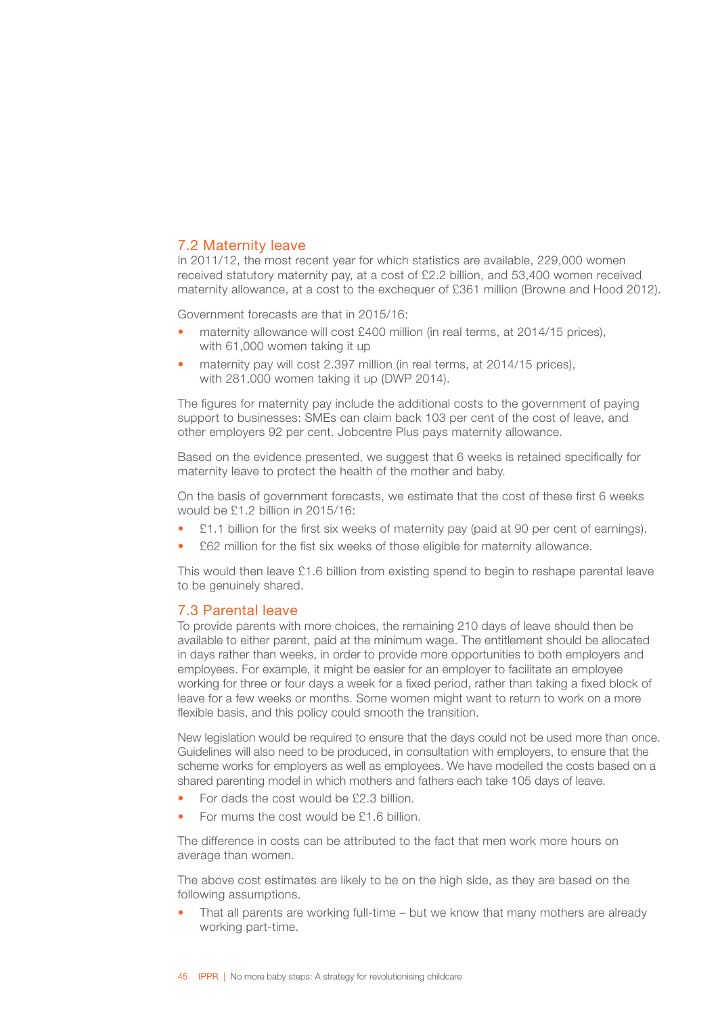### <span id="page-47-0"></span>7.2 Maternity leave

In 2011/12, the most recent year for which statistics are available, 229,000 women received statutory maternity pay, at a cost of £2.2 billion, and 53,400 women received maternity allowance, at a cost to the exchequer of £361 million (Browne and Hood 2012).

Government forecasts are that in 2015/16:

- maternity allowance will cost £400 million (in real terms, at 2014/15 prices). with 61,000 women taking it up
- maternity pay will cost 2.397 million (in real terms, at 2014/15 prices), with 281,000 women taking it up (DWP 2014).

The figures for maternity pay include the additional costs to the government of paying support to businesses: SMEs can claim back 103 per cent of the cost of leave, and other employers 92 per cent. Jobcentre Plus pays maternity allowance.

Based on the evidence presented, we suggest that 6 weeks is retained specifically for maternity leave to protect the health of the mother and baby.

On the basis of government forecasts, we estimate that the cost of these first 6 weeks would be £1.2 billion in 2015/16:

- £1.1 billion for the first six weeks of maternity pay (paid at 90 per cent of earnings).
- £62 million for the fist six weeks of those eligible for maternity allowance.

This would then leave £1.6 billion from existing spend to begin to reshape parental leave to be genuinely shared.

### 7.3 Parental leave

To provide parents with more choices, the remaining 210 days of leave should then be available to either parent, paid at the minimum wage. The entitlement should be allocated in days rather than weeks, in order to provide more opportunities to both employers and employees. For example, it might be easier for an employer to facilitate an employee working for three or four days a week for a fixed period, rather than taking a fixed block of leave for a few weeks or months. Some women might want to return to work on a more flexible basis, and this policy could smooth the transition.

New legislation would be required to ensure that the days could not be used more than once. Guidelines will also need to be produced, in consultation with employers, to ensure that the scheme works for employers as well as employees. We have modelled the costs based on a shared parenting model in which mothers and fathers each take 105 days of leave.

- For dads the cost would be £2.3 billion.
- For mums the cost would be £1.6 billion.

The difference in costs can be attributed to the fact that men work more hours on average than women.

The above cost estimates are likely to be on the high side, as they are based on the following assumptions.

• That all parents are working full-time – but we know that many mothers are already working part-time.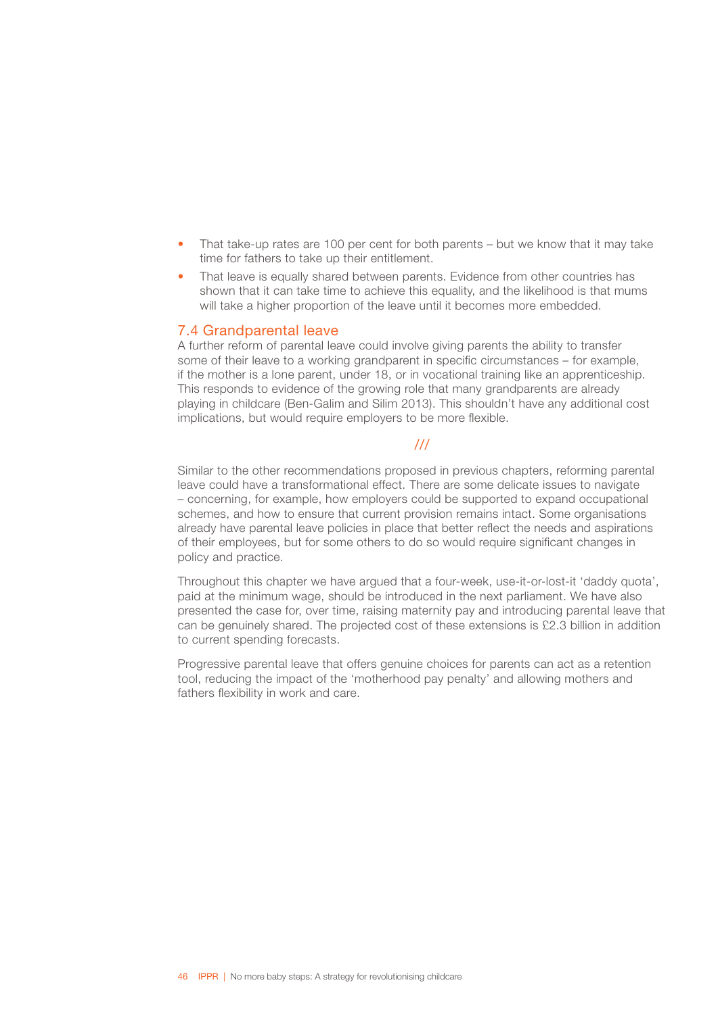- <span id="page-48-0"></span>• That take-up rates are 100 per cent for both parents – but we know that it may take time for fathers to take up their entitlement.
- That leave is equally shared between parents. Evidence from other countries has shown that it can take time to achieve this equality, and the likelihood is that mums will take a higher proportion of the leave until it becomes more embedded.

### 7.4 Grandparental leave

A further reform of parental leave could involve giving parents the ability to transfer some of their leave to a working grandparent in specific circumstances – for example, if the mother is a lone parent, under 18, or in vocational training like an apprenticeship. This responds to evidence of the growing role that many grandparents are already playing in childcare (Ben-Galim and Silim 2013). This shouldn't have any additional cost implications, but would require employers to be more flexible.

### ///

Similar to the other recommendations proposed in previous chapters, reforming parental leave could have a transformational effect. There are some delicate issues to navigate – concerning, for example, how employers could be supported to expand occupational schemes, and how to ensure that current provision remains intact. Some organisations already have parental leave policies in place that better reflect the needs and aspirations of their employees, but for some others to do so would require significant changes in policy and practice.

Throughout this chapter we have argued that a four-week, use-it-or-lost-it 'daddy quota', paid at the minimum wage, should be introduced in the next parliament. We have also presented the case for, over time, raising maternity pay and introducing parental leave that can be genuinely shared. The projected cost of these extensions is £2.3 billion in addition to current spending forecasts.

Progressive parental leave that offers genuine choices for parents can act as a retention tool, reducing the impact of the 'motherhood pay penalty' and allowing mothers and fathers flexibility in work and care.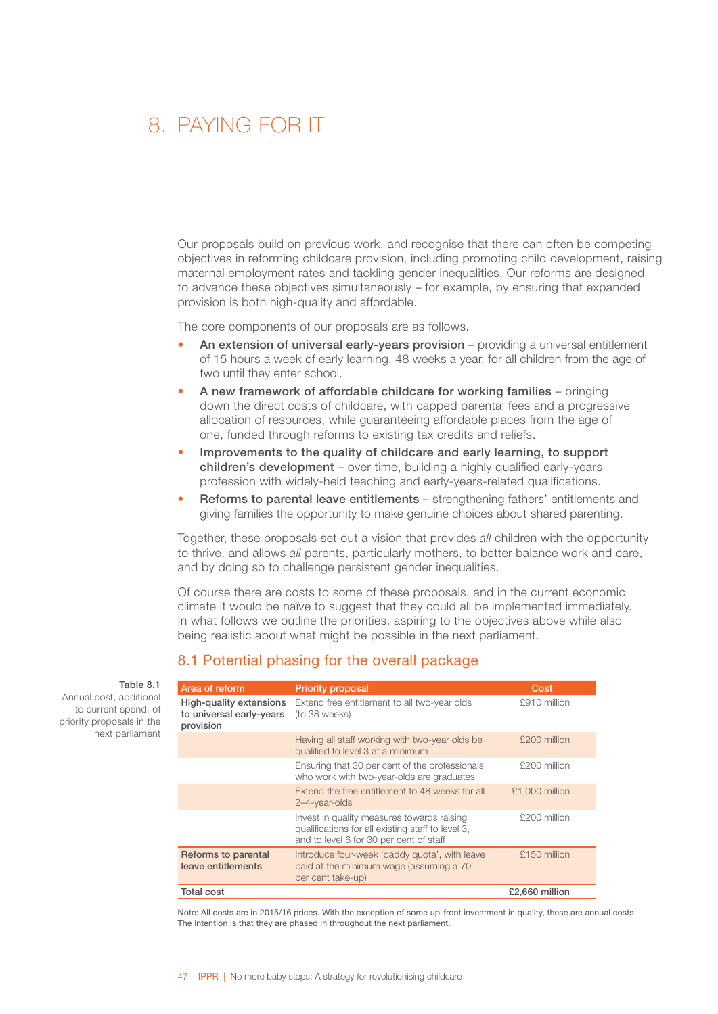### <span id="page-49-0"></span>8. PAYING FOR IT

Our proposals build on previous work, and recognise that there can often be competing objectives in reforming childcare provision, including promoting child development, raising maternal employment rates and tackling gender inequalities. Our reforms are designed to advance these objectives simultaneously – for example, by ensuring that expanded provision is both high-quality and affordable.

The core components of our proposals are as follows.

- An extension of universal early-vears provision providing a universal entitlement of 15 hours a week of early learning, 48 weeks a year, for all children from the age of two until they enter school.
- A new framework of affordable childcare for working families bringing down the direct costs of childcare, with capped parental fees and a progressive allocation of resources, while guaranteeing affordable places from the age of one, funded through reforms to existing tax credits and reliefs.
- Improvements to the quality of childcare and early learning, to support children's development - over time, building a highly qualified early-years profession with widely-held teaching and early-years-related qualifications.
- Reforms to parental leave entitlements strengthening fathers' entitlements and giving families the opportunity to make genuine choices about shared parenting.

Together, these proposals set out a vision that provides *all* children with the opportunity to thrive, and allows *all* parents, particularly mothers, to better balance work and care, and by doing so to challenge persistent gender inequalities.

Of course there are costs to some of these proposals, and in the current economic climate it would be naïve to suggest that they could all be implemented immediately. In what follows we outline the priorities, aspiring to the objectives above while also being realistic about what might be possible in the next parliament.

### 8.1 Potential phasing for the overall package

| Area of reform                                                   | <b>Priority proposal</b>                                                                                                                   | Cost           |
|------------------------------------------------------------------|--------------------------------------------------------------------------------------------------------------------------------------------|----------------|
| High-quality extensions<br>to universal early-years<br>provision | Extend free entitlement to all two-year olds<br>(to 38 weeks)                                                                              | £910 million   |
|                                                                  | Having all staff working with two-year olds be<br>qualified to level 3 at a minimum                                                        | £200 million   |
|                                                                  | Ensuring that 30 per cent of the professionals<br>who work with two-year-olds are graduates                                                | £200 million   |
|                                                                  | Extend the free entitlement to 48 weeks for all<br>2-4-year-olds                                                                           | £1,000 million |
|                                                                  | Invest in quality measures towards raising<br>qualifications for all existing staff to level 3,<br>and to level 6 for 30 per cent of staff | £200 million   |
| Reforms to parental<br>leave entitlements                        | Introduce four-week 'daddy quota', with leave<br>paid at the minimum wage (assuming a 70<br>per cent take-up)                              | £150 million   |
| Total cost                                                       |                                                                                                                                            | £2.660 million |

Note: All costs are in 2015/16 prices. With the exception of some up-front investment in quality, these are annual costs. The intention is that they are phased in throughout the next parliament.

#### Table 8.1

Annual cost, additional to current spend, of priority proposals in the next parliament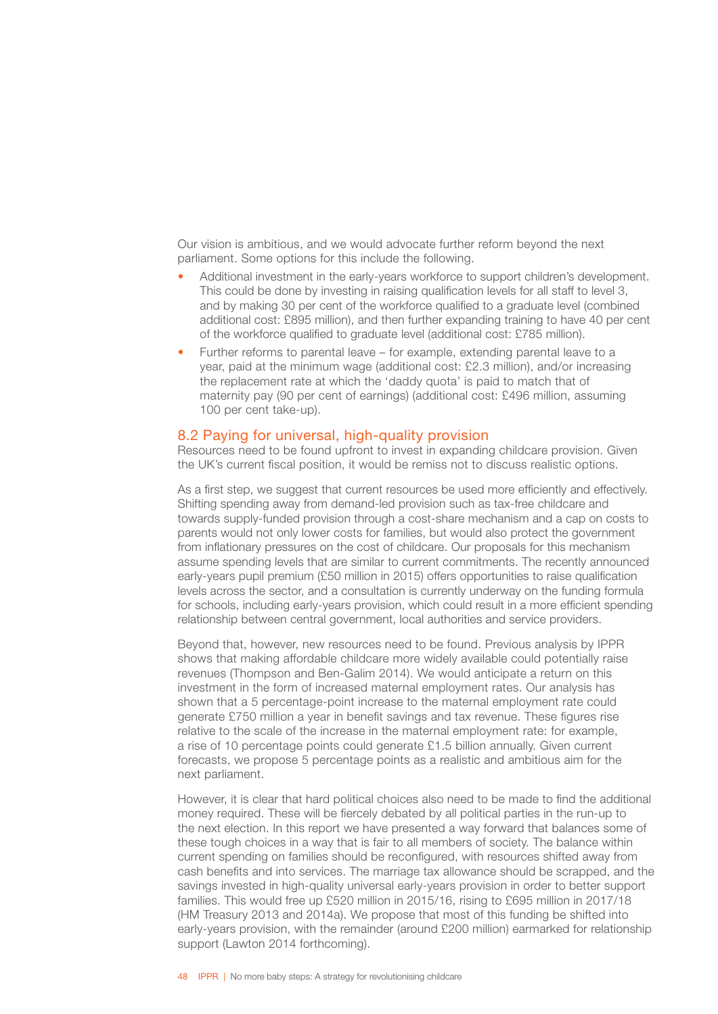<span id="page-50-0"></span>Our vision is ambitious, and we would advocate further reform beyond the next parliament. Some options for this include the following.

- Additional investment in the early-years workforce to support children's development. This could be done by investing in raising qualification levels for all staff to level 3, and by making 30 per cent of the workforce qualified to a graduate level (combined additional cost: £895 million), and then further expanding training to have 40 per cent of the workforce qualified to graduate level (additional cost: £785 million).
- Further reforms to parental leave for example, extending parental leave to a year, paid at the minimum wage (additional cost: £2.3 million), and/or increasing the replacement rate at which the 'daddy quota' is paid to match that of maternity pay (90 per cent of earnings) (additional cost: £496 million, assuming 100 per cent take-up).

### 8.2 Paying for universal, high-quality provision

Resources need to be found upfront to invest in expanding childcare provision. Given the UK's current fiscal position, it would be remiss not to discuss realistic options.

As a first step, we suggest that current resources be used more efficiently and effectively. Shifting spending away from demand-led provision such as tax-free childcare and towards supply-funded provision through a cost-share mechanism and a cap on costs to parents would not only lower costs for families, but would also protect the government from inflationary pressures on the cost of childcare. Our proposals for this mechanism assume spending levels that are similar to current commitments. The recently announced early-years pupil premium (£50 million in 2015) offers opportunities to raise qualification levels across the sector, and a consultation is currently underway on the funding formula for schools, including early-years provision, which could result in a more efficient spending relationship between central government, local authorities and service providers.

Beyond that, however, new resources need to be found. Previous analysis by IPPR shows that making affordable childcare more widely available could potentially raise revenues (Thompson and Ben-Galim 2014). We would anticipate a return on this investment in the form of increased maternal employment rates. Our analysis has shown that a 5 percentage-point increase to the maternal employment rate could generate £750 million a year in benefit savings and tax revenue. These figures rise relative to the scale of the increase in the maternal employment rate: for example, a rise of 10 percentage points could generate £1.5 billion annually. Given current forecasts, we propose 5 percentage points as a realistic and ambitious aim for the next parliament.

However, it is clear that hard political choices also need to be made to find the additional money required. These will be fiercely debated by all political parties in the run-up to the next election. In this report we have presented a way forward that balances some of these tough choices in a way that is fair to all members of society. The balance within current spending on families should be reconfigured, with resources shifted away from cash benefits and into services. The marriage tax allowance should be scrapped, and the savings invested in high-quality universal early-years provision in order to better support families. This would free up £520 million in 2015/16, rising to £695 million in 2017/18 (HM Treasury 2013 and 2014a). We propose that most of this funding be shifted into early-years provision, with the remainder (around £200 million) earmarked for relationship support (Lawton 2014 forthcoming).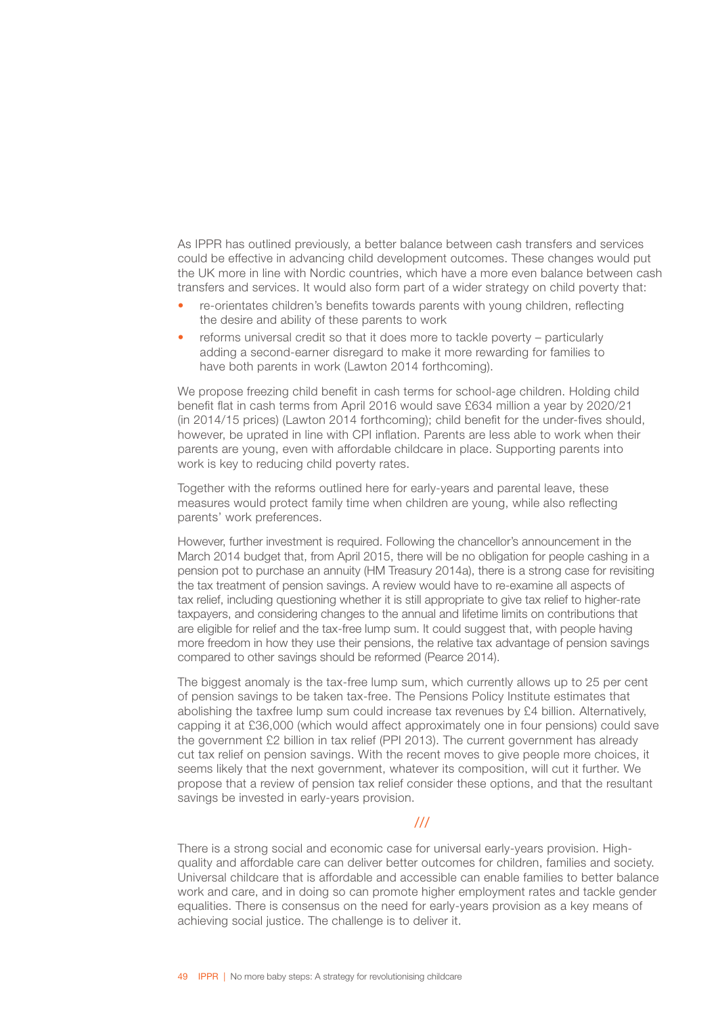As IPPR has outlined previously, a better balance between cash transfers and services could be effective in advancing child development outcomes. These changes would put the UK more in line with Nordic countries, which have a more even balance between cash transfers and services. It would also form part of a wider strategy on child poverty that:

- re-orientates children's benefits towards parents with young children, reflecting the desire and ability of these parents to work
- reforms universal credit so that it does more to tackle poverty particularly adding a second-earner disregard to make it more rewarding for families to have both parents in work (Lawton 2014 forthcoming).

We propose freezing child benefit in cash terms for school-age children. Holding child benefit flat in cash terms from April 2016 would save £634 million a year by 2020/21 (in 2014/15 prices) (Lawton 2014 forthcoming); child benefit for the under-fives should, however, be uprated in line with CPI inflation. Parents are less able to work when their parents are young, even with affordable childcare in place. Supporting parents into work is key to reducing child poverty rates.

Together with the reforms outlined here for early-years and parental leave, these measures would protect family time when children are young, while also reflecting parents' work preferences.

However, further investment is required. Following the chancellor's announcement in the March 2014 budget that, from April 2015, there will be no obligation for people cashing in a pension pot to purchase an annuity (HM Treasury 2014a), there is a strong case for revisiting the tax treatment of pension savings. A review would have to re-examine all aspects of tax relief, including questioning whether it is still appropriate to give tax relief to higher-rate taxpayers, and considering changes to the annual and lifetime limits on contributions that are eligible for relief and the tax-free lump sum. It could suggest that, with people having more freedom in how they use their pensions, the relative tax advantage of pension savings compared to other savings should be reformed (Pearce 2014).

The biggest anomaly is the tax-free lump sum, which currently allows up to 25 per cent of pension savings to be taken tax-free. The Pensions Policy Institute estimates that abolishing the taxfree lump sum could increase tax revenues by £4 billion. Alternatively, capping it at £36,000 (which would affect approximately one in four pensions) could save the government £2 billion in tax relief (PPI 2013). The current government has already cut tax relief on pension savings. With the recent moves to give people more choices, it seems likely that the next government, whatever its composition, will cut it further. We propose that a review of pension tax relief consider these options, and that the resultant savings be invested in early-years provision.

### ///

There is a strong social and economic case for universal early-years provision. Highquality and affordable care can deliver better outcomes for children, families and society. Universal childcare that is affordable and accessible can enable families to better balance work and care, and in doing so can promote higher employment rates and tackle gender equalities. There is consensus on the need for early-years provision as a key means of achieving social justice. The challenge is to deliver it.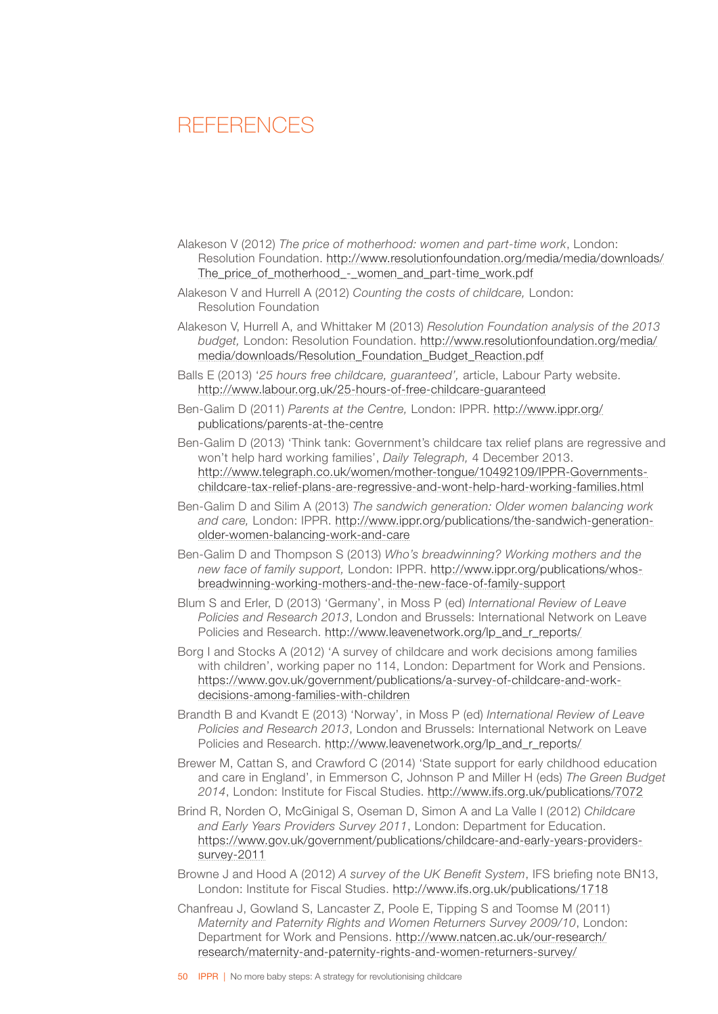### <span id="page-52-0"></span>**REFERENCES**

- Alakeson V (2012) *The price of motherhood: women and part-time work*, London: Resolution Foundation. [http://www.resolutionfoundation.org/media/media/downloads/](http://www.resolutionfoundation.org/media/media/downloads/The_price_of_motherhood_-_women_and_part-time_work.pdf) The price of motherhood - women and part-time work.pdf
- Alakeson V and Hurrell A (2012) *Counting the costs of childcare,* London: Resolution Foundation
- Alakeson V, Hurrell A, and Whittaker M (2013) *Resolution Foundation analysis of the 2013 budget,* London: Resolution Foundation. [http://www.resolutionfoundation.org/media/](http://www.resolutionfoundation.org/media/media/downloads/Resolution_Foundation_Budget_Reaction.pdf) [media/downloads/Resolution\\_Foundation\\_Budget\\_Reaction.pdf](http://www.resolutionfoundation.org/media/media/downloads/Resolution_Foundation_Budget_Reaction.pdf)
- Balls E (2013) '*25 hours free childcare, guaranteed',* article, Labour Party website. <http://www.labour.org.uk/25-hours-of-free-childcare-guaranteed>
- Ben-Galim D (2011) *Parents at the Centre,* London: IPPR. [http://www.ippr.org/](http://www.ippr.org/publications/parents-at-the-centre) [publications/parents-at-the-centre](http://www.ippr.org/publications/parents-at-the-centre)
- Ben-Galim D (2013) 'Think tank: Government's childcare tax relief plans are regressive and won't help hard working families', *Daily Telegraph,* 4 December 2013. [http://www.telegraph.co.uk/women/mother-tongue/10492109/IPPR-Governments](http://www.telegraph.co.uk/women/mother-tongue/10492109/IPPR-Governments-childcare-tax-relief-plans-are-regressive-and-wont-help-hard-working-families.html)[childcare-tax-relief-plans-are-regressive-and-wont-help-hard-working-families.html](http://www.telegraph.co.uk/women/mother-tongue/10492109/IPPR-Governments-childcare-tax-relief-plans-are-regressive-and-wont-help-hard-working-families.html)
- Ben-Galim D and Silim A (2013) *The sandwich generation: Older women balancing work and care,* London: IPPR. [http://www.ippr.org/publications/the-sandwich-generation](http://www.ippr.org/publications/the-sandwich-generation-older-women-balancing-work-and-care)[older-women-balancing-work-and-care](http://www.ippr.org/publications/the-sandwich-generation-older-women-balancing-work-and-care)
- Ben-Galim D and Thompson S (2013) *Who's breadwinning? Working mothers and the new face of family support,* London: IPPR. [http://www.ippr.org/publications/whos](http://www.ippr.org/publications/whos-breadwinning-working-mothers-and-the-new-face-of-family-support)[breadwinning-working-mothers-and-the-new-face-of-family-support](http://www.ippr.org/publications/whos-breadwinning-working-mothers-and-the-new-face-of-family-support)
- Blum S and Erler, D (2013) 'Germany', in Moss P (ed) *International Review of Leave Policies and Research 2013*, London and Brussels: International Network on Leave Policies and Research. [http://www.leavenetwork.org/lp\\_and\\_r\\_reports/](http://www.leavenetwork.org/lp_and_r_reports/)
- Borg I and Stocks A (2012) 'A survey of childcare and work decisions among families with children', working paper no 114, London: Department for Work and Pensions. [https://www.gov.uk/government/publications/a-survey-of-childcare-and-work](https://www.gov.uk/government/publications/a-survey-of-childcare-and-work-decisions-among-families-with-children)[decisions-among-families-with-children](https://www.gov.uk/government/publications/a-survey-of-childcare-and-work-decisions-among-families-with-children)
- Brandth B and Kvandt E (2013) 'Norway', in Moss P (ed) *International Review of Leave Policies and Research 2013*, London and Brussels: International Network on Leave Policies and Research. [http://www.leavenetwork.org/lp\\_and\\_r\\_reports/](http://www.leavenetwork.org/lp_and_r_reports/)
- Brewer M, Cattan S, and Crawford C (2014) 'State support for early childhood education and care in England', in Emmerson C, Johnson P and Miller H (eds) *The Green Budget 2014*, London: Institute for Fiscal Studies. <http://www.ifs.org.uk/publications/7072>
- Brind R, Norden O, McGinigal S, Oseman D, Simon A and La Valle I (2012) *Childcare and Early Years Providers Survey 2011*, London: Department for Education. [https://www.gov.uk/government/publications/childcare-and-early-years-providers](https://www.gov.uk/government/publications/childcare-and-early-years-providers-survey-2011)[survey-2011](https://www.gov.uk/government/publications/childcare-and-early-years-providers-survey-2011)
- Browne J and Hood A (2012) *A survey of the UK Benefit System*, IFS briefing note BN13, London: Institute for Fiscal Studies. <http://www.ifs.org.uk/publications/1718>
- Chanfreau J, Gowland S, Lancaster Z, Poole E, Tipping S and Toomse M (2011) *Maternity and Paternity Rights and Women Returners Survey 2009/10*, London: Department for Work and Pensions. [http://www.natcen.ac.uk/our-research/](http://www.natcen.ac.uk/our-research/research/maternity-and-paternity-rights-and-women-returners-survey/) [research/maternity-and-paternity-rights-and-women-returners-survey/](http://www.natcen.ac.uk/our-research/research/maternity-and-paternity-rights-and-women-returners-survey/)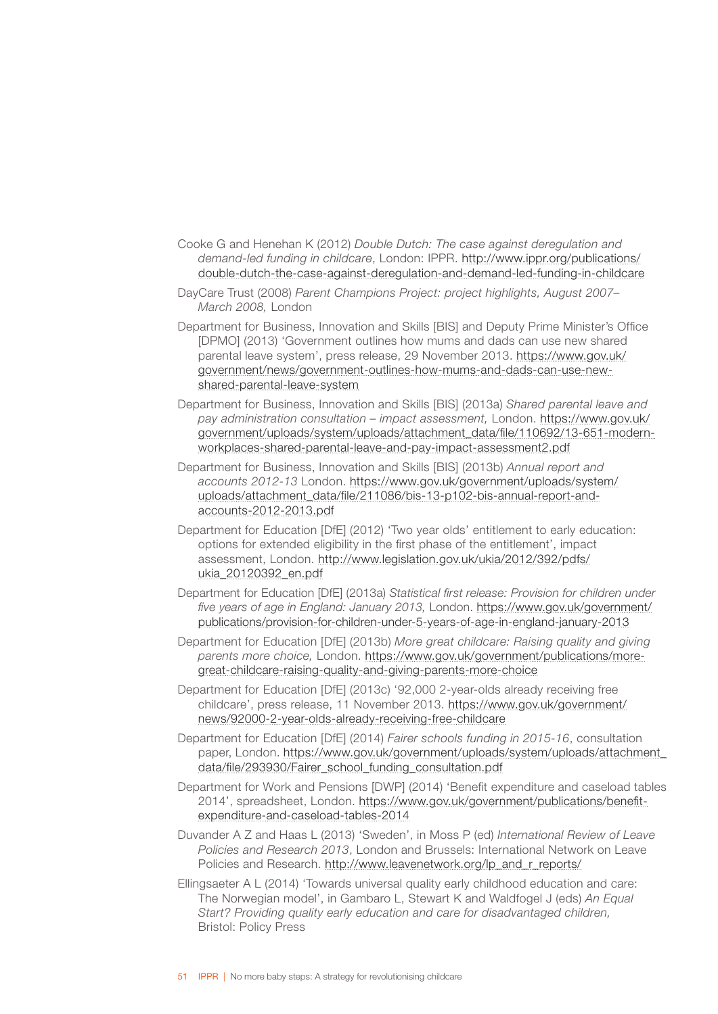- Cooke G and Henehan K (2012) *Double Dutch: The case against deregulation and demand-led funding in childcare*, London: IPPR. [http://www.ippr.org/publications/](http://www.ippr.org/publications/double-dutch-the-case-against-deregulation-and-demand-led-funding-in-childcare) [double-dutch-the-case-against-deregulation-and-demand-led-funding-in-childcare](http://www.ippr.org/publications/double-dutch-the-case-against-deregulation-and-demand-led-funding-in-childcare)
- DayCare Trust (2008) *Parent Champions Project: project highlights, August 2007– March 2008,* London
- Department for Business, Innovation and Skills [BIS] and Deputy Prime Minister's Office [DPMO] (2013) 'Government outlines how mums and dads can use new shared parental leave system', press release, 29 November 2013. [https://www.gov.uk/](https://www.gov.uk/government/news/government-outlines-how-mums-and-dads-can-use-new-shared-parental-leave-system) [government/news/government-outlines-how-mums-and-dads-can-use-new](https://www.gov.uk/government/news/government-outlines-how-mums-and-dads-can-use-new-shared-parental-leave-system)[shared-parental-leave-system](https://www.gov.uk/government/news/government-outlines-how-mums-and-dads-can-use-new-shared-parental-leave-system)
- Department for Business, Innovation and Skills [BIS] (2013a) *Shared parental leave and pay administration consultation – impact assessment,* London. [https://www.gov.uk/](https://www.gov.uk/government/uploads/system/uploads/attachment_data/file/110692/13-651-modern-workplaces-shared-parental-leave-and-pay-impact-assessment2.pdf) [government/uploads/system/uploads/attachment\\_data/file/110692/13-651-modern](https://www.gov.uk/government/uploads/system/uploads/attachment_data/file/110692/13-651-modern-workplaces-shared-parental-leave-and-pay-impact-assessment2.pdf)[workplaces-shared-parental-leave-and-pay-impact-assessment2.pdf](https://www.gov.uk/government/uploads/system/uploads/attachment_data/file/110692/13-651-modern-workplaces-shared-parental-leave-and-pay-impact-assessment2.pdf)
- Department for Business, Innovation and Skills [BIS] (2013b) *Annual report and accounts 2012-13* London. [https://www.gov.uk/government/uploads/system/](https://www.gov.uk/government/uploads/system/uploads/attachment_data/file/211086/bis-13-p102-bis-annual-report-and-accounts-2012-2013.pdf) [uploads/attachment\\_data/file/211086/bis-13-p102-bis-annual-report-and](https://www.gov.uk/government/uploads/system/uploads/attachment_data/file/211086/bis-13-p102-bis-annual-report-and-accounts-2012-2013.pdf)[accounts-2012-2013.pdf](https://www.gov.uk/government/uploads/system/uploads/attachment_data/file/211086/bis-13-p102-bis-annual-report-and-accounts-2012-2013.pdf)
- Department for Education [DfE] (2012) 'Two year olds' entitlement to early education: options for extended eligibility in the first phase of the entitlement', impact assessment, London. [http://www.legislation.gov.uk/ukia/2012/392/pdfs/](http://www.legislation.gov.uk/ukia/2012/392/pdfs/ukia_20120392_en.pdf) [ukia\\_20120392\\_en.pdf](http://www.legislation.gov.uk/ukia/2012/392/pdfs/ukia_20120392_en.pdf)
- Department for Education [DfE] (2013a) *Statistical first release: Provision for children under five years of age in England: January 2013,* London. [https://www.gov.uk/government/](https://www.gov.uk/government/publications/provision-for-children-under-5-years-of-age-in-england-january-2013) [publications/provision-for-children-under-5-years-of-age-in-england-january-2013](https://www.gov.uk/government/publications/provision-for-children-under-5-years-of-age-in-england-january-2013)
- Department for Education [DfE] (2013b) *More great childcare: Raising quality and giving parents more choice,* London. [https://www.gov.uk/government/publications/more](https://www.gov.uk/government/publications/more-great-childcare-raising-quality-and-giving-parents-more-choice)[great-childcare-raising-quality-and-giving-parents-more-choice](https://www.gov.uk/government/publications/more-great-childcare-raising-quality-and-giving-parents-more-choice)
- Department for Education [DfE] (2013c) '92,000 2-year-olds already receiving free childcare', press release, 11 November 2013. [https://www.gov.uk/government/](https://www.gov.uk/government/news/92000-2-year-olds-already-receiving-free-childcare) [news/92000-2-year-olds-already-receiving-free-childcare](https://www.gov.uk/government/news/92000-2-year-olds-already-receiving-free-childcare)
- Department for Education [DfE] (2014) *Fairer schools funding in 2015-16*, consultation paper, London. [https://www.gov.uk/government/uploads/system/uploads/attachment\\_](https://www.gov.uk/government/uploads/system/uploads/attachment_data/file/293930/Fairer_school_funding_consultation.pdf) [data/file/293930/Fairer\\_school\\_funding\\_consultation.pdf](https://www.gov.uk/government/uploads/system/uploads/attachment_data/file/293930/Fairer_school_funding_consultation.pdf)
- Department for Work and Pensions [DWP] (2014) 'Benefit expenditure and caseload tables 2014', spreadsheet, London. [https://www.gov.uk/government/publications/benefit](https://www.gov.uk/government/publications/benefit-expenditure-and-caseload-tables-2014)[expenditure-and-caseload-tables-2014](https://www.gov.uk/government/publications/benefit-expenditure-and-caseload-tables-2014)
- Duvander A Z and Haas L (2013) 'Sweden', in Moss P (ed) *International Review of Leave Policies and Research 2013*, London and Brussels: International Network on Leave Policies and Research. [http://www.leavenetwork.org/lp\\_and\\_r\\_reports/](http://www.leavenetwork.org/lp_and_r_reports/)
- Ellingsaeter A L (2014) 'Towards universal quality early childhood education and care: The Norwegian model', in Gambaro L, Stewart K and Waldfogel J (eds) *An Equal Start? Providing quality early education and care for disadvantaged children,* Bristol: Policy Press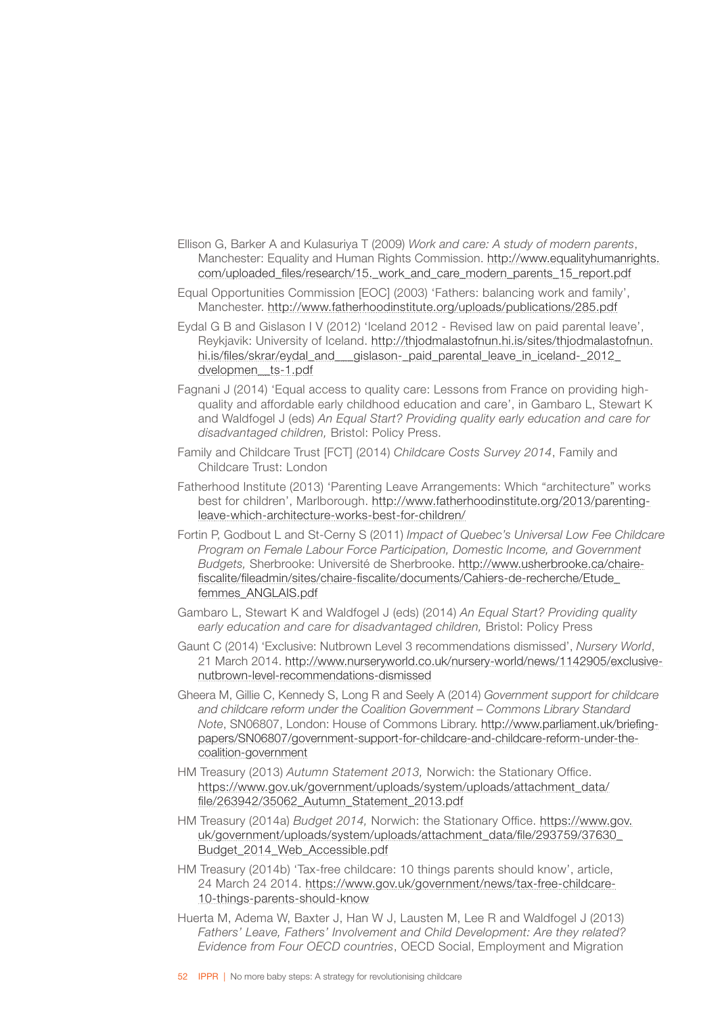- Ellison G, Barker A and Kulasuriya T (2009) *Work and care: A study of modern parents*, Manchester: Equality and Human Rights Commission. [http://www.equalityhumanrights.](http://www.equalityhumanrights.com/uploaded_files/research/15._work_and_care_modern_parents_15_report.pdf) [com/uploaded\\_files/research/15.\\_work\\_and\\_care\\_modern\\_parents\\_15\\_report.pdf](http://www.equalityhumanrights.com/uploaded_files/research/15._work_and_care_modern_parents_15_report.pdf)
- Equal Opportunities Commission [EOC] (2003) 'Fathers: balancing work and family', Manchester. <http://www.fatherhoodinstitute.org/uploads/publications/285.pdf>
- Eydal G B and Gislason I V (2012) 'Iceland 2012 Revised law on paid parental leave', Reykjavik: University of Iceland. [http://thjodmalastofnun.hi.is/sites/thjodmalastofnun.](http://thjodmalastofnun.hi.is/sites/thjodmalastofnun.hi.is/files/skrar/eydal_and___gislason-_paid_parental_leave_in_iceland-_2012_dvelopmen__ts-1.pdf) [hi.is/files/skrar/eydal\\_and\\_\\_\\_gislason-\\_paid\\_parental\\_leave\\_in\\_iceland-\\_2012\\_](http://thjodmalastofnun.hi.is/sites/thjodmalastofnun.hi.is/files/skrar/eydal_and___gislason-_paid_parental_leave_in_iceland-_2012_dvelopmen__ts-1.pdf) [dvelopmen\\_\\_ts-1.pdf](http://thjodmalastofnun.hi.is/sites/thjodmalastofnun.hi.is/files/skrar/eydal_and___gislason-_paid_parental_leave_in_iceland-_2012_dvelopmen__ts-1.pdf)
- Fagnani J (2014) 'Equal access to quality care: Lessons from France on providing highquality and affordable early childhood education and care', in Gambaro L, Stewart K and Waldfogel J (eds) *An Equal Start? Providing quality early education and care for disadvantaged children,* Bristol: Policy Press.
- Family and Childcare Trust [FCT] (2014) *Childcare Costs Survey 2014*, Family and Childcare Trust: London
- Fatherhood Institute (2013) 'Parenting Leave Arrangements: Which "architecture" works best for children', Marlborough. [http://www.fatherhoodinstitute.org/2013/parenting](http://www.fatherhoodinstitute.org/2013/parenting-leave-which-architecture-works-best-for-children/)[leave-which-architecture-works-best-for-children/](http://www.fatherhoodinstitute.org/2013/parenting-leave-which-architecture-works-best-for-children/)
- Fortin P, Godbout L and St-Cerny S (2011) *Impact of Quebec's Universal Low Fee Childcare Program on Female Labour Force Participation, Domestic Income, and Government Budgets,* Sherbrooke: Université de Sherbrooke. [http://www.usherbrooke.ca/chaire](http://www.usherbrooke.ca/chaire-fiscalite/fileadmin/sites/chaire-fiscalite/documents/Cahiers-de-recherche/Etude_femmes_ANGLAIS.pdf)[fiscalite/fileadmin/sites/chaire-fiscalite/documents/Cahiers-de-recherche/Etude\\_](http://www.usherbrooke.ca/chaire-fiscalite/fileadmin/sites/chaire-fiscalite/documents/Cahiers-de-recherche/Etude_femmes_ANGLAIS.pdf) [femmes\\_ANGLAIS.pdf](http://www.usherbrooke.ca/chaire-fiscalite/fileadmin/sites/chaire-fiscalite/documents/Cahiers-de-recherche/Etude_femmes_ANGLAIS.pdf)
- Gambaro L, Stewart K and Waldfogel J (eds) (2014) *An Equal Start? Providing quality early education and care for disadvantaged children,* Bristol: Policy Press
- Gaunt C (2014) 'Exclusive: Nutbrown Level 3 recommendations dismissed', *Nursery World*, 21 March 2014. [http://www.nurseryworld.co.uk/nursery-world/news/1142905/exclusive](http://www.nurseryworld.co.uk/nursery-world/news/1142905/exclusive-nutbrown-level-recommendations-dismissed)[nutbrown-level-recommendations-dismissed](http://www.nurseryworld.co.uk/nursery-world/news/1142905/exclusive-nutbrown-level-recommendations-dismissed)
- Gheera M, Gillie C, Kennedy S, Long R and Seely A (2014) *Government support for childcare and childcare reform under the Coalition Government – Commons Library Standard Note*, SN06807, London: House of Commons Library. [http://www.parliament.uk/briefing](http://www.parliament.uk/briefing-papers/SN06807/government-support-for-childcare-and-childcare-reform-under-the-coalition-government)[papers/SN06807/government-support-for-childcare-and-childcare-reform-under-the](http://www.parliament.uk/briefing-papers/SN06807/government-support-for-childcare-and-childcare-reform-under-the-coalition-government)[coalition-government](http://www.parliament.uk/briefing-papers/SN06807/government-support-for-childcare-and-childcare-reform-under-the-coalition-government)
- HM Treasury (2013) *Autumn Statement 2013,* Norwich: the Stationary Office. [https://www.gov.uk/government/uploads/system/uploads/attachment\\_data/](https://www.gov.uk/government/uploads/system/uploads/attachment_data/file/263942/35062_Autumn_Statement_2013.pdf) [file/263942/35062\\_Autumn\\_Statement\\_2013.pdf](https://www.gov.uk/government/uploads/system/uploads/attachment_data/file/263942/35062_Autumn_Statement_2013.pdf)
- HM Treasury (2014a) *Budget 2014,* Norwich: the Stationary Office. [https://www.gov.](https://www.gov.uk/government/uploads/system/uploads/attachment_data/file/293759/37630_Budget_2014_Web_Accessible.pdf) [uk/government/uploads/system/uploads/attachment\\_data/file/293759/37630\\_](https://www.gov.uk/government/uploads/system/uploads/attachment_data/file/293759/37630_Budget_2014_Web_Accessible.pdf) [Budget\\_2014\\_Web\\_Accessible.pdf](https://www.gov.uk/government/uploads/system/uploads/attachment_data/file/293759/37630_Budget_2014_Web_Accessible.pdf)
- HM Treasury (2014b) 'Tax-free childcare: 10 things parents should know', article, 24 March 24 2014. [https://www.gov.uk/government/news/tax-free-childcare-](https://www.gov.uk/government/news/tax-free-childcare-10-things-parents-should-know)[10-things-parents-should-know](https://www.gov.uk/government/news/tax-free-childcare-10-things-parents-should-know)
- Huerta M, Adema W, Baxter J, Han W J, Lausten M, Lee R and Waldfogel J (2013) *Fathers' Leave, Fathers' Involvement and Child Development: Are they related? Evidence from Four OECD countries*, OECD Social, Employment and Migration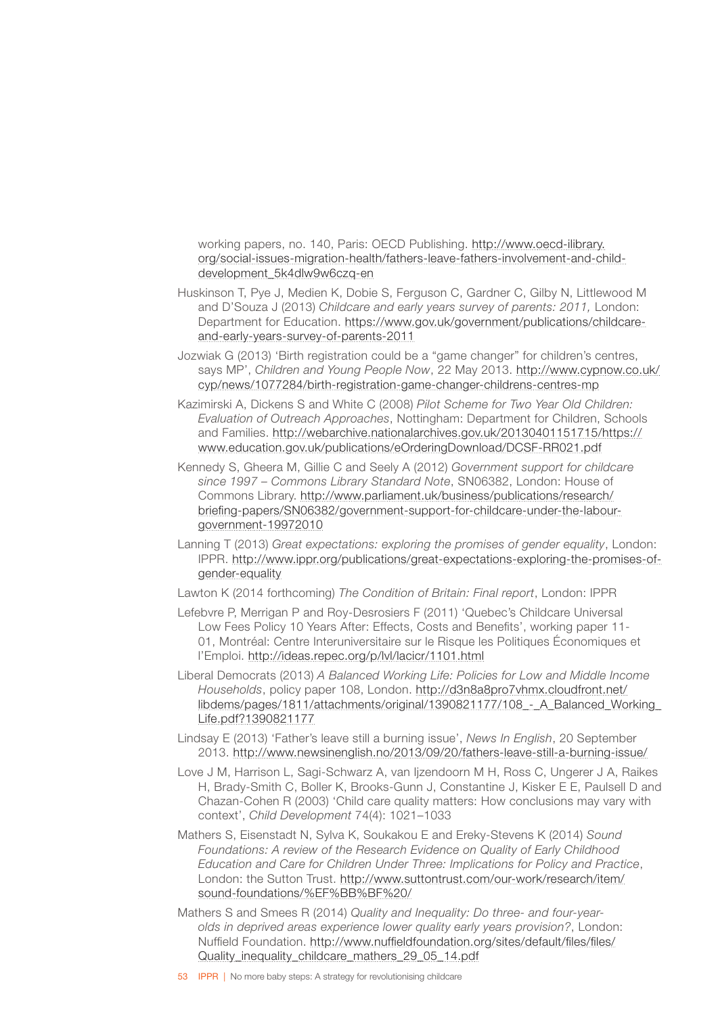working papers, no. 140, Paris: OECD Publishing. [http://www.oecd-ilibrary.](http://www.oecd-ilibrary.org/social-issues-migration-health/fathers-leave-fathers-involvement-and-child-development_5k4dlw9w6czq-en) [org/social-issues-migration-health/fathers-leave-fathers-involvement-and-child](http://www.oecd-ilibrary.org/social-issues-migration-health/fathers-leave-fathers-involvement-and-child-development_5k4dlw9w6czq-en)[development\\_5k4dlw9w6czq-en](http://www.oecd-ilibrary.org/social-issues-migration-health/fathers-leave-fathers-involvement-and-child-development_5k4dlw9w6czq-en)

- Huskinson T, Pye J, Medien K, Dobie S, Ferguson C, Gardner C, Gilby N, Littlewood M and D'Souza J (2013) *Childcare and early years survey of parents: 2011,* London: Department for Education. [https://www.gov.uk/government/publications/childcare](https://www.gov.uk/government/publications/childcare-and-early-years-survey-of-parents-2011)[and-early-years-survey-of-parents-2011](https://www.gov.uk/government/publications/childcare-and-early-years-survey-of-parents-2011)
- Jozwiak G (2013) 'Birth registration could be a "game changer" for children's centres, says MP', Children and Young People Now, 22 May 2013. [http://www.cypnow.co.uk/](http://www.cypnow.co.uk/cyp/news/1077284/birth-registration-game-changer-childrens-centres-mp) [cyp/news/1077284/birth-registration-game-changer-childrens-centres-mp](http://www.cypnow.co.uk/cyp/news/1077284/birth-registration-game-changer-childrens-centres-mp)
- Kazimirski A, Dickens S and White C (2008) *Pilot Scheme for Two Year Old Children: Evaluation of Outreach Approaches*, Nottingham: Department for Children, Schools and Families. [http://webarchive.nationalarchives.gov.uk/20130401151715/https://](http://webarchive.nationalarchives.gov.uk/20130401151715/https://www.education.gov.uk/publications/eOrderingDownload/DCSF-RR021.pdf) [www.education.gov.uk/publications/eOrderingDownload/DCSF-RR021.pdf](http://webarchive.nationalarchives.gov.uk/20130401151715/https://www.education.gov.uk/publications/eOrderingDownload/DCSF-RR021.pdf)
- Kennedy S, Gheera M, Gillie C and Seely A (2012) *Government support for childcare since 1997 – Commons Library Standard Note*, SN06382, London: House of Commons Library. [http://www.parliament.uk/business/publications/research/](http://www.parliament.uk/business/publications/research/briefing-papers/SN06382/government-support-for-childcare-under-the-labour-government-19972010) [briefing-papers/SN06382/government-support-for-childcare-under-the-labour](http://www.parliament.uk/business/publications/research/briefing-papers/SN06382/government-support-for-childcare-under-the-labour-government-19972010)[government-19972010](http://www.parliament.uk/business/publications/research/briefing-papers/SN06382/government-support-for-childcare-under-the-labour-government-19972010)
- Lanning T (2013) *Great expectations: exploring the promises of gender equality*, London: IPPR. [http://www.ippr.org/publications/great-expectations-exploring-the-promises-of](http://www.ippr.org/publications/great-expectations-exploring-the-promises-of-gender-equality)[gender-equality](http://www.ippr.org/publications/great-expectations-exploring-the-promises-of-gender-equality)
- Lawton K (2014 forthcoming) *The Condition of Britain: Final report*, London: IPPR
- Lefebvre P, Merrigan P and Roy-Desrosiers F (2011) 'Quebec's Childcare Universal Low Fees Policy 10 Years After: Effects, Costs and Benefits', working paper 11- 01, Montréal: Centre Interuniversitaire sur le Risque les Politiques Économiques et l'Emploi. <http://ideas.repec.org/p/lvl/lacicr/1101.html>
- Liberal Democrats (2013) *A Balanced Working Life: Policies for Low and Middle Income Households*, policy paper 108, London. [http://d3n8a8pro7vhmx.cloudfront.net/](http://d3n8a8pro7vhmx.cloudfront.net/libdems/pages/1811/attachments/original/1390821177/108_-_A_Balanced_Working_Life.pdf?1390821177) libdems/pages/1811/attachments/original/1390821177/108 - A\_Balanced\_Working\_ [Life.pdf?1390821177](http://d3n8a8pro7vhmx.cloudfront.net/libdems/pages/1811/attachments/original/1390821177/108_-_A_Balanced_Working_Life.pdf?1390821177)
- Lindsay E (2013) 'Father's leave still a burning issue', *News In English*, 20 September 2013. <http://www.newsinenglish.no/2013/09/20/fathers-leave-still-a-burning-issue/>
- Love J M, Harrison L, Sagi-Schwarz A, van Ijzendoorn M H, Ross C, Ungerer J A, Raikes H, Brady-Smith C, Boller K, Brooks-Gunn J, Constantine J, Kisker E E, Paulsell D and Chazan-Cohen R (2003) 'Child care quality matters: How conclusions may vary with context', *Child Development* 74(4): 1021–1033
- Mathers S, Eisenstadt N, Sylva K, Soukakou E and Ereky-Stevens K (2014) *Sound Foundations: A review of the Research Evidence on Quality of Early Childhood Education and Care for Children Under Three: Implications for Policy and Practice*, London: the Sutton Trust. [http://www.suttontrust.com/our-work/research/item/](http://www.suttontrust.com/our-work/research/item/sound-foundations/%EF%BB%BF /) [sound-foundations/%EF%BB%BF%20/](http://www.suttontrust.com/our-work/research/item/sound-foundations/%EF%BB%BF /)
- Mathers S and Smees R (2014) *Quality and Inequality: Do three- and four-yearolds in deprived areas experience lower quality early years provision?*, London: Nuffield Foundation. [http://www.nuffieldfoundation.org/sites/default/files/files/](http://www.nuffieldfoundation.org/sites/default/files/files/Quality_inequality_childcare_mathers_29_05_14.pdf) [Quality\\_inequality\\_childcare\\_mathers\\_29\\_05\\_14.pdf](http://www.nuffieldfoundation.org/sites/default/files/files/Quality_inequality_childcare_mathers_29_05_14.pdf)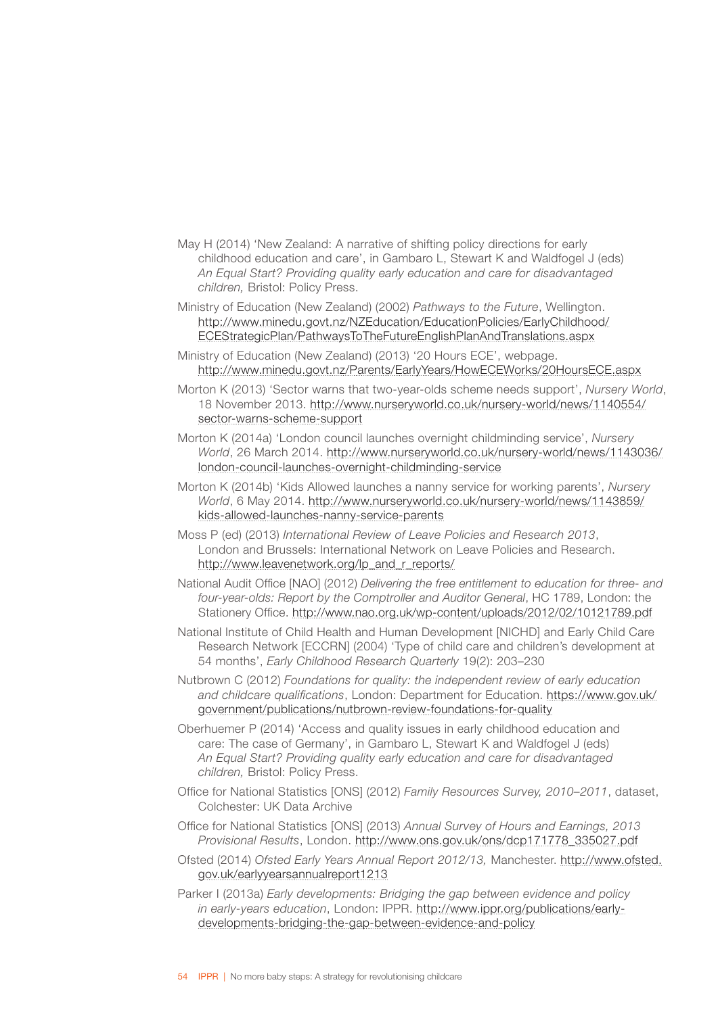- May H (2014) 'New Zealand: A narrative of shifting policy directions for early childhood education and care', in Gambaro L, Stewart K and Waldfogel J (eds) *An Equal Start? Providing quality early education and care for disadvantaged children,* Bristol: Policy Press.
- Ministry of Education (New Zealand) (2002) *Pathways to the Future*, Wellington. [http://www.minedu.govt.nz/NZEducation/EducationPolicies/EarlyChildhood/](http://www.minedu.govt.nz/NZEducation/EducationPolicies/EarlyChildhood/ECEStrategicPlan/PathwaysToTheFutureEnglishPlanAndTranslations.aspx) [ECEStrategicPlan/PathwaysToTheFutureEnglishPlanAndTranslations.aspx](http://www.minedu.govt.nz/NZEducation/EducationPolicies/EarlyChildhood/ECEStrategicPlan/PathwaysToTheFutureEnglishPlanAndTranslations.aspx)
- Ministry of Education (New Zealand) (2013) '20 Hours ECE', webpage. <http://www.minedu.govt.nz/Parents/EarlyYears/HowECEWorks/20HoursECE.aspx>
- Morton K (2013) 'Sector warns that two-year-olds scheme needs support', *Nursery World*, 18 November 2013. [http://www.nurseryworld.co.uk/nursery-world/news/1140554/](http://www.nurseryworld.co.uk/nursery-world/news/1140554/sector-warns-scheme-support) [sector-warns-scheme-support](http://www.nurseryworld.co.uk/nursery-world/news/1140554/sector-warns-scheme-support)
- Morton K (2014a) 'London council launches overnight childminding service', *Nursery World*, 26 March 2014. [http://www.nurseryworld.co.uk/nursery-world/news/1143036/](http://www.nurseryworld.co.uk/nursery-world/news/1143036/london-council-launches-overnight-childminding-service) [london-council-launches-overnight-childminding-service](http://www.nurseryworld.co.uk/nursery-world/news/1143036/london-council-launches-overnight-childminding-service)
- Morton K (2014b) 'Kids Allowed launches a nanny service for working parents', *Nursery World*, 6 May 2014. [http://www.nurseryworld.co.uk/nursery-world/news/1143859/](http://www.nurseryworld.co.uk/nursery-world/news/1143859/kids-allowed-launches-nanny-service-parents) [kids-allowed-launches-nanny-service-parents](http://www.nurseryworld.co.uk/nursery-world/news/1143859/kids-allowed-launches-nanny-service-parents)
- Moss P (ed) (2013) *International Review of Leave Policies and Research 2013*, London and Brussels: International Network on Leave Policies and Research. [http://www.leavenetwork.org/lp\\_and\\_r\\_reports/](http://www.leavenetwork.org/lp_and_r_reports/)
- National Audit Office [NAO] (2012) *Delivering the free entitlement to education for three- and four-year-olds: Report by the Comptroller and Auditor General*, HC 1789, London: the Stationery Office. <http://www.nao.org.uk/wp-content/uploads/2012/02/10121789.pdf>
- National Institute of Child Health and Human Development [NICHD] and Early Child Care Research Network [ECCRN] (2004) 'Type of child care and children's development at 54 months', *Early Childhood Research Quarterly* 19(2): 203–230
- Nutbrown C (2012) *Foundations for quality: the independent review of early education and childcare qualifications*, London: Department for Education. [https://www.gov.uk/](https://www.gov.uk/government/publications/nutbrown-review-foundations-for-quality) [government/publications/nutbrown-review-foundations-for-quality](https://www.gov.uk/government/publications/nutbrown-review-foundations-for-quality)
- Oberhuemer P (2014) 'Access and quality issues in early childhood education and care: The case of Germany', in Gambaro L, Stewart K and Waldfogel J (eds) *An Equal Start? Providing quality early education and care for disadvantaged children,* Bristol: Policy Press.
- Office for National Statistics [ONS] (2012) *Family Resources Survey, 2010–2011*, dataset, Colchester: UK Data Archive
- Office for National Statistics [ONS] (2013) *Annual Survey of Hours and Earnings, 2013 Provisional Results*, London. [http://www.ons.gov.uk/ons/dcp171778\\_335027.pdf](http://www.ons.gov.uk/ons/dcp171778_335027.pdf)
- Ofsted (2014) *Ofsted Early Years Annual Report 2012/13,* Manchester. [http://www.ofsted.](http://www.ofsted.gov.uk/earlyyearsannualreport1213) [gov.uk/earlyyearsannualreport1213](http://www.ofsted.gov.uk/earlyyearsannualreport1213)
- Parker I (2013a) *Early developments: Bridging the gap between evidence and policy in early-years education*, London: IPPR. [http://www.ippr.org/publications/early](http://www.ippr.org/publications/early-developments-bridging-the-gap-between-evidence-and-policy)[developments-bridging-the-gap-between-evidence-and-policy](http://www.ippr.org/publications/early-developments-bridging-the-gap-between-evidence-and-policy)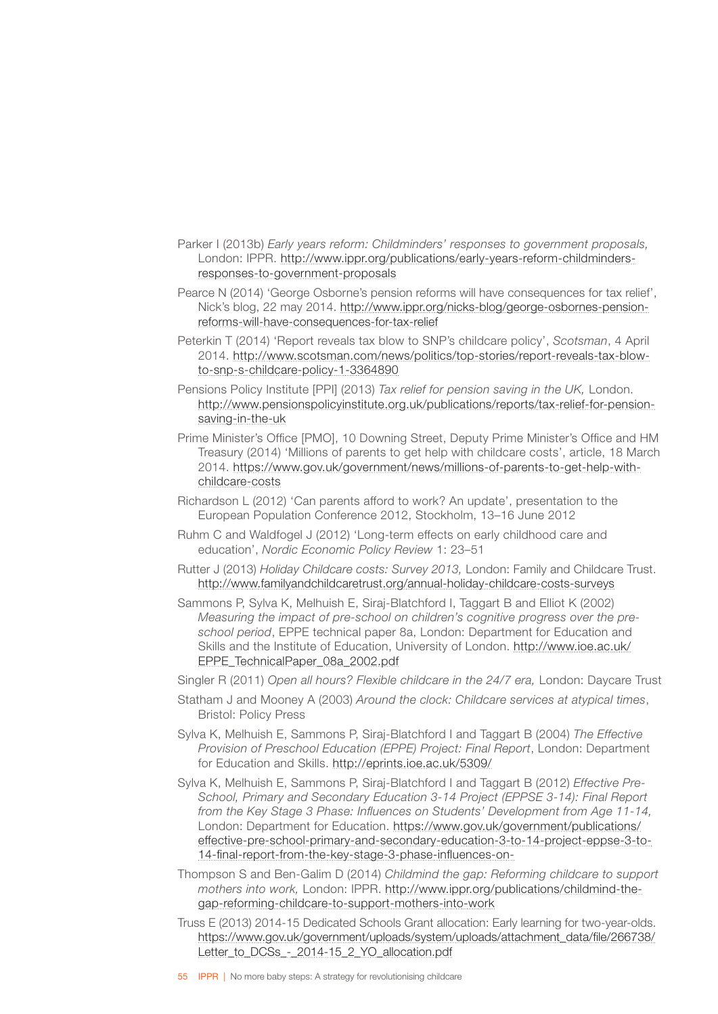- Parker I (2013b) *Early years reform: Childminders' responses to government proposals,* London: IPPR. [http://www.ippr.org/publications/early-years-reform-childminders](http://www.ippr.org/publications/early-years-reform-childminders-responses-to-government-proposals)[responses-to-government-proposals](http://www.ippr.org/publications/early-years-reform-childminders-responses-to-government-proposals)
- Pearce N (2014) 'George Osborne's pension reforms will have consequences for tax relief', Nick's blog, 22 may 2014. [http://www.ippr.org/nicks-blog/george-osbornes-pension](http://www.ippr.org/nicks-blog/george-osbornes-pension-reforms-will-have-consequences-for-tax-relief)[reforms-will-have-consequences-for-tax-relief](http://www.ippr.org/nicks-blog/george-osbornes-pension-reforms-will-have-consequences-for-tax-relief)
- Peterkin T (2014) 'Report reveals tax blow to SNP's childcare policy', *Scotsman*, 4 April 2014. [http://www.scotsman.com/news/politics/top-stories/report-reveals-tax-blow](http://www.scotsman.com/news/politics/top-stories/report-reveals-tax-blow-to-snp-s-childcare-policy-1-3364890)[to-snp-s-childcare-policy-1-3364890](http://www.scotsman.com/news/politics/top-stories/report-reveals-tax-blow-to-snp-s-childcare-policy-1-3364890)
- Pensions Policy Institute [PPI] (2013) *Tax relief for pension saving in the UK,* London. [http://www.pensionspolicyinstitute.org.uk/publications/reports/tax-relief-for-pension](http://www.pensionspolicyinstitute.org.uk/publications/reports/tax-relief-for-pension-saving-in-the-uk)[saving-in-the-uk](http://www.pensionspolicyinstitute.org.uk/publications/reports/tax-relief-for-pension-saving-in-the-uk)
- Prime Minister's Office [PMO], 10 Downing Street, Deputy Prime Minister's Office and HM Treasury (2014) 'Millions of parents to get help with childcare costs', article, 18 March 2014. [https://www.gov.uk/government/news/millions-of-parents-to-get-help-with](https://www.gov.uk/government/news/millions-of-parents-to-get-help-with-childcare-costs)[childcare-costs](https://www.gov.uk/government/news/millions-of-parents-to-get-help-with-childcare-costs)
- Richardson L (2012) 'Can parents afford to work? An update', presentation to the European Population Conference 2012, Stockholm, 13–16 June 2012
- Ruhm C and Waldfogel J (2012) 'Long-term effects on early childhood care and education', *Nordic Economic Policy Review* 1: 23–51
- Rutter J (2013) *Holiday Childcare costs: Survey 2013,* London: Family and Childcare Trust. <http://www.familyandchildcaretrust.org/annual-holiday-childcare-costs-surveys>
- Sammons P, Sylva K, Melhuish E, Siraj-Blatchford I, Taggart B and Elliot K (2002) *Measuring the impact of pre-school on children's cognitive progress over the preschool period*, EPPE technical paper 8a, London: Department for Education and Skills and the Institute of Education, University of London. [http://www.ioe.ac.uk/](http://www.ioe.ac.uk/EPPE_TechnicalPaper_08a_2002.pdf) [EPPE\\_TechnicalPaper\\_08a\\_2002.pdf](http://www.ioe.ac.uk/EPPE_TechnicalPaper_08a_2002.pdf)

Singler R (2011) *Open all hours? Flexible childcare in the 24/7 era, London: Daycare Trust* 

- Statham J and Mooney A (2003) *Around the clock: Childcare services at atypical times*, Bristol: Policy Press
- Sylva K, Melhuish E, Sammons P, Siraj-Blatchford I and Taggart B (2004) *The Effective Provision of Preschool Education (EPPE) Project: Final Report*, London: Department for Education and Skills. <http://eprints.ioe.ac.uk/5309/>
- Sylva K, Melhuish E, Sammons P, Siraj-Blatchford I and Taggart B (2012) *Effective Pre-School, Primary and Secondary Education 3-14 Project (EPPSE 3-14): Final Report from the Key Stage 3 Phase: Influences on Students' Development from Age 11-14,* London: Department for Education. [https://www.gov.uk/government/publications/](https://www.gov.uk/government/publications/effective-pre-school-primary-and-secondary-education-3-to-14-project-eppse-3-to-14-final-report-from-the-key-stage-3-phase-influences-on-students) [effective-pre-school-primary-and-secondary-education-3-to-14-project-eppse-3-to-](https://www.gov.uk/government/publications/effective-pre-school-primary-and-secondary-education-3-to-14-project-eppse-3-to-14-final-report-from-the-key-stage-3-phase-influences-on-students)[14-final-report-from-the-key-stage-3-phase-influences-on-](https://www.gov.uk/government/publications/effective-pre-school-primary-and-secondary-education-3-to-14-project-eppse-3-to-14-final-report-from-the-key-stage-3-phase-influences-on-students)
- Thompson S and Ben-Galim D (2014) *Childmind the gap: Reforming childcare to support mothers into work,* London: IPPR. [http://www.ippr.org/publications/childmind-the](http://www.ippr.org/publications/childmind-the-gap-reforming-childcare-to-support-mothers-into-work)[gap-reforming-childcare-to-support-mothers-into-work](http://www.ippr.org/publications/childmind-the-gap-reforming-childcare-to-support-mothers-into-work)
- Truss E (2013) 2014-15 Dedicated Schools Grant allocation: Early learning for two-year-olds. [https://www.gov.uk/government/uploads/system/uploads/attachment\\_data/file/266738/](https://www.gov.uk/government/uploads/system/uploads/attachment_data/file/266738/Letter_to_DCSs_-_2014-15_2_YO_allocation.pdf) [Letter\\_to\\_DCSs\\_-\\_2014-15\\_2\\_YO\\_allocation.pdf](https://www.gov.uk/government/uploads/system/uploads/attachment_data/file/266738/Letter_to_DCSs_-_2014-15_2_YO_allocation.pdf)